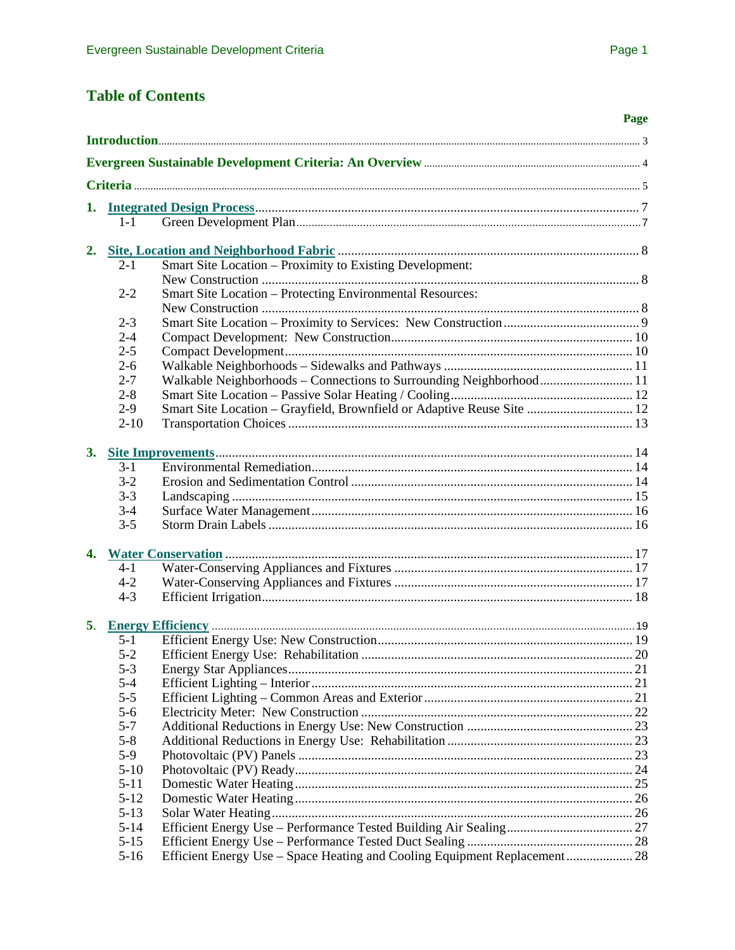# <span id="page-0-0"></span>**Table of Contents**

|    |                      |                                                                           | Page |
|----|----------------------|---------------------------------------------------------------------------|------|
|    |                      |                                                                           |      |
|    |                      |                                                                           |      |
|    |                      |                                                                           |      |
|    |                      |                                                                           |      |
|    | $1 - 1$              |                                                                           |      |
|    |                      |                                                                           |      |
|    |                      |                                                                           |      |
|    | $2 - 1$              | Smart Site Location – Proximity to Existing Development:                  |      |
|    |                      |                                                                           |      |
|    | $2 - 2$              | Smart Site Location - Protecting Environmental Resources:                 |      |
|    |                      |                                                                           |      |
|    | $2 - 3$              |                                                                           |      |
|    | $2 - 4$              |                                                                           |      |
|    | $2 - 5$              |                                                                           |      |
|    | $2 - 6$              |                                                                           |      |
|    | $2 - 7$              | Walkable Neighborhoods - Connections to Surrounding Neighborhood 11       |      |
|    | $2 - 8$              |                                                                           |      |
|    | $2 - 9$              | Smart Site Location - Grayfield, Brownfield or Adaptive Reuse Site  12    |      |
|    | $2 - 10$             |                                                                           |      |
|    |                      |                                                                           |      |
|    | $3-1$                |                                                                           |      |
|    | $3-2$                |                                                                           |      |
|    | $3 - 3$              |                                                                           |      |
|    | $3 - 4$              |                                                                           |      |
|    | $3 - 5$              |                                                                           |      |
|    |                      |                                                                           |      |
|    |                      |                                                                           |      |
|    | $4 - 1$              |                                                                           |      |
|    | $4 - 2$<br>$4 - 3$   |                                                                           |      |
|    |                      |                                                                           |      |
| 5. |                      |                                                                           |      |
|    | $5 - 1$              |                                                                           |      |
|    | $5 - 2$              |                                                                           |      |
|    | $5 - 3$              |                                                                           |      |
|    | $5 - 4$              |                                                                           |      |
|    | $5 - 5$              |                                                                           |      |
|    | $5 - 6$              |                                                                           |      |
|    | $5 - 7$              |                                                                           |      |
|    | $5 - 8$              |                                                                           |      |
|    | $5-9$                |                                                                           |      |
|    | $5 - 10$<br>$5 - 11$ |                                                                           |      |
|    | $5 - 12$             |                                                                           |      |
|    | $5 - 13$             |                                                                           |      |
|    | $5 - 14$             |                                                                           |      |
|    | $5 - 15$             |                                                                           |      |
|    | $5-16$               | Efficient Energy Use - Space Heating and Cooling Equipment Replacement 28 |      |
|    |                      |                                                                           |      |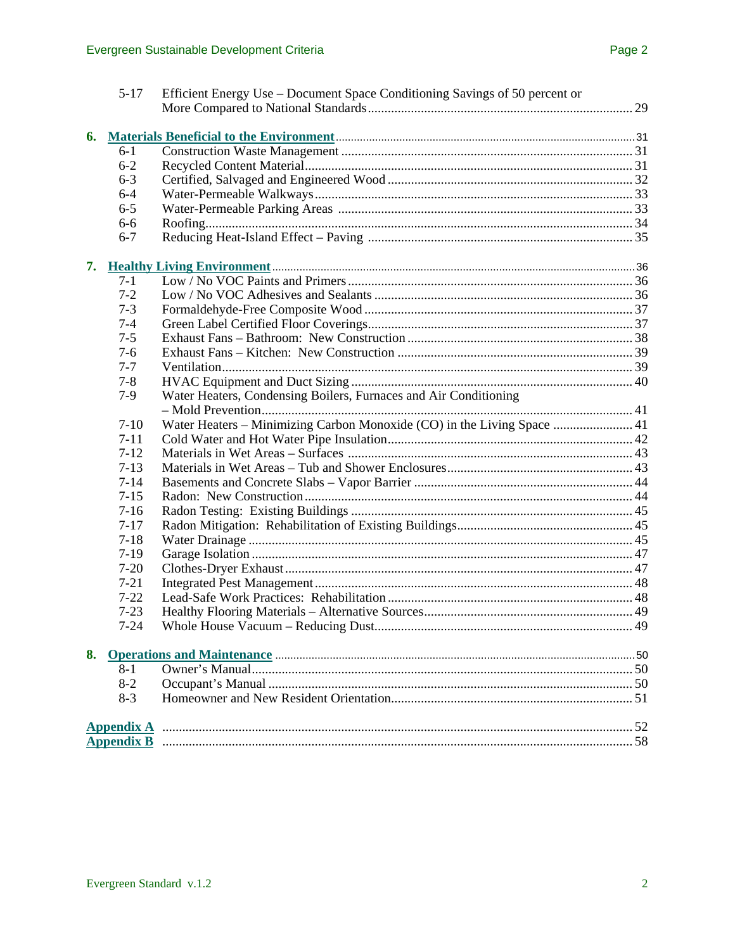| 5-17     | Efficient Energy Use – Document Space Conditioning Savings of 50 percent or |  |
|----------|-----------------------------------------------------------------------------|--|
|          |                                                                             |  |
|          |                                                                             |  |
| 6.       |                                                                             |  |
| $6-1$    |                                                                             |  |
| $6 - 2$  |                                                                             |  |
| $6 - 3$  |                                                                             |  |
| $6 - 4$  |                                                                             |  |
| $6 - 5$  |                                                                             |  |
| $6 - 6$  |                                                                             |  |
| $6 - 7$  |                                                                             |  |
|          |                                                                             |  |
| $7 - 1$  |                                                                             |  |
| $7 - 2$  |                                                                             |  |
| $7 - 3$  |                                                                             |  |
| $7 - 4$  |                                                                             |  |
| $7 - 5$  |                                                                             |  |
| $7-6$    |                                                                             |  |
| $7 - 7$  |                                                                             |  |
| $7 - 8$  |                                                                             |  |
| $7-9$    | Water Heaters, Condensing Boilers, Furnaces and Air Conditioning            |  |
|          |                                                                             |  |
| $7-10$   | Water Heaters - Minimizing Carbon Monoxide (CO) in the Living Space  41     |  |
| $7 - 11$ |                                                                             |  |
| $7 - 12$ |                                                                             |  |
| $7 - 13$ |                                                                             |  |
| $7 - 14$ |                                                                             |  |
| $7 - 15$ |                                                                             |  |
| $7-16$   |                                                                             |  |
| $7 - 17$ |                                                                             |  |
| $7 - 18$ |                                                                             |  |
| $7-19$   |                                                                             |  |
| $7 - 20$ |                                                                             |  |
| $7 - 21$ |                                                                             |  |
| $7 - 22$ |                                                                             |  |
| $7 - 23$ |                                                                             |  |
| $7 - 24$ | Whole House Vacuum - Reducing Dust                                          |  |
|          |                                                                             |  |
| 8.       |                                                                             |  |
| $8 - 1$  |                                                                             |  |
| $8 - 2$  |                                                                             |  |
| $8 - 3$  |                                                                             |  |
|          |                                                                             |  |
|          |                                                                             |  |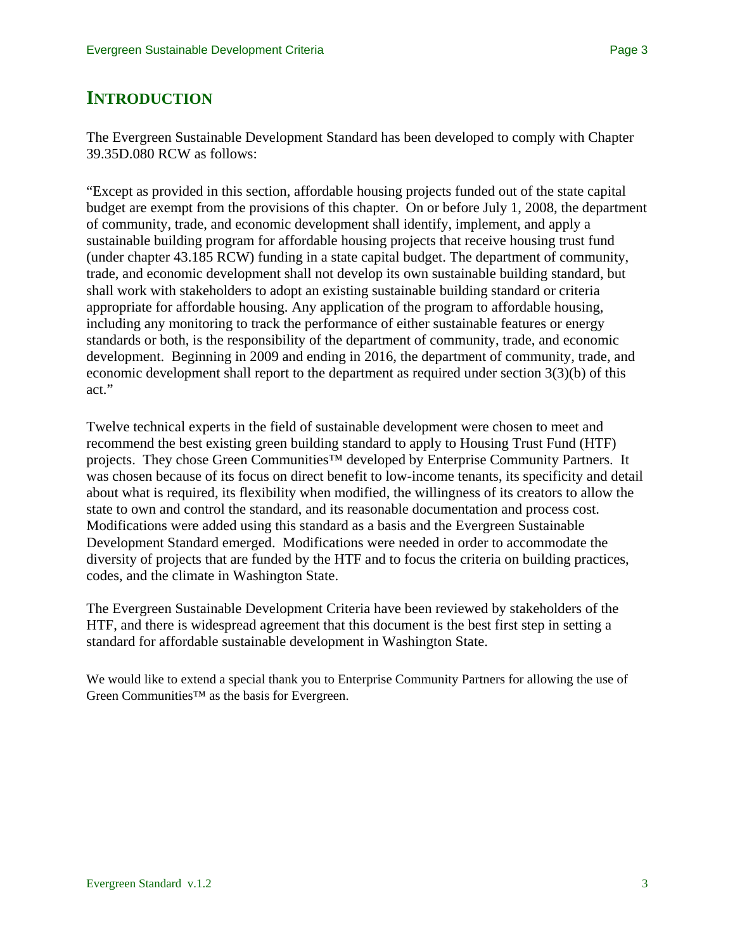# **INTRODUCTION**

The Evergreen Sustainable Development Standard has been developed to comply with Chapter 39.35D.080 RCW as follows:

"Except as provided in this section, affordable housing projects funded out of the state capital budget are exempt from the provisions of this chapter. On or before July 1, 2008, the department of community, trade, and economic development shall identify, implement, and apply a sustainable building program for affordable housing projects that receive housing trust fund (under chapter 43.185 RCW) funding in a state capital budget. The department of community, trade, and economic development shall not develop its own sustainable building standard, but shall work with stakeholders to adopt an existing sustainable building standard or criteria appropriate for affordable housing. Any application of the program to affordable housing, including any monitoring to track the performance of either sustainable features or energy standards or both, is the responsibility of the department of community, trade, and economic development. Beginning in 2009 and ending in 2016, the department of community, trade, and economic development shall report to the department as required under section 3(3)(b) of this act."

Twelve technical experts in the field of sustainable development were chosen to meet and recommend the best existing green building standard to apply to Housing Trust Fund (HTF) projects. They chose Green Communities<sup>™</sup> developed by Enterprise Community Partners. It was chosen because of its focus on direct benefit to low-income tenants, its specificity and detail about what is required, its flexibility when modified, the willingness of its creators to allow the state to own and control the standard, and its reasonable documentation and process cost. Modifications were added using this standard as a basis and the Evergreen Sustainable Development Standard emerged. Modifications were needed in order to accommodate the diversity of projects that are funded by the HTF and to focus the criteria on building practices, codes, and the climate in Washington State.

The Evergreen Sustainable Development Criteria have been reviewed by stakeholders of the HTF, and there is widespread agreement that this document is the best first step in setting a standard for affordable sustainable development in Washington State.

We would like to extend a special thank you to Enterprise Community Partners for allowing the use of Green Communities™ as the basis for Evergreen.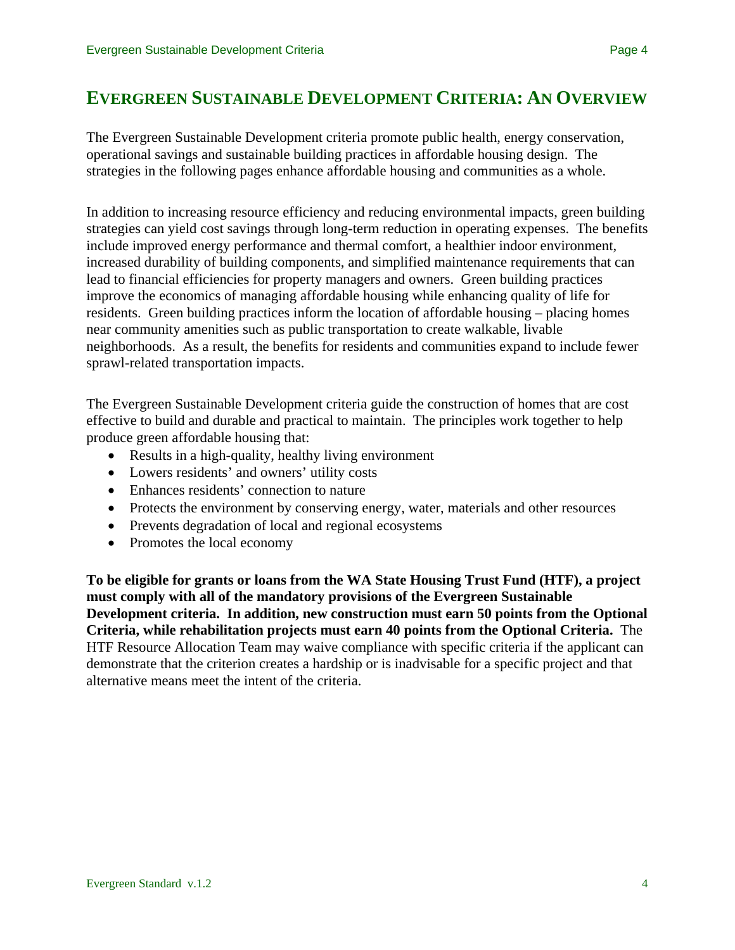# **EVERGREEN SUSTAINABLE DEVELOPMENT CRITERIA: AN OVERVIEW**

The Evergreen Sustainable Development criteria promote public health, energy conservation, operational savings and sustainable building practices in affordable housing design. The strategies in the following pages enhance affordable housing and communities as a whole.

In addition to increasing resource efficiency and reducing environmental impacts, green building strategies can yield cost savings through long-term reduction in operating expenses. The benefits include improved energy performance and thermal comfort, a healthier indoor environment, increased durability of building components, and simplified maintenance requirements that can lead to financial efficiencies for property managers and owners. Green building practices improve the economics of managing affordable housing while enhancing quality of life for residents. Green building practices inform the location of affordable housing – placing homes near community amenities such as public transportation to create walkable, livable neighborhoods. As a result, the benefits for residents and communities expand to include fewer sprawl-related transportation impacts.

The Evergreen Sustainable Development criteria guide the construction of homes that are cost effective to build and durable and practical to maintain. The principles work together to help produce green affordable housing that:

- Results in a high-quality, healthy living environment
- Lowers residents' and owners' utility costs
- Enhances residents' connection to nature
- Protects the environment by conserving energy, water, materials and other resources
- Prevents degradation of local and regional ecosystems
- Promotes the local economy

**To be eligible for grants or loans from the WA State Housing Trust Fund (HTF), a project must comply with all of the mandatory provisions of the Evergreen Sustainable Development criteria. In addition, new construction must earn 50 points from the Optional Criteria, while rehabilitation projects must earn 40 points from the Optional Criteria.** The HTF Resource Allocation Team may waive compliance with specific criteria if the applicant can demonstrate that the criterion creates a hardship or is inadvisable for a specific project and that alternative means meet the intent of the criteria.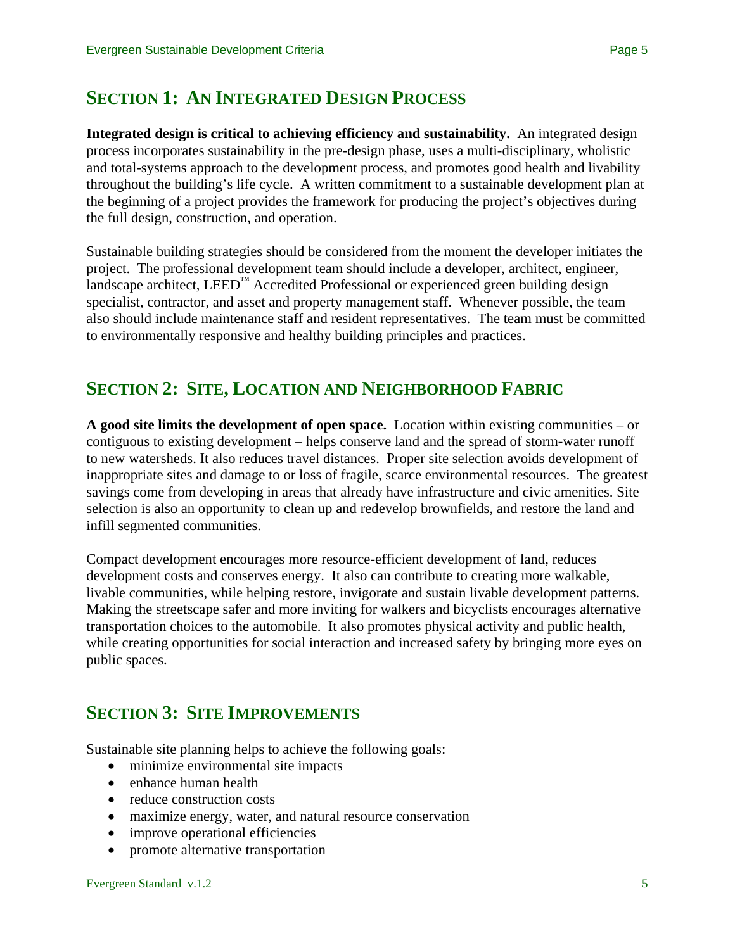# **SECTION 1: AN INTEGRATED DESIGN PROCESS**

**Integrated design is critical to achieving efficiency and sustainability.** An integrated design process incorporates sustainability in the pre-design phase, uses a multi-disciplinary, wholistic and total-systems approach to the development process, and promotes good health and livability throughout the building's life cycle. A written commitment to a sustainable development plan at the beginning of a project provides the framework for producing the project's objectives during the full design, construction, and operation.

Sustainable building strategies should be considered from the moment the developer initiates the project. The professional development team should include a developer, architect, engineer, landscape architect,  $LEED<sup>TM</sup>$  Accredited Professional or experienced green building design specialist, contractor, and asset and property management staff. Whenever possible, the team also should include maintenance staff and resident representatives. The team must be committed to environmentally responsive and healthy building principles and practices.

# **SECTION 2: SITE, LOCATION AND NEIGHBORHOOD FABRIC**

**A good site limits the development of open space.** Location within existing communities – or contiguous to existing development – helps conserve land and the spread of storm-water runoff to new watersheds. It also reduces travel distances. Proper site selection avoids development of inappropriate sites and damage to or loss of fragile, scarce environmental resources. The greatest savings come from developing in areas that already have infrastructure and civic amenities. Site selection is also an opportunity to clean up and redevelop brownfields, and restore the land and infill segmented communities.

Compact development encourages more resource-efficient development of land, reduces development costs and conserves energy. It also can contribute to creating more walkable, livable communities, while helping restore, invigorate and sustain livable development patterns. Making the streetscape safer and more inviting for walkers and bicyclists encourages alternative transportation choices to the automobile. It also promotes physical activity and public health, while creating opportunities for social interaction and increased safety by bringing more eyes on public spaces.

# **SECTION 3: SITE IMPROVEMENTS**

Sustainable site planning helps to achieve the following goals:

- minimize environmental site impacts
- enhance human health
- reduce construction costs
- maximize energy, water, and natural resource conservation
- improve operational efficiencies
- promote alternative transportation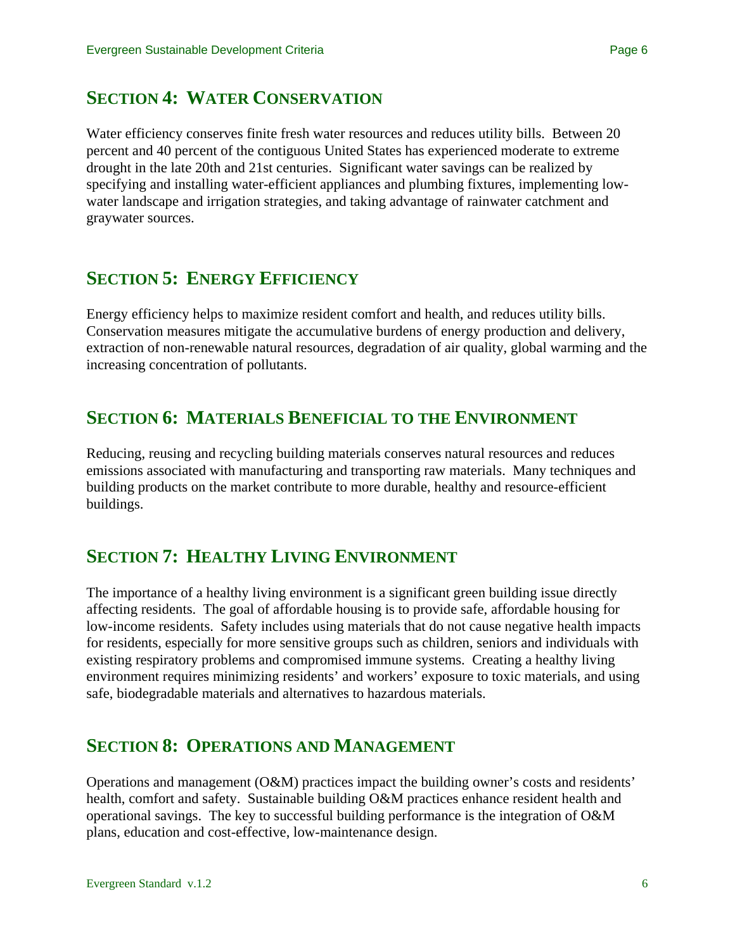Water efficiency conserves finite fresh water resources and reduces utility bills. Between 20 percent and 40 percent of the contiguous United States has experienced moderate to extreme drought in the late 20th and 21st centuries. Significant water savings can be realized by specifying and installing water-efficient appliances and plumbing fixtures, implementing lowwater landscape and irrigation strategies, and taking advantage of rainwater catchment and graywater sources.

# **SECTION 5: ENERGY EFFICIENCY**

Energy efficiency helps to maximize resident comfort and health, and reduces utility bills. Conservation measures mitigate the accumulative burdens of energy production and delivery, extraction of non-renewable natural resources, degradation of air quality, global warming and the increasing concentration of pollutants.

# **SECTION 6: MATERIALS BENEFICIAL TO THE ENVIRONMENT**

Reducing, reusing and recycling building materials conserves natural resources and reduces emissions associated with manufacturing and transporting raw materials. Many techniques and building products on the market contribute to more durable, healthy and resource-efficient buildings.

# **SECTION 7: HEALTHY LIVING ENVIRONMENT**

The importance of a healthy living environment is a significant green building issue directly affecting residents. The goal of affordable housing is to provide safe, affordable housing for low-income residents. Safety includes using materials that do not cause negative health impacts for residents, especially for more sensitive groups such as children, seniors and individuals with existing respiratory problems and compromised immune systems. Creating a healthy living environment requires minimizing residents' and workers' exposure to toxic materials, and using safe, biodegradable materials and alternatives to hazardous materials.

# **SECTION 8: OPERATIONS AND MANAGEMENT**

Operations and management (O&M) practices impact the building owner's costs and residents' health, comfort and safety. Sustainable building O&M practices enhance resident health and operational savings. The key to successful building performance is the integration of O&M plans, education and cost-effective, low-maintenance design.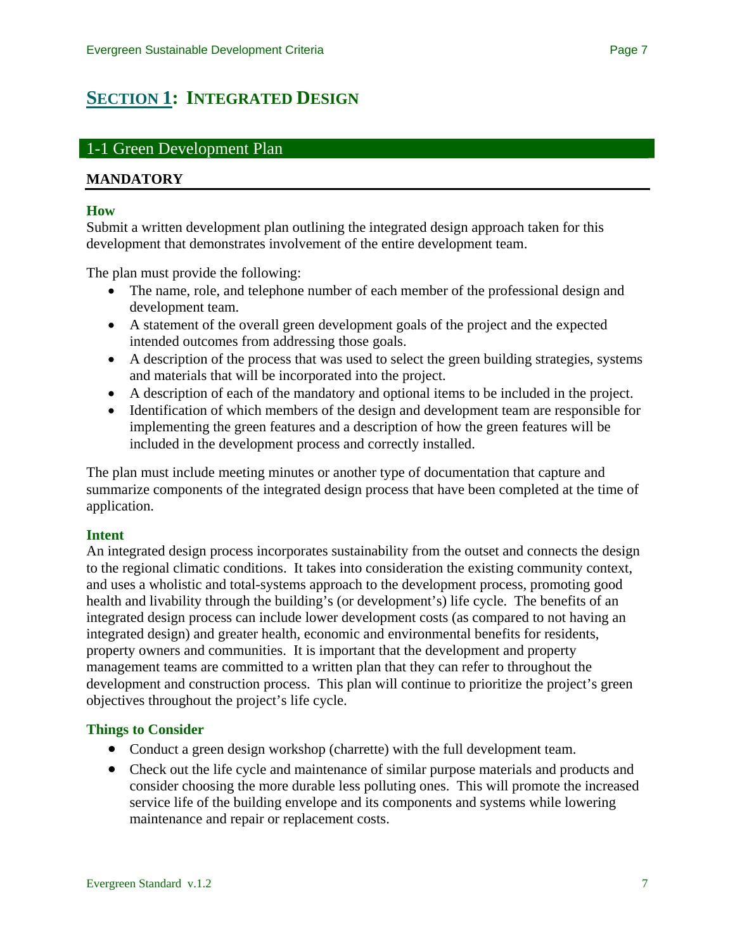# <span id="page-6-0"></span>**[SECTION 1](#page-0-0): INTEGRATED DESIGN**

# 1-1 Green Development Plan

## **MANDATORY**

#### **How**

Submit a written development plan outlining the integrated design approach taken for this development that demonstrates involvement of the entire development team.

The plan must provide the following:

- The name, role, and telephone number of each member of the professional design and development team.
- A statement of the overall green development goals of the project and the expected intended outcomes from addressing those goals.
- A description of the process that was used to select the green building strategies, systems and materials that will be incorporated into the project.
- A description of each of the mandatory and optional items to be included in the project.
- Identification of which members of the design and development team are responsible for implementing the green features and a description of how the green features will be included in the development process and correctly installed.

The plan must include meeting minutes or another type of documentation that capture and summarize components of the integrated design process that have been completed at the time of application.

### **Intent**

An integrated design process incorporates sustainability from the outset and connects the design to the regional climatic conditions. It takes into consideration the existing community context, and uses a wholistic and total-systems approach to the development process, promoting good health and livability through the building's (or development's) life cycle. The benefits of an integrated design process can include lower development costs (as compared to not having an integrated design) and greater health, economic and environmental benefits for residents, property owners and communities. It is important that the development and property management teams are committed to a written plan that they can refer to throughout the development and construction process. This plan will continue to prioritize the project's green objectives throughout the project's life cycle.

### **Things to Consider**

- Conduct a green design workshop (charrette) with the full development team.
- Check out the life cycle and maintenance of similar purpose materials and products and consider choosing the more durable less polluting ones. This will promote the increased service life of the building envelope and its components and systems while lowering maintenance and repair or replacement costs.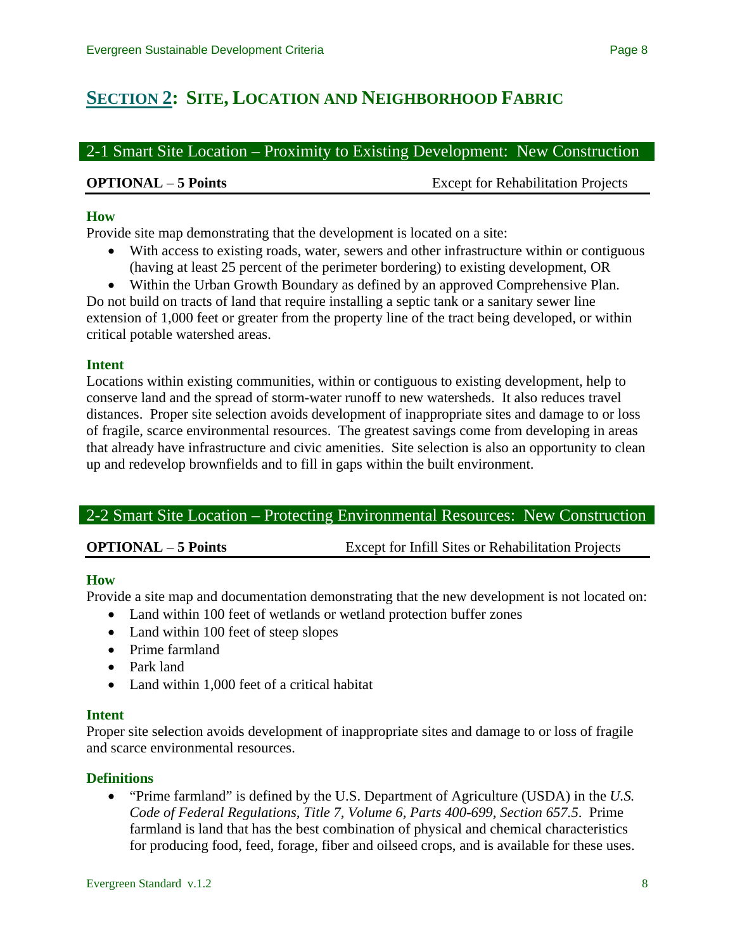# <span id="page-7-0"></span>**[SECTION 2](#page-0-0): SITE, LOCATION AND NEIGHBORHOOD FABRIC**

2-1 Smart Site Location – Proximity to Existing Development: New Construction

**OPTIONAL** – **5 Points** Except for Rehabilitation Projects

## **How**

Provide site map demonstrating that the development is located on a site:

- With access to existing roads, water, sewers and other infrastructure within or contiguous (having at least 25 percent of the perimeter bordering) to existing development, OR
- Within the Urban Growth Boundary as defined by an approved Comprehensive Plan.

Do not build on tracts of land that require installing a septic tank or a sanitary sewer line extension of 1,000 feet or greater from the property line of the tract being developed, or within critical potable watershed areas.

### **Intent**

Locations within existing communities, within or contiguous to existing development, help to conserve land and the spread of storm-water runoff to new watersheds. It also reduces travel distances. Proper site selection avoids development of inappropriate sites and damage to or loss of fragile, scarce environmental resources. The greatest savings come from developing in areas that already have infrastructure and civic amenities. Site selection is also an opportunity to clean up and redevelop brownfields and to fill in gaps within the built environment.

# 2-2 Smart Site Location – Protecting Environmental Resources: New Construction

**OPTIONAL** – **5 Points** Except for Infill Sites or Rehabilitation Projects

### **How**

Provide a site map and documentation demonstrating that the new development is not located on:

- Land within 100 feet of wetlands or wetland protection buffer zones
- Land within 100 feet of steep slopes
- Prime farmland
- Park land
- Land within 1,000 feet of a critical habitat

### **Intent**

Proper site selection avoids development of inappropriate sites and damage to or loss of fragile and scarce environmental resources.

### **Definitions**

• "Prime farmland" is defined by the U.S. Department of Agriculture (USDA) in the *U.S. Code of Federal Regulations, Title 7, Volume 6, Parts 400-699, Section 657.5*. Prime farmland is land that has the best combination of physical and chemical characteristics for producing food, feed, forage, fiber and oilseed crops, and is available for these uses.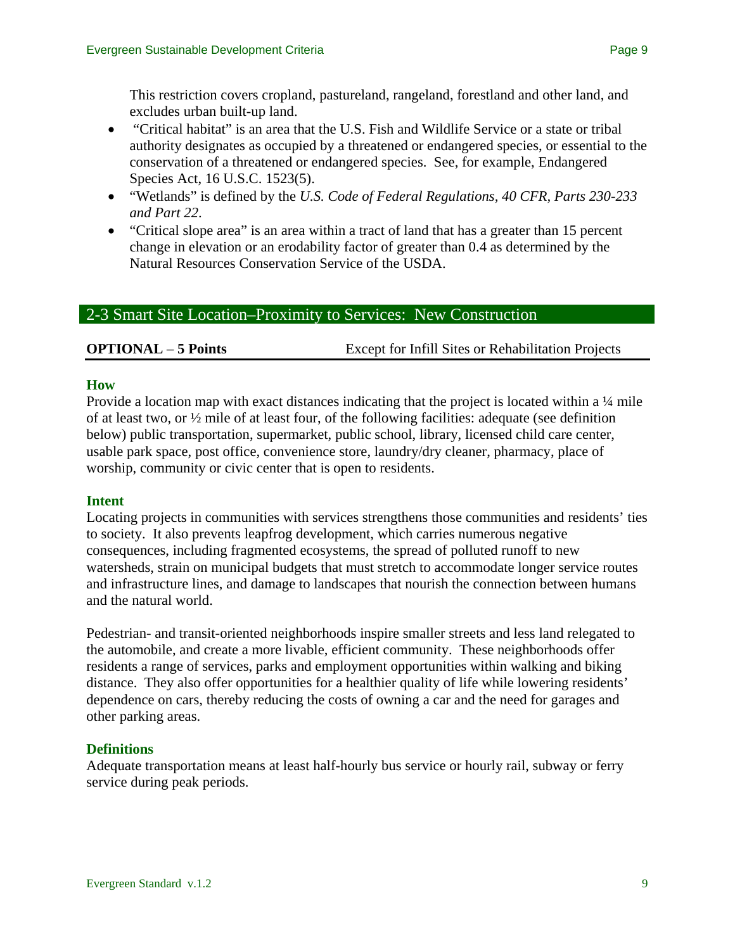This restriction covers cropland, pastureland, rangeland, forestland and other land, and excludes urban built-up land.

- "Critical habitat" is an area that the U.S. Fish and Wildlife Service or a state or tribal authority designates as occupied by a threatened or endangered species, or essential to the conservation of a threatened or endangered species. See, for example, Endangered Species Act, 16 U.S.C. 1523(5).
- "Wetlands" is defined by the *U.S. Code of Federal Regulations, 40 CFR, Parts 230-233 and Part 22*.
- "Critical slope area" is an area within a tract of land that has a greater than 15 percent change in elevation or an erodability factor of greater than 0.4 as determined by the Natural Resources Conservation Service of the USDA.

# 2-3 Smart Site Location–Proximity to Services: New Construction

# **OPTIONAL** – **5 Points** Except for Infill Sites or Rehabilitation Projects

### **How**

Provide a location map with exact distances indicating that the project is located within a <sup>1</sup>/4 mile of at least two, or ½ mile of at least four, of the following facilities: adequate (see definition below) public transportation, supermarket, public school, library, licensed child care center, usable park space, post office, convenience store, laundry/dry cleaner, pharmacy, place of worship, community or civic center that is open to residents.

### **Intent**

Locating projects in communities with services strengthens those communities and residents' ties to society. It also prevents leapfrog development, which carries numerous negative consequences, including fragmented ecosystems, the spread of polluted runoff to new watersheds, strain on municipal budgets that must stretch to accommodate longer service routes and infrastructure lines, and damage to landscapes that nourish the connection between humans and the natural world.

Pedestrian- and transit-oriented neighborhoods inspire smaller streets and less land relegated to the automobile, and create a more livable, efficient community. These neighborhoods offer residents a range of services, parks and employment opportunities within walking and biking distance. They also offer opportunities for a healthier quality of life while lowering residents' dependence on cars, thereby reducing the costs of owning a car and the need for garages and other parking areas.

# **Definitions**

Adequate transportation means at least half-hourly bus service or hourly rail, subway or ferry service during peak periods.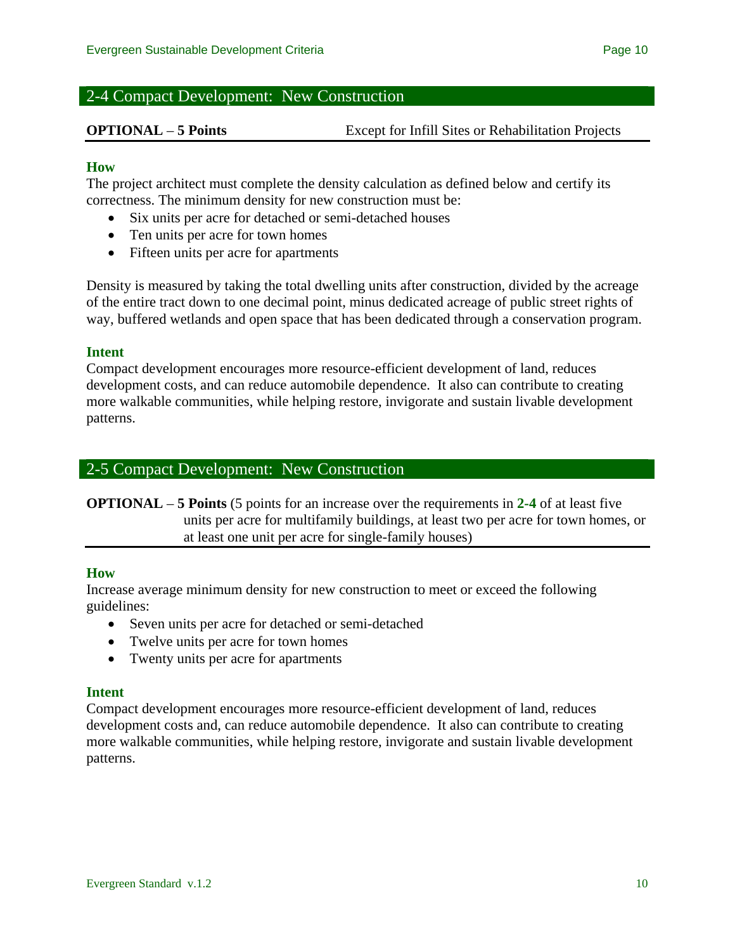# 2-4 Compact Development: New Construction

**OPTIONAL** – **5 Points** Except for Infill Sites or Rehabilitation Projects

## **How**

The project architect must complete the density calculation as defined below and certify its correctness. The minimum density for new construction must be:

- Six units per acre for detached or semi-detached houses
- Ten units per acre for town homes
- Fifteen units per acre for apartments

Density is measured by taking the total dwelling units after construction, divided by the acreage of the entire tract down to one decimal point, minus dedicated acreage of public street rights of way, buffered wetlands and open space that has been dedicated through a conservation program.

### **Intent**

Compact development encourages more resource-efficient development of land, reduces development costs, and can reduce automobile dependence. It also can contribute to creating more walkable communities, while helping restore, invigorate and sustain livable development patterns.

# 2-5 Compact Development: New Construction

**OPTIONAL** – **5 Points** (5 points for an increase over the requirements in **2-4** of at least five units per acre for multifamily buildings, at least two per acre for town homes, or at least one unit per acre for single-family houses)

### **How**

Increase average minimum density for new construction to meet or exceed the following guidelines:

- Seven units per acre for detached or semi-detached
- Twelve units per acre for town homes
- Twenty units per acre for apartments

### **Intent**

Compact development encourages more resource-efficient development of land, reduces development costs and, can reduce automobile dependence. It also can contribute to creating more walkable communities, while helping restore, invigorate and sustain livable development patterns.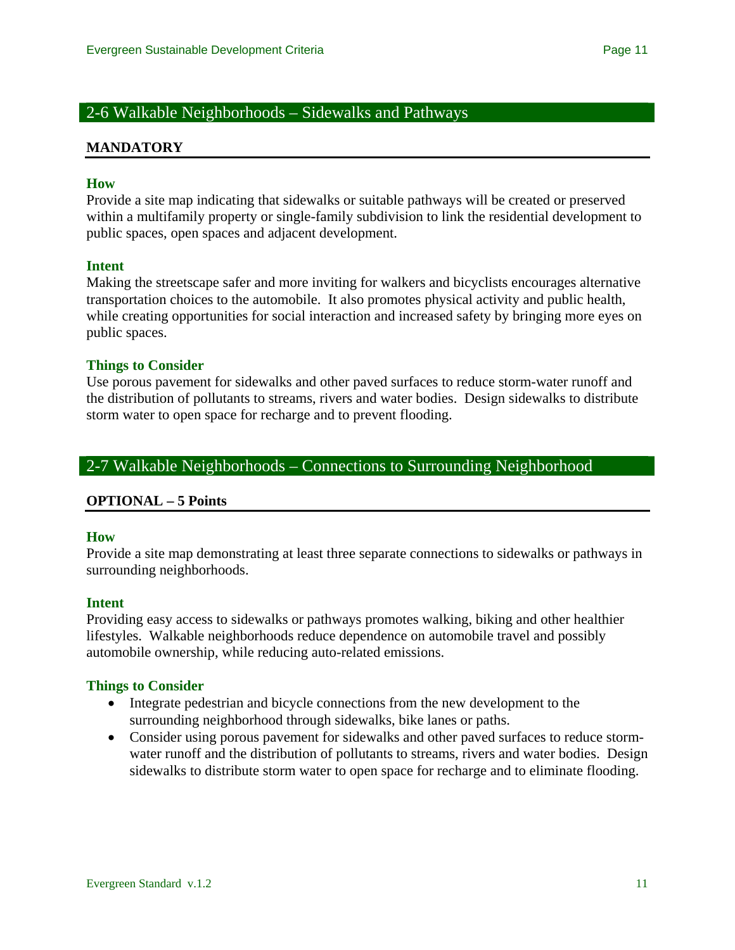# 2-6 Walkable Neighborhoods – Sidewalks and Pathways

#### **MANDATORY**

#### **How**

Provide a site map indicating that sidewalks or suitable pathways will be created or preserved within a multifamily property or single-family subdivision to link the residential development to public spaces, open spaces and adjacent development.

#### **Intent**

Making the streetscape safer and more inviting for walkers and bicyclists encourages alternative transportation choices to the automobile. It also promotes physical activity and public health, while creating opportunities for social interaction and increased safety by bringing more eyes on public spaces.

#### **Things to Consider**

Use porous pavement for sidewalks and other paved surfaces to reduce storm-water runoff and the distribution of pollutants to streams, rivers and water bodies. Design sidewalks to distribute storm water to open space for recharge and to prevent flooding.

# 2-7 Walkable Neighborhoods – Connections to Surrounding Neighborhood

### **OPTIONAL – 5 Points**

#### **How**

Provide a site map demonstrating at least three separate connections to sidewalks or pathways in surrounding neighborhoods.

#### **Intent**

Providing easy access to sidewalks or pathways promotes walking, biking and other healthier lifestyles. Walkable neighborhoods reduce dependence on automobile travel and possibly automobile ownership, while reducing auto-related emissions.

#### **Things to Consider**

- Integrate pedestrian and bicycle connections from the new development to the surrounding neighborhood through sidewalks, bike lanes or paths.
- Consider using porous pavement for sidewalks and other paved surfaces to reduce stormwater runoff and the distribution of pollutants to streams, rivers and water bodies. Design sidewalks to distribute storm water to open space for recharge and to eliminate flooding.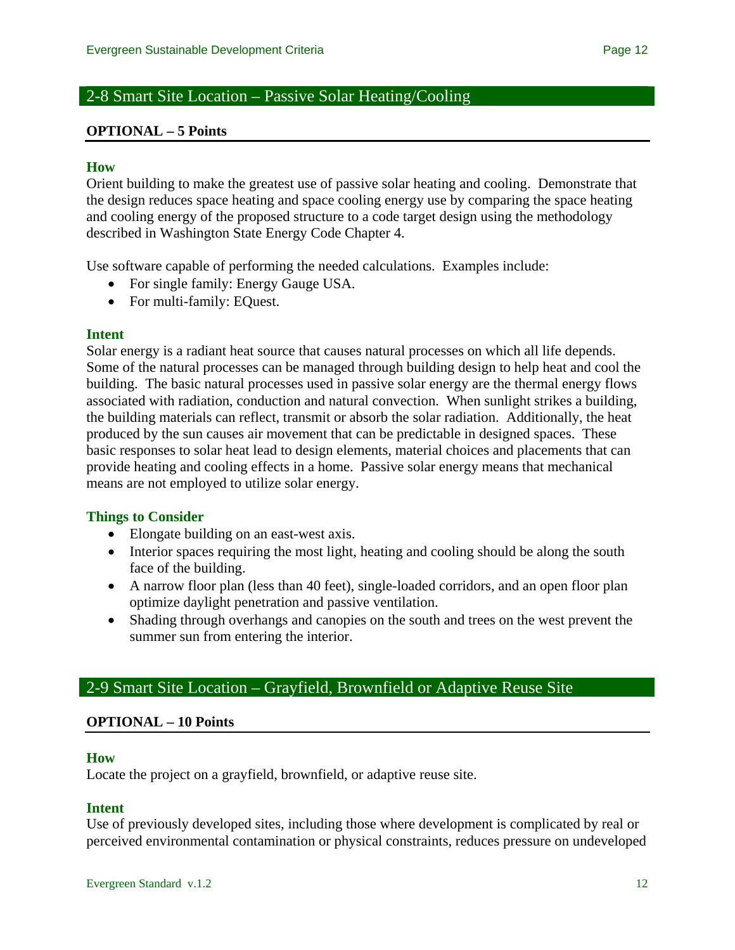# 2-8 Smart Site Location – Passive Solar Heating/Cooling

#### **OPTIONAL – 5 Points**

#### **How**

Orient building to make the greatest use of passive solar heating and cooling. Demonstrate that the design reduces space heating and space cooling energy use by comparing the space heating and cooling energy of the proposed structure to a code target design using the methodology described in Washington State Energy Code Chapter 4.

Use software capable of performing the needed calculations. Examples include:

- For single family: Energy Gauge USA.
- For multi-family: EQuest.

#### **Intent**

Solar energy is a radiant heat source that causes natural processes on which all life depends. Some of the natural processes can be managed through building design to help heat and cool the building. The basic natural processes used in passive solar energy are the thermal energy flows associated with radiation, conduction and natural convection. When sunlight strikes a building, the building materials can reflect, transmit or absorb the solar radiation. Additionally, the heat produced by the sun causes air movement that can be predictable in designed spaces. These basic responses to solar heat lead to design elements, material choices and placements that can provide heating and cooling effects in a home. Passive solar energy means that mechanical means are not employed to utilize solar energy.

#### **Things to Consider**

- Elongate building on an east-west axis.
- Interior spaces requiring the most light, heating and cooling should be along the south face of the building.
- A narrow floor plan (less than 40 feet), single-loaded corridors, and an open floor plan optimize daylight penetration and passive ventilation.
- Shading through overhangs and canopies on the south and trees on the west prevent the summer sun from entering the interior.

# 2-9 Smart Site Location – Grayfield, Brownfield or Adaptive Reuse Site

#### **OPTIONAL – 10 Points**

#### **How**

Locate the project on a grayfield, brownfield, or adaptive reuse site.

#### **Intent**

Use of previously developed sites, including those where development is complicated by real or perceived environmental contamination or physical constraints, reduces pressure on undeveloped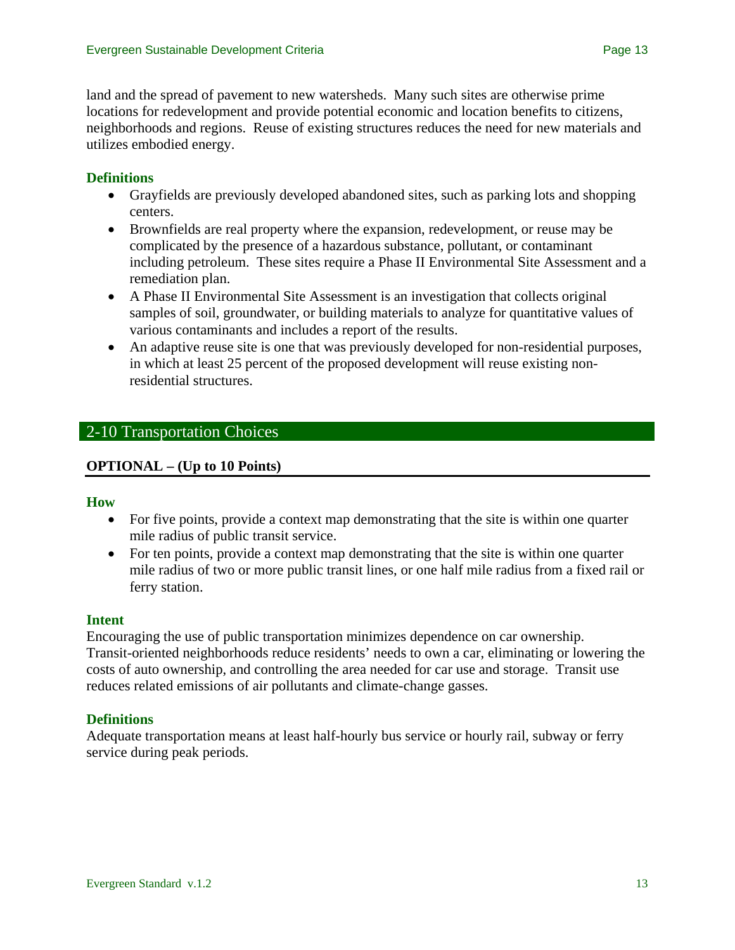land and the spread of pavement to new watersheds. Many such sites are otherwise prime locations for redevelopment and provide potential economic and location benefits to citizens, neighborhoods and regions. Reuse of existing structures reduces the need for new materials and utilizes embodied energy.

# **Definitions**

- Grayfields are previously developed abandoned sites, such as parking lots and shopping centers.
- Brownfields are real property where the expansion, redevelopment, or reuse may be complicated by the presence of a hazardous substance, pollutant, or contaminant including petroleum. These sites require a Phase II Environmental Site Assessment and a remediation plan.
- A Phase II Environmental Site Assessment is an investigation that collects original samples of soil, groundwater, or building materials to analyze for quantitative values of various contaminants and includes a report of the results.
- An adaptive reuse site is one that was previously developed for non-residential purposes, in which at least 25 percent of the proposed development will reuse existing nonresidential structures.

# 2-10 Transportation Choices

# **OPTIONAL – (Up to 10 Points)**

### **How**

- For five points, provide a context map demonstrating that the site is within one quarter mile radius of public transit service.
- For ten points, provide a context map demonstrating that the site is within one quarter mile radius of two or more public transit lines, or one half mile radius from a fixed rail or ferry station.

### **Intent**

Encouraging the use of public transportation minimizes dependence on car ownership. Transit-oriented neighborhoods reduce residents' needs to own a car, eliminating or lowering the costs of auto ownership, and controlling the area needed for car use and storage. Transit use reduces related emissions of air pollutants and climate-change gasses.

### **Definitions**

Adequate transportation means at least half-hourly bus service or hourly rail, subway or ferry service during peak periods.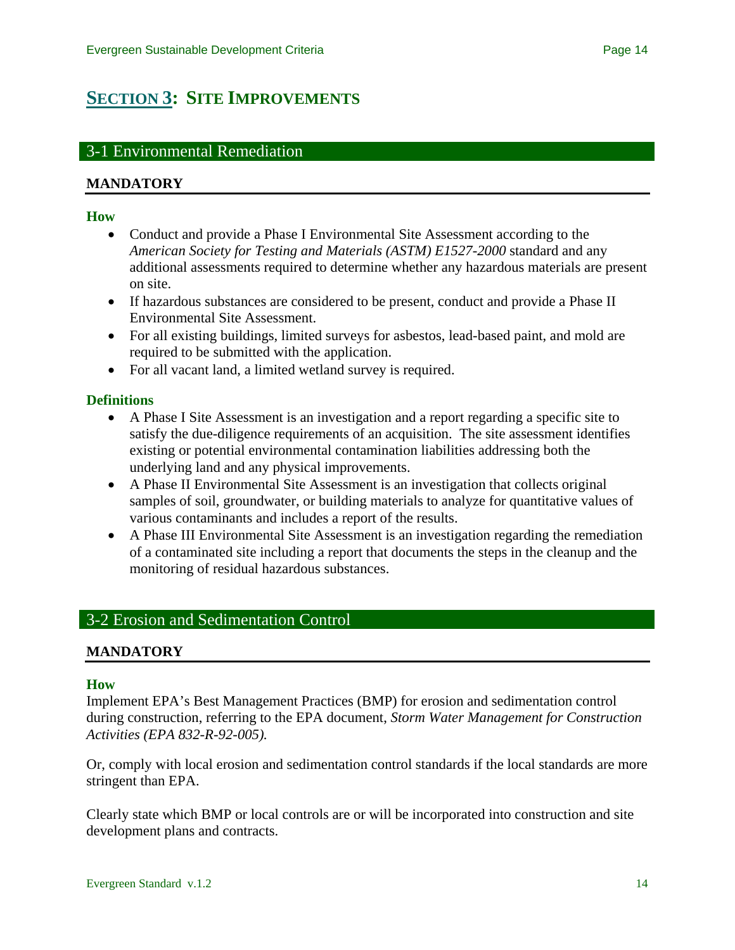# <span id="page-13-0"></span>**[SECTION 3](#page-0-0): SITE IMPROVEMENTS**

# 3-1 Environmental Remediation

# **MANDATORY**

#### **How**

- Conduct and provide a Phase I Environmental Site Assessment according to the *American Society for Testing and Materials (ASTM) E1527-2000* standard and any additional assessments required to determine whether any hazardous materials are present on site.
- If hazardous substances are considered to be present, conduct and provide a Phase II Environmental Site Assessment.
- For all existing buildings, limited surveys for asbestos, lead-based paint, and mold are required to be submitted with the application.
- For all vacant land, a limited wetland survey is required.

### **Definitions**

- A Phase I Site Assessment is an investigation and a report regarding a specific site to satisfy the due-diligence requirements of an acquisition. The site assessment identifies existing or potential environmental contamination liabilities addressing both the underlying land and any physical improvements.
- A Phase II Environmental Site Assessment is an investigation that collects original samples of soil, groundwater, or building materials to analyze for quantitative values of various contaminants and includes a report of the results.
- A Phase III Environmental Site Assessment is an investigation regarding the remediation of a contaminated site including a report that documents the steps in the cleanup and the monitoring of residual hazardous substances.

# 3-2 Erosion and Sedimentation Control

### **MANDATORY**

#### **How**

Implement EPA's Best Management Practices (BMP) for erosion and sedimentation control during construction, referring to the EPA document, *Storm Water Management for Construction Activities (EPA 832-R-92-005).*

Or, comply with local erosion and sedimentation control standards if the local standards are more stringent than EPA.

Clearly state which BMP or local controls are or will be incorporated into construction and site development plans and contracts.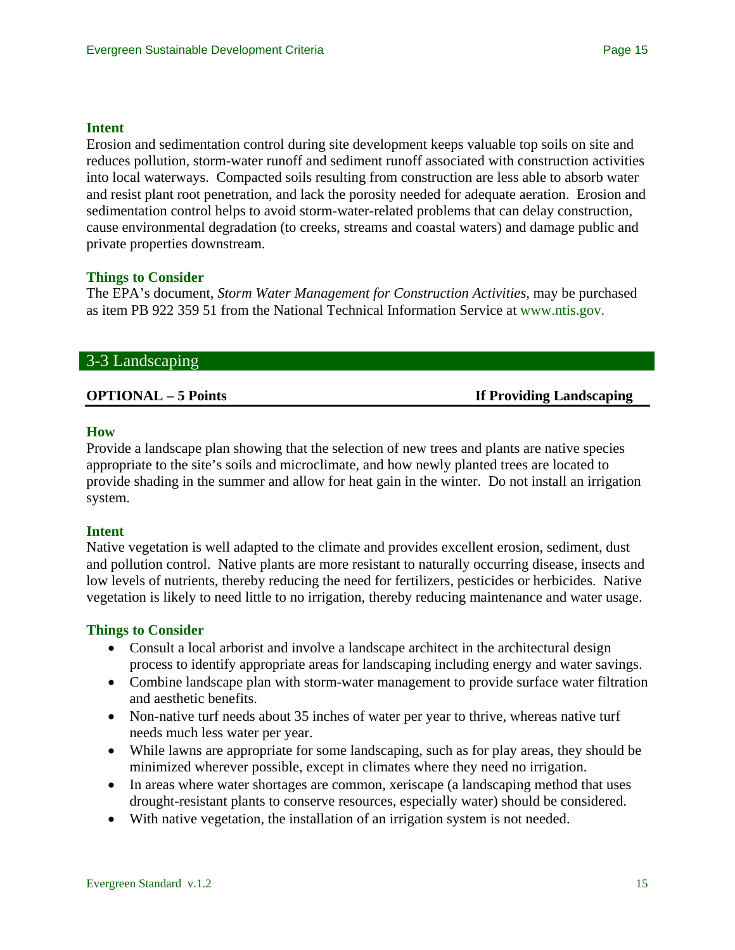#### **Intent**

Erosion and sedimentation control during site development keeps valuable top soils on site and reduces pollution, storm-water runoff and sediment runoff associated with construction activities into local waterways. Compacted soils resulting from construction are less able to absorb water and resist plant root penetration, and lack the porosity needed for adequate aeration. Erosion and sedimentation control helps to avoid storm-water-related problems that can delay construction, cause environmental degradation (to creeks, streams and coastal waters) and damage public and private properties downstream.

### **Things to Consider**

The EPA's document, *Storm Water Management for Construction Activities*, may be purchased as item PB 922 359 51 from the National Technical Information Service at [www.ntis.gov.](http://www.ntis.gov/)

#### 3-3 Landscaping

**OPTIONAL – 5 Points If Providing Landscaping** 

#### **How**

Provide a landscape plan showing that the selection of new trees and plants are native species appropriate to the site's soils and microclimate, and how newly planted trees are located to provide shading in the summer and allow for heat gain in the winter. Do not install an irrigation system.

#### **Intent**

Native vegetation is well adapted to the climate and provides excellent erosion, sediment, dust and pollution control. Native plants are more resistant to naturally occurring disease, insects and low levels of nutrients, thereby reducing the need for fertilizers, pesticides or herbicides. Native vegetation is likely to need little to no irrigation, thereby reducing maintenance and water usage.

#### **Things to Consider**

- Consult a local arborist and involve a landscape architect in the architectural design process to identify appropriate areas for landscaping including energy and water savings.
- Combine landscape plan with storm-water management to provide surface water filtration and aesthetic benefits.
- Non-native turf needs about 35 inches of water per year to thrive, whereas native turf needs much less water per year.
- While lawns are appropriate for some landscaping, such as for play areas, they should be minimized wherever possible, except in climates where they need no irrigation.
- In areas where water shortages are common, xeriscape (a landscaping method that uses drought-resistant plants to conserve resources, especially water) should be considered.
- With native vegetation, the installation of an irrigation system is not needed.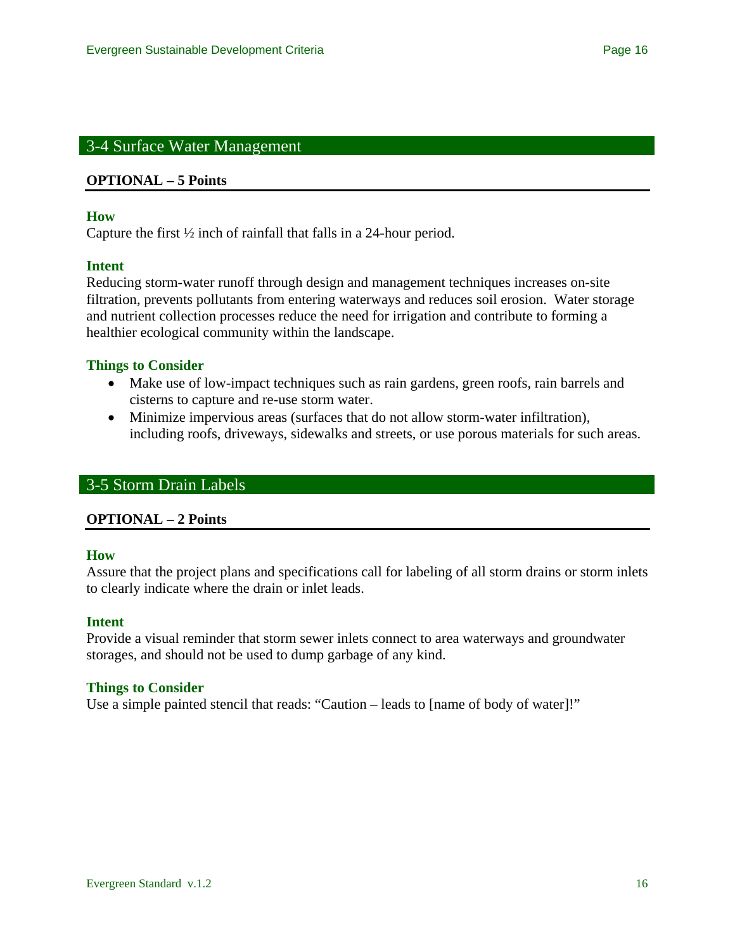# 3-4 Surface Water Management

#### **OPTIONAL – 5 Points**

#### **How**

Capture the first ½ inch of rainfall that falls in a 24-hour period.

#### **Intent**

Reducing storm-water runoff through design and management techniques increases on-site filtration, prevents pollutants from entering waterways and reduces soil erosion. Water storage and nutrient collection processes reduce the need for irrigation and contribute to forming a healthier ecological community within the landscape.

### **Things to Consider**

- Make use of low-impact techniques such as rain gardens, green roofs, rain barrels and cisterns to capture and re-use storm water.
- Minimize impervious areas (surfaces that do not allow storm-water infiltration), including roofs, driveways, sidewalks and streets, or use porous materials for such areas.

# 3-5 Storm Drain Labels

### **OPTIONAL – 2 Points**

#### **How**

Assure that the project plans and specifications call for labeling of all storm drains or storm inlets to clearly indicate where the drain or inlet leads.

#### **Intent**

Provide a visual reminder that storm sewer inlets connect to area waterways and groundwater storages, and should not be used to dump garbage of any kind.

#### **Things to Consider**

Use a simple painted stencil that reads: "Caution – leads to [name of body of water]!"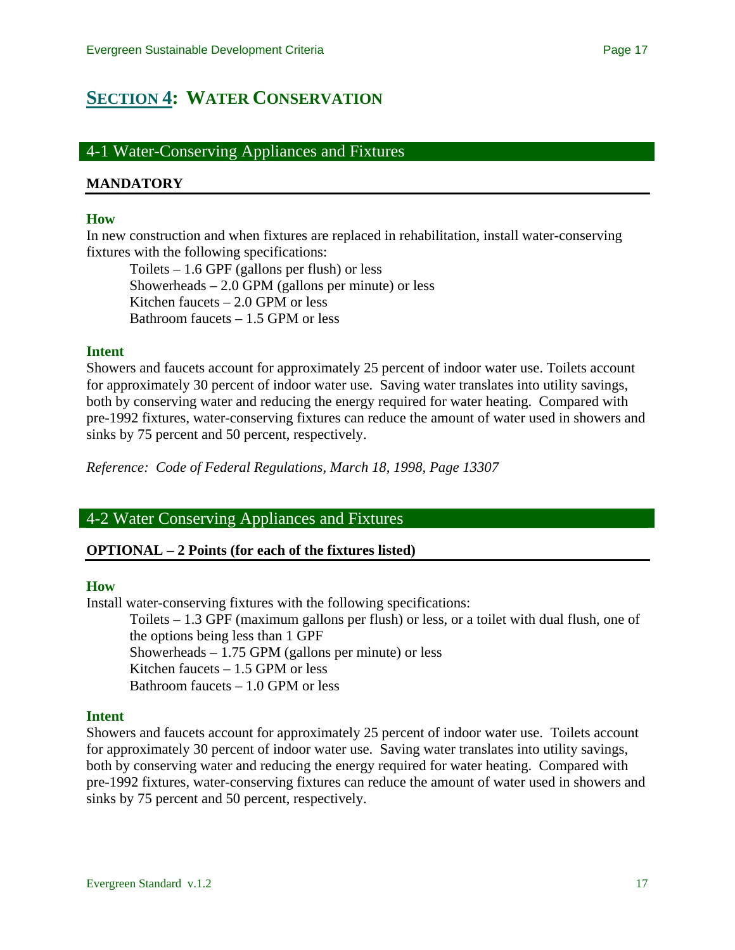# <span id="page-16-0"></span>**[SECTION 4](#page-0-0): WATER CONSERVATION**

# 4-1 Water-Conserving Appliances and Fixtures

#### **MANDATORY**

#### **How**

In new construction and when fixtures are replaced in rehabilitation, install water-conserving fixtures with the following specifications:

Toilets – 1.6 GPF (gallons per flush) or less Showerheads  $-2.0$  GPM (gallons per minute) or less Kitchen faucets – 2.0 GPM or less Bathroom faucets – 1.5 GPM or less

#### **Intent**

Showers and faucets account for approximately 25 percent of indoor water use. Toilets account for approximately 30 percent of indoor water use. Saving water translates into utility savings, both by conserving water and reducing the energy required for water heating. Compared with pre-1992 fixtures, water-conserving fixtures can reduce the amount of water used in showers and sinks by 75 percent and 50 percent, respectively.

*Reference: Code of Federal Regulations, March 18, 1998, Page 13307*

# 4-2 Water Conserving Appliances and Fixtures

### **OPTIONAL – 2 Points (for each of the fixtures listed)**

#### **How**

Install water-conserving fixtures with the following specifications:

Toilets – 1.3 GPF (maximum gallons per flush) or less, or a toilet with dual flush, one of the options being less than 1 GPF Showerheads – 1.75 GPM (gallons per minute) or less Kitchen faucets – 1.5 GPM or less Bathroom faucets – 1.0 GPM or less

### **Intent**

Showers and faucets account for approximately 25 percent of indoor water use. Toilets account for approximately 30 percent of indoor water use. Saving water translates into utility savings, both by conserving water and reducing the energy required for water heating. Compared with pre-1992 fixtures, water-conserving fixtures can reduce the amount of water used in showers and sinks by 75 percent and 50 percent, respectively.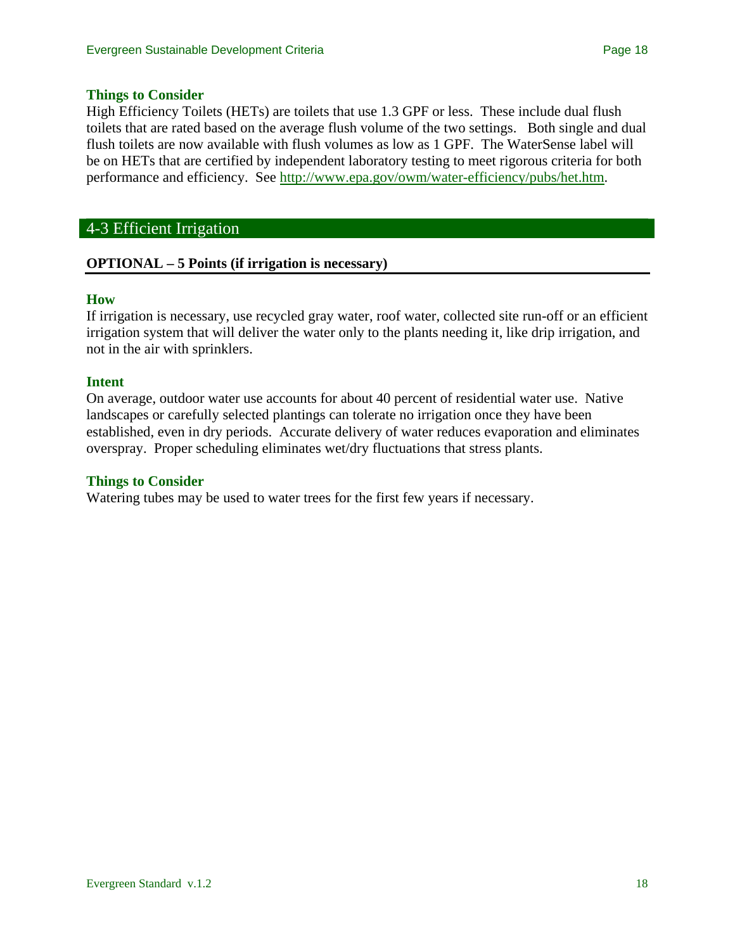#### **Things to Consider**

High Efficiency Toilets (HETs) are toilets that use 1.3 GPF or less. These include dual flush toilets that are rated based on the average flush volume of the two settings. Both single and dual flush toilets are now available with flush volumes as low as 1 GPF. The WaterSense label will be on HETs that are certified by independent laboratory testing to meet rigorous criteria for both performance and efficiency. See [http://www.epa.gov/owm/water-efficiency/pubs/het.htm.](http://www.epa.gov/owm/water-efficiency/pubs/het.htm)

## 4-3 Efficient Irrigation

### **OPTIONAL – 5 Points (if irrigation is necessary)**

#### **How**

If irrigation is necessary, use recycled gray water, roof water, collected site run-off or an efficient irrigation system that will deliver the water only to the plants needing it, like drip irrigation, and not in the air with sprinklers.

#### **Intent**

On average, outdoor water use accounts for about 40 percent of residential water use. Native landscapes or carefully selected plantings can tolerate no irrigation once they have been established, even in dry periods. Accurate delivery of water reduces evaporation and eliminates overspray. Proper scheduling eliminates wet/dry fluctuations that stress plants.

#### **Things to Consider**

Watering tubes may be used to water trees for the first few years if necessary.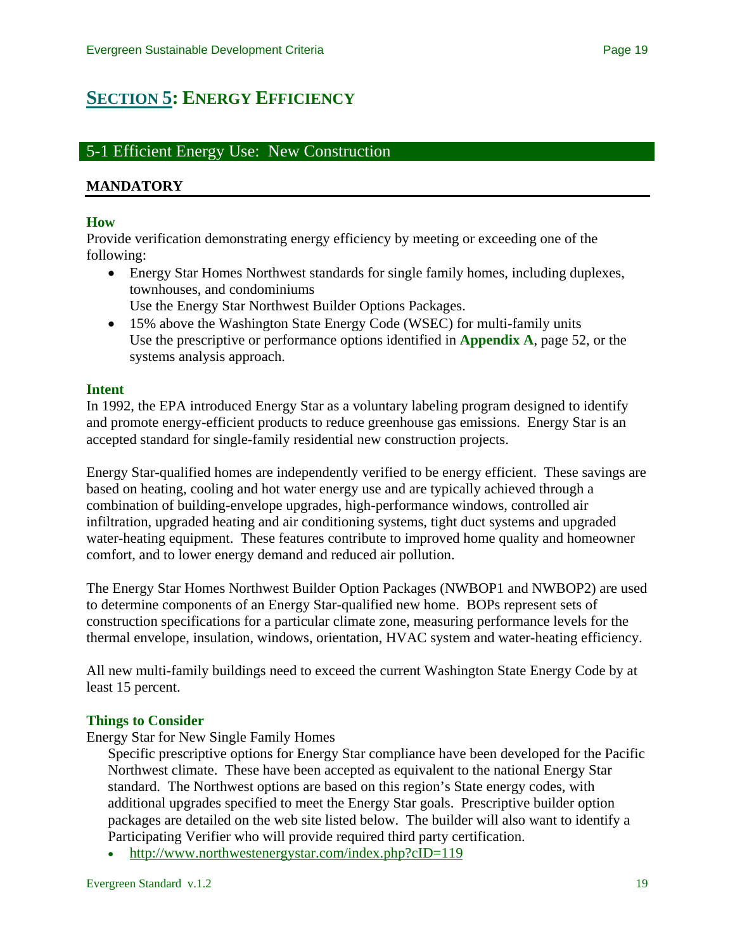# <span id="page-18-0"></span>**[SECTION 5](#page-0-0): ENERGY EFFICIENCY**

# 5-1 Efficient Energy Use: New Construction

## **MANDATORY**

#### **How**

Provide verification demonstrating energy efficiency by meeting or exceeding one of the following:

- Energy Star Homes Northwest standards for single family homes, including duplexes, townhouses, and condominiums Use the Energy Star Northwest Builder Options Packages.
- 15% above the Washington State Energy Code (WSEC) for multi-family units Use the prescriptive or performance options identified in **Appendix A**, page 52, or the systems analysis approach.

#### **Intent**

In 1992, the EPA introduced Energy Star as a voluntary labeling program designed to identify and promote energy-efficient products to reduce greenhouse gas emissions. Energy Star is an accepted standard for single-family residential new construction projects.

Energy Star-qualified homes are independently verified to be energy efficient. These savings are based on heating, cooling and hot water energy use and are typically achieved through a combination of building-envelope upgrades, high-performance windows, controlled air infiltration, upgraded heating and air conditioning systems, tight duct systems and upgraded water-heating equipment. These features contribute to improved home quality and homeowner comfort, and to lower energy demand and reduced air pollution.

The Energy Star Homes Northwest Builder Option Packages (NWBOP1 and NWBOP2) are used to determine components of an Energy Star-qualified new home. BOPs represent sets of construction specifications for a particular climate zone, measuring performance levels for the thermal envelope, insulation, windows, orientation, HVAC system and water-heating efficiency.

All new multi-family buildings need to exceed the current Washington State Energy Code by at least 15 percent.

### **Things to Consider**

Energy Star for New Single Family Homes

Specific prescriptive options for Energy Star compliance have been developed for the Pacific Northwest climate. These have been accepted as equivalent to the national Energy Star standard. The Northwest options are based on this region's State energy codes, with additional upgrades specified to meet the Energy Star goals. Prescriptive builder option packages are detailed on the web site listed below. The builder will also want to identify a Participating Verifier who will provide required third party certification.

• [http://www.northwestenergystar.com/index.php?cID=119](http://www.northwestenergystar.com/index.php?cID=110)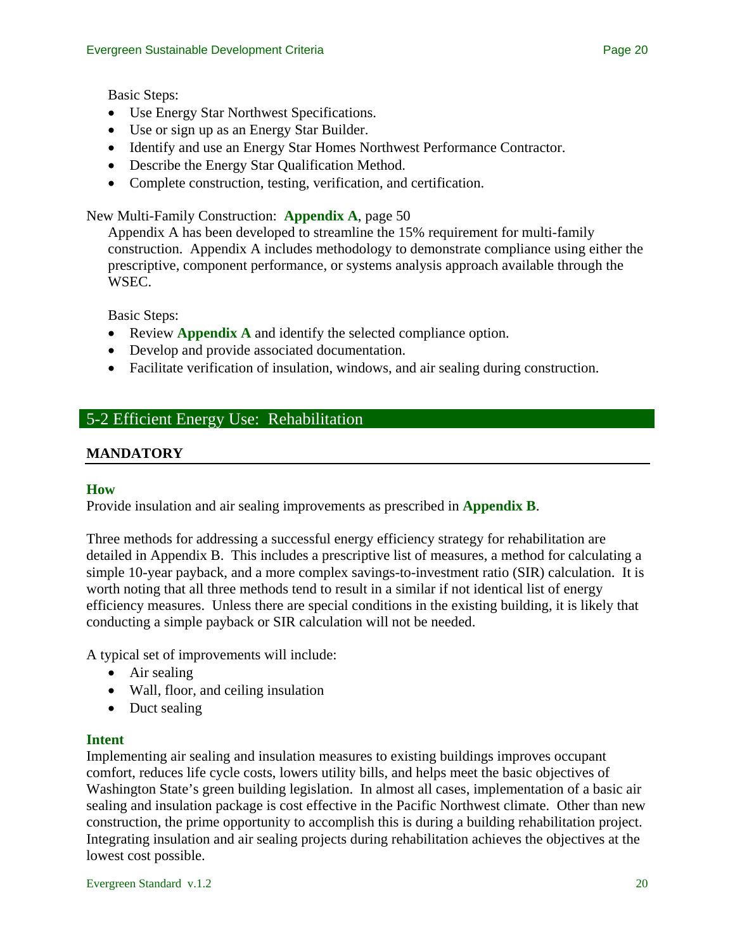- Use Energy Star Northwest Specifications.
- Use or sign up as an Energy Star Builder.
- Identify and use an Energy Star Homes Northwest Performance Contractor.
- Describe the Energy Star Qualification Method.
- Complete construction, testing, verification, and certification.

## New Multi-Family Construction: **Appendix A**, page 50

Appendix A has been developed to streamline the 15% requirement for multi-family construction. Appendix A includes methodology to demonstrate compliance using either the prescriptive, component performance, or systems analysis approach available through the WSEC.

Basic Steps:

- Review **Appendix A** and identify the selected compliance option.
- Develop and provide associated documentation.
- Facilitate verification of insulation, windows, and air sealing during construction.

# 5-2 Efficient Energy Use: Rehabilitation

### **MANDATORY**

#### **How**

Provide insulation and air sealing improvements as prescribed in **Appendix B**.

Three methods for addressing a successful energy efficiency strategy for rehabilitation are detailed in Appendix B. This includes a prescriptive list of measures, a method for calculating a simple 10-year payback, and a more complex savings-to-investment ratio (SIR) calculation. It is worth noting that all three methods tend to result in a similar if not identical list of energy efficiency measures. Unless there are special conditions in the existing building, it is likely that conducting a simple payback or SIR calculation will not be needed.

A typical set of improvements will include:

- Air sealing
- Wall, floor, and ceiling insulation
- Duct sealing

#### **Intent**

Implementing air sealing and insulation measures to existing buildings improves occupant comfort, reduces life cycle costs, lowers utility bills, and helps meet the basic objectives of Washington State's green building legislation. In almost all cases, implementation of a basic air sealing and insulation package is cost effective in the Pacific Northwest climate. Other than new construction, the prime opportunity to accomplish this is during a building rehabilitation project. Integrating insulation and air sealing projects during rehabilitation achieves the objectives at the lowest cost possible.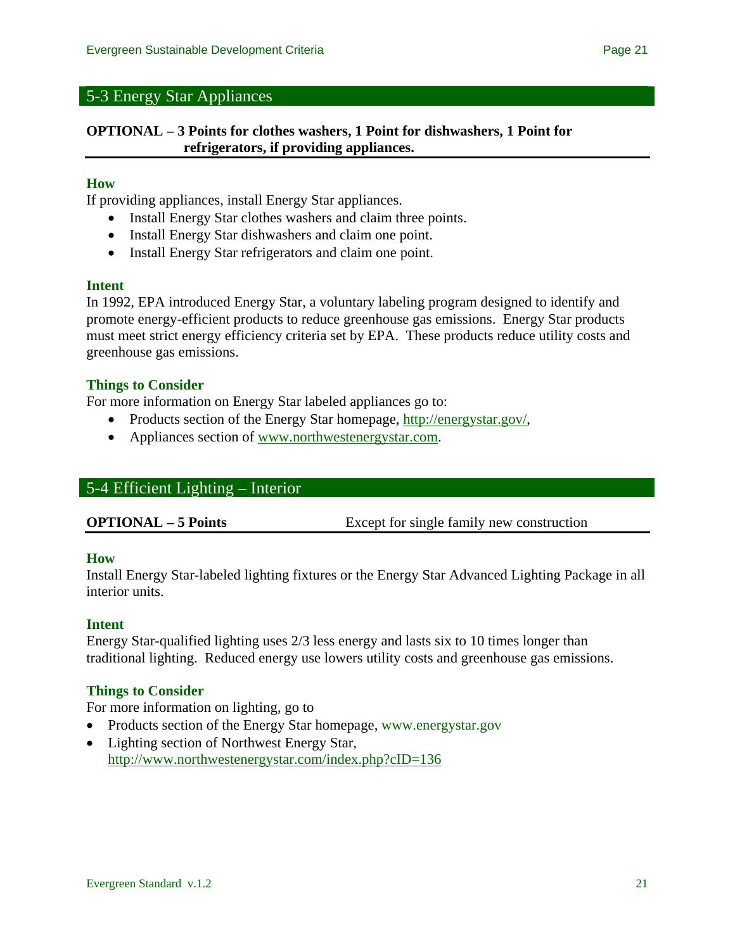# 5-3 Energy Star Appliances

### **OPTIONAL – 3 Points for clothes washers, 1 Point for dishwashers, 1 Point for refrigerators, if providing appliances.**

#### **How**

If providing appliances, install Energy Star appliances.

- Install Energy Star clothes washers and claim three points.
- Install Energy Star dishwashers and claim one point.
- Install Energy Star refrigerators and claim one point.

#### **Intent**

In 1992, EPA introduced Energy Star, a voluntary labeling program designed to identify and promote energy-efficient products to reduce greenhouse gas emissions. Energy Star products must meet strict energy efficiency criteria set by EPA. These products reduce utility costs and greenhouse gas emissions.

#### **Things to Consider**

For more information on Energy Star labeled appliances go to:

- Products section of the Energy Star homepage, [http://energystar.gov/,](http://energystar.gov/)
- Appliances section of [www.northwestenergystar.com.](http://www.northwestenergystar.com/)

### 5-4 Efficient Lighting – Interior

**OPTIONAL – 5 Points** Except for single family new construction

#### **How**

Install Energy Star-labeled lighting fixtures or the Energy Star Advanced Lighting Package in all interior units.

#### **Intent**

Energy Star-qualified lighting uses 2/3 less energy and lasts six to 10 times longer than traditional lighting. Reduced energy use lowers utility costs and greenhouse gas emissions.

#### **Things to Consider**

For more information on lighting, go to

- Products section of the Energy Star homepage, www.energystar.gov
- Lighting section of Northwest Energy Star, <http://www.northwestenergystar.com/index.php?cID=136>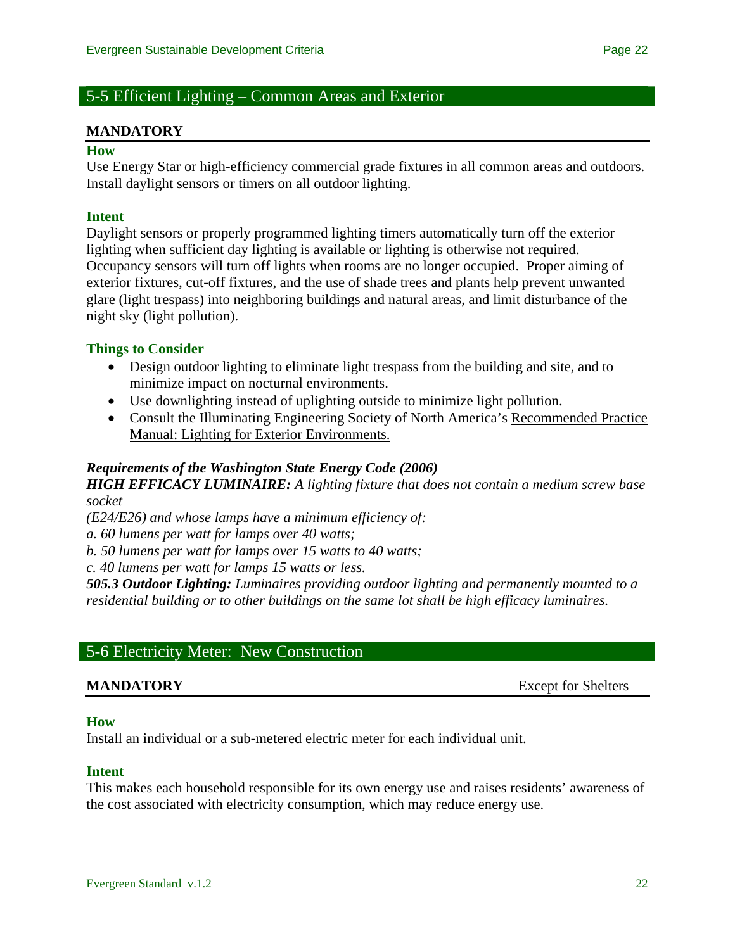# 5-5 Efficient Lighting – Common Areas and Exterior

#### **MANDATORY**

#### **How**

Use Energy Star or high-efficiency commercial grade fixtures in all common areas and outdoors. Install daylight sensors or timers on all outdoor lighting.

#### **Intent**

Daylight sensors or properly programmed lighting timers automatically turn off the exterior lighting when sufficient day lighting is available or lighting is otherwise not required. Occupancy sensors will turn off lights when rooms are no longer occupied. Proper aiming of exterior fixtures, cut-off fixtures, and the use of shade trees and plants help prevent unwanted glare (light trespass) into neighboring buildings and natural areas, and limit disturbance of the night sky (light pollution).

#### **Things to Consider**

- Design outdoor lighting to eliminate light trespass from the building and site, and to minimize impact on nocturnal environments.
- Use downlighting instead of uplighting outside to minimize light pollution.
- Consult the Illuminating Engineering Society of North America's Recommended Practice Manual: Lighting for Exterior Environments.

#### *Requirements of the Washington State Energy Code (2006)*

*HIGH EFFICACY LUMINAIRE: A lighting fixture that does not contain a medium screw base socket* 

*(E24/E26) and whose lamps have a minimum efficiency of:* 

*a. 60 lumens per watt for lamps over 40 watts;* 

*b. 50 lumens per watt for lamps over 15 watts to 40 watts;* 

*c. 40 lumens per watt for lamps 15 watts or less.*

*505.3 Outdoor Lighting: Luminaires providing outdoor lighting and permanently mounted to a residential building or to other buildings on the same lot shall be high efficacy luminaires.*

# 5-6 Electricity Meter: New Construction

**MANDATORY** Except for Shelters

#### **How**

Install an individual or a sub-metered electric meter for each individual unit.

#### **Intent**

This makes each household responsible for its own energy use and raises residents' awareness of the cost associated with electricity consumption, which may reduce energy use.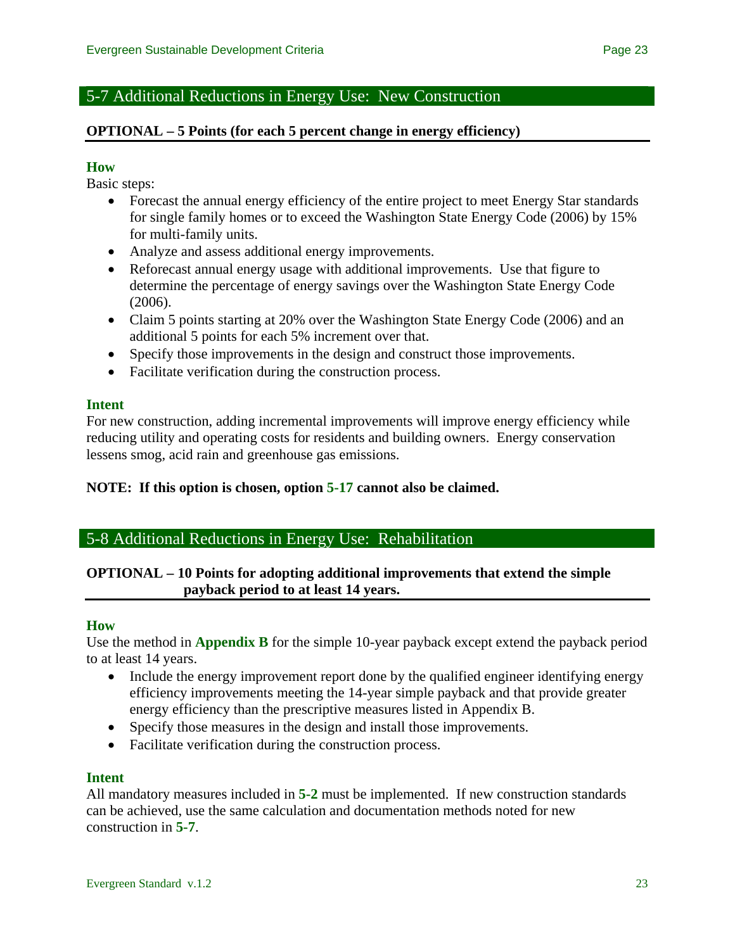# 5-7 Additional Reductions in Energy Use: New Construction

## **OPTIONAL – 5 Points (for each 5 percent change in energy efficiency)**

### **How**

Basic steps:

- Forecast the annual energy efficiency of the entire project to meet Energy Star standards for single family homes or to exceed the Washington State Energy Code (2006) by 15% for multi-family units.
- Analyze and assess additional energy improvements.
- Reforecast annual energy usage with additional improvements. Use that figure to determine the percentage of energy savings over the Washington State Energy Code (2006).
- Claim 5 points starting at 20% over the Washington State Energy Code (2006) and an additional 5 points for each 5% increment over that.
- Specify those improvements in the design and construct those improvements.
- Facilitate verification during the construction process.

### **Intent**

For new construction, adding incremental improvements will improve energy efficiency while reducing utility and operating costs for residents and building owners. Energy conservation lessens smog, acid rain and greenhouse gas emissions.

### **NOTE: If this option is chosen, option 5-17 cannot also be claimed.**

# 5-8 Additional Reductions in Energy Use: Rehabilitation

# **OPTIONAL – 10 Points for adopting additional improvements that extend the simple payback period to at least 14 years.**

### **How**

Use the method in **Appendix B** for the simple 10-year payback except extend the payback period to at least 14 years.

- Include the energy improvement report done by the qualified engineer identifying energy efficiency improvements meeting the 14-year simple payback and that provide greater energy efficiency than the prescriptive measures listed in Appendix B.
- Specify those measures in the design and install those improvements.
- Facilitate verification during the construction process.

### **Intent**

All mandatory measures included in **5-2** must be implemented. If new construction standards can be achieved, use the same calculation and documentation methods noted for new construction in **5-7**.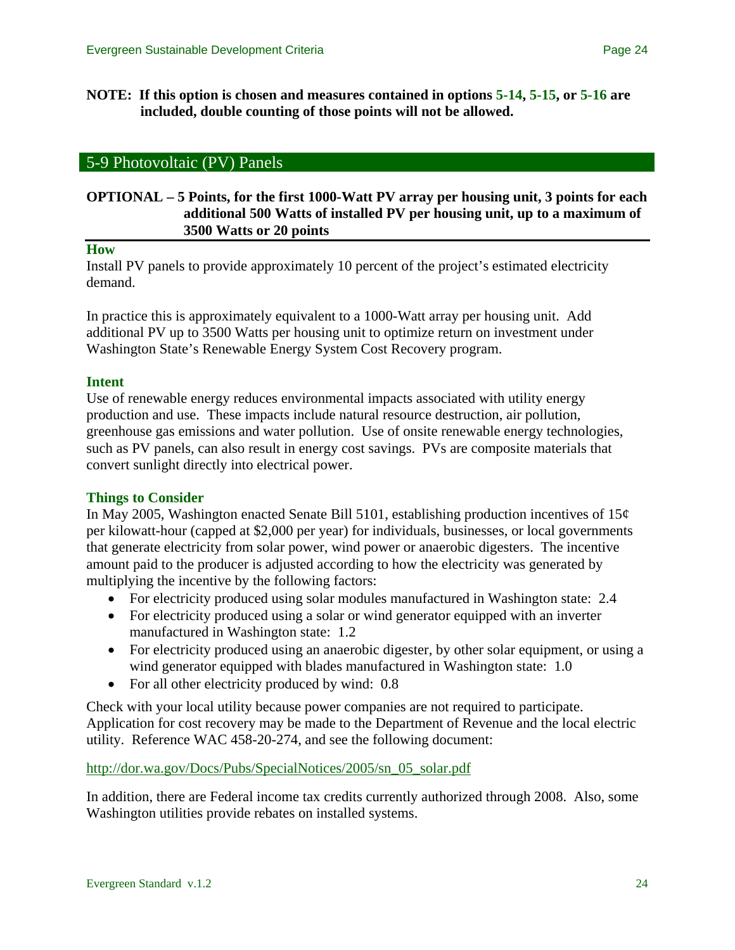**NOTE: If this option is chosen and measures contained in options 5-14, 5-15, or 5-16 are included, double counting of those points will not be allowed.** 

#### 5-9 Photovoltaic (PV) Panels

## **OPTIONAL – 5 Points, for the first 1000-Watt PV array per housing unit, 3 points for each additional 500 Watts of installed PV per housing unit, up to a maximum of 3500 Watts or 20 points**

#### **How**

Install PV panels to provide approximately 10 percent of the project's estimated electricity demand.

In practice this is approximately equivalent to a 1000-Watt array per housing unit. Add additional PV up to 3500 Watts per housing unit to optimize return on investment under Washington State's Renewable Energy System Cost Recovery program.

#### **Intent**

Use of renewable energy reduces environmental impacts associated with utility energy production and use. These impacts include natural resource destruction, air pollution, greenhouse gas emissions and water pollution. Use of onsite renewable energy technologies, such as PV panels, can also result in energy cost savings. PVs are composite materials that convert sunlight directly into electrical power.

#### **Things to Consider**

In May 2005, Washington enacted Senate Bill 5101, establishing production incentives of  $15¢$ per kilowatt-hour (capped at \$2,000 per year) for individuals, businesses, or local governments that generate electricity from solar power, wind power or anaerobic digesters. The incentive amount paid to the producer is adjusted according to how the electricity was generated by multiplying the incentive by the following factors:

- For electricity produced using solar modules manufactured in Washington state: 2.4
- For electricity produced using a solar or wind generator equipped with an inverter manufactured in Washington state: 1.2
- For electricity produced using an anaerobic digester, by other solar equipment, or using a wind generator equipped with blades manufactured in Washington state: 1.0
- For all other electricity produced by wind: 0.8

Check with your local utility because power companies are not required to participate. Application for cost recovery may be made to the Department of Revenue and the local electric utility. Reference WAC 458-20-274, and see the following document:

[http://dor.wa.gov/Docs/Pubs/SpecialNotices/2005/sn\\_05\\_solar.pdf](http://dor.wa.gov/Docs/Pubs/SpecialNotices/2005/sn_05_solar.pdf)

In addition, there are Federal income tax credits currently authorized through 2008. Also, some Washington utilities provide rebates on installed systems.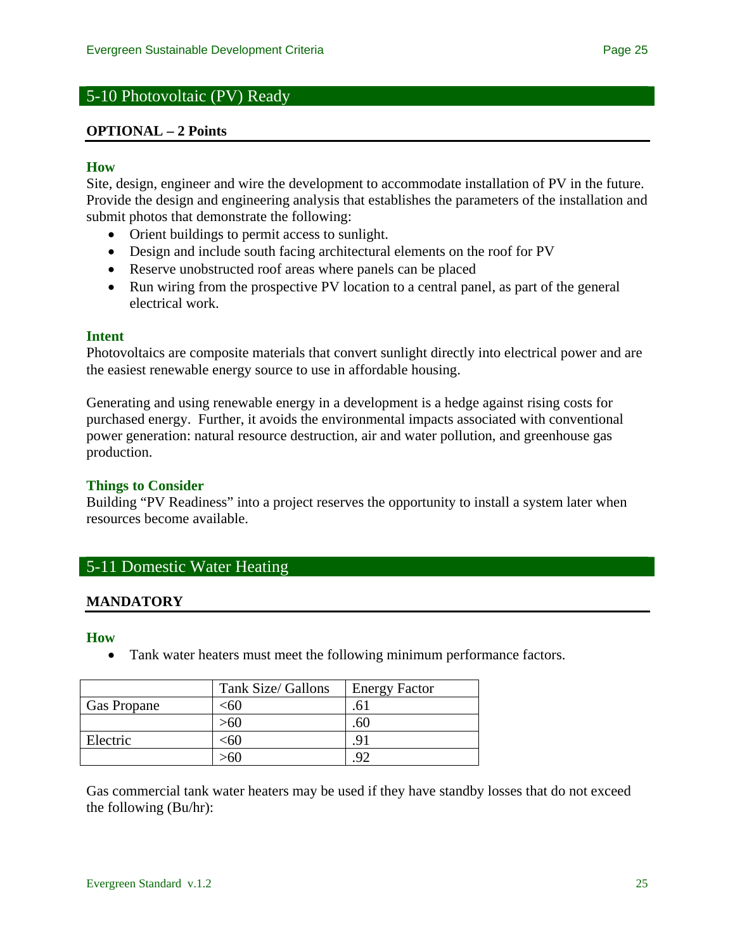# 5-10 Photovoltaic (PV) Ready

#### **OPTIONAL – 2 Points**

#### **How**

Site, design, engineer and wire the development to accommodate installation of PV in the future. Provide the design and engineering analysis that establishes the parameters of the installation and submit photos that demonstrate the following:

- Orient buildings to permit access to sunlight.
- Design and include south facing architectural elements on the roof for PV
- Reserve unobstructed roof areas where panels can be placed
- Run wiring from the prospective PV location to a central panel, as part of the general electrical work.

#### **Intent**

Photovoltaics are composite materials that convert sunlight directly into electrical power and are the easiest renewable energy source to use in affordable housing.

Generating and using renewable energy in a development is a hedge against rising costs for purchased energy. Further, it avoids the environmental impacts associated with conventional power generation: natural resource destruction, air and water pollution, and greenhouse gas production.

### **Things to Consider**

Building "PV Readiness" into a project reserves the opportunity to install a system later when resources become available.

# 5-11 Domestic Water Heating

#### **MANDATORY**

**How** 

• Tank water heaters must meet the following minimum performance factors.

|                    | Tank Size/ Gallons | <b>Energy Factor</b> |
|--------------------|--------------------|----------------------|
| <b>Gas Propane</b> | <60                | .0.                  |
|                    |                    | .ou                  |
| Electric           | ะ60                | 9                    |
|                    |                    |                      |

Gas commercial tank water heaters may be used if they have standby losses that do not exceed the following (Bu/hr):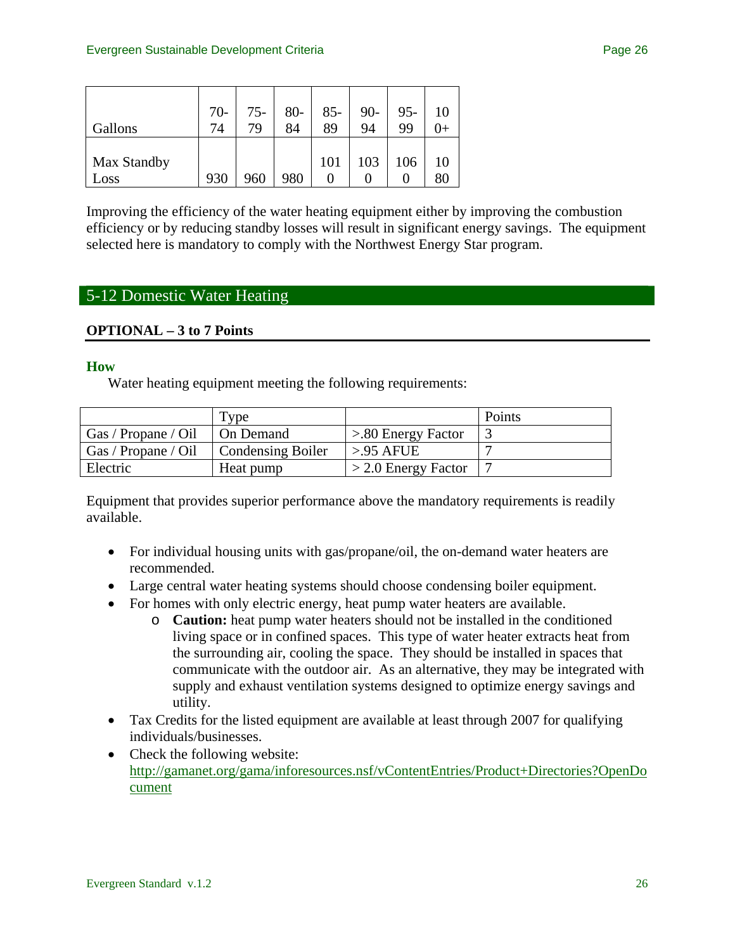| Gallons             | $70-$<br>74 | $75-$<br>79 | $80-$<br>84 | $85 -$<br>89 | $90 -$<br>94 | $95 -$<br>99 | 10 |
|---------------------|-------------|-------------|-------------|--------------|--------------|--------------|----|
| Max Standby<br>Loss | 930         | 960         | 980         | 101          | 103          | 106          | 10 |

Improving the efficiency of the water heating equipment either by improving the combustion efficiency or by reducing standby losses will result in significant energy savings. The equipment selected here is mandatory to comply with the Northwest Energy Star program.

# 5-12 Domestic Water Heating

# **OPTIONAL – 3 to 7 Points**

#### **How**

Water heating equipment meeting the following requirements:

|                     | Type                     |                       | Points |
|---------------------|--------------------------|-----------------------|--------|
| Gas / Propane / Oil | On Demand                | $> 80$ Energy Factor  |        |
| Gas / Propane / Oil | <b>Condensing Boiler</b> | $>95$ AFUE            |        |
| Electric            | Heat pump                | $>$ 2.0 Energy Factor |        |

Equipment that provides superior performance above the mandatory requirements is readily available.

- For individual housing units with gas/propane/oil, the on-demand water heaters are recommended.
- Large central water heating systems should choose condensing boiler equipment.
- For homes with only electric energy, heat pump water heaters are available.
	- o **Caution:** heat pump water heaters should not be installed in the conditioned living space or in confined spaces. This type of water heater extracts heat from the surrounding air, cooling the space. They should be installed in spaces that communicate with the outdoor air. As an alternative, they may be integrated with supply and exhaust ventilation systems designed to optimize energy savings and utility.
- Tax Credits for the listed equipment are available at least through 2007 for qualifying individuals/businesses.
- Check the following website: [http://gamanet.org/gama/inforesources.nsf/vContentEntries/Product+Directories?OpenDo](http://gamanet.org/gama/inforesources.nsf/vContentEntries/Product+Directories?OpenDocument) [cument](http://gamanet.org/gama/inforesources.nsf/vContentEntries/Product+Directories?OpenDocument)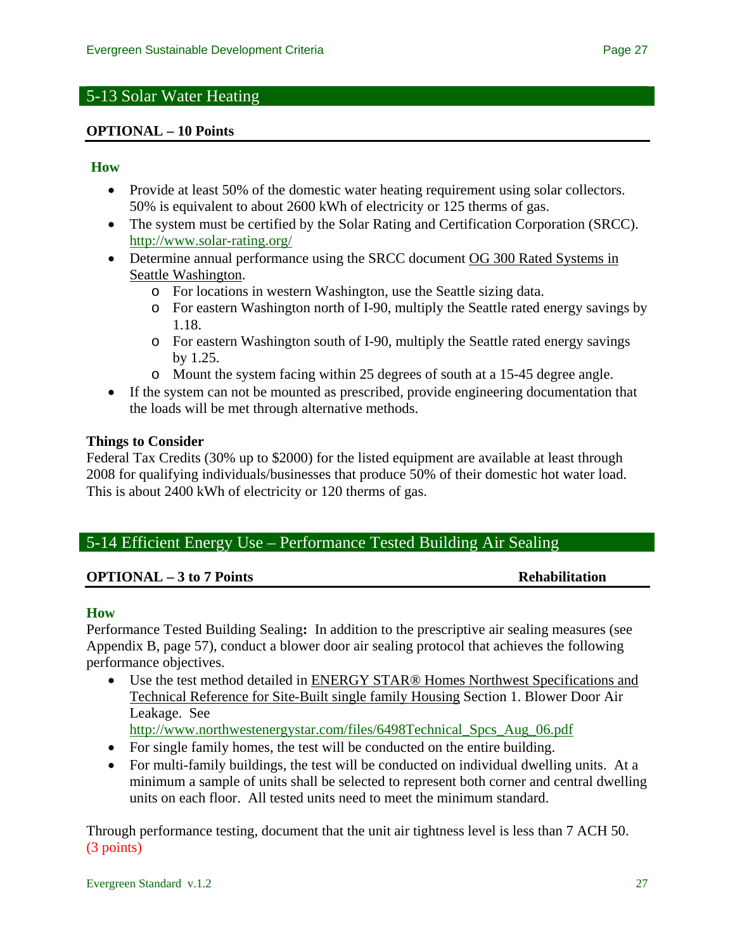# 5-13 Solar Water Heating

### **OPTIONAL – 10 Points**

### **How**

- Provide at least 50% of the domestic water heating requirement using solar collectors. 50% is equivalent to about 2600 kWh of electricity or 125 therms of gas.
- The system must be certified by the Solar Rating and Certification Corporation (SRCC). <http://www.solar-rating.org/>
- Determine annual performance using the SRCC document OG 300 Rated Systems in Seattle Washington.
	- o For locations in western Washington, use the Seattle sizing data.
	- o For eastern Washington north of I-90, multiply the Seattle rated energy savings by 1.18.
	- o For eastern Washington south of I-90, multiply the Seattle rated energy savings by 1.25.
	- o Mount the system facing within 25 degrees of south at a 15-45 degree angle.
- If the system can not be mounted as prescribed, provide engineering documentation that the loads will be met through alternative methods.

### **Things to Consider**

Federal Tax Credits (30% up to \$2000) for the listed equipment are available at least through 2008 for qualifying individuals/businesses that produce 50% of their domestic hot water load. This is about 2400 kWh of electricity or 120 therms of gas.

# 5-14 Efficient Energy Use – Performance Tested Building Air Sealing

### **OPTIONAL – 3 to 7 Points** Rehabilitation

### **How**

Performance Tested Building Sealing**:** In addition to the prescriptive air sealing measures (see Appendix B, page 57), conduct a blower door air sealing protocol that achieves the following performance objectives.

• Use the test method detailed in ENERGY STAR® Homes Northwest Specifications and Technical Reference for Site-Built single family Housing Section 1. Blower Door Air Leakage. See

[http://www.northwestenergystar.com/files/6498Technical\\_Spcs\\_Aug\\_06.pdf](http://www.northwestenergystar.com/files/6498Technical_Spcs_Aug_06.pdf)

- For single family homes, the test will be conducted on the entire building.
- For multi-family buildings, the test will be conducted on individual dwelling units. At a minimum a sample of units shall be selected to represent both corner and central dwelling units on each floor. All tested units need to meet the minimum standard.

Through performance testing, document that the unit air tightness level is less than 7 ACH 50. (3 points)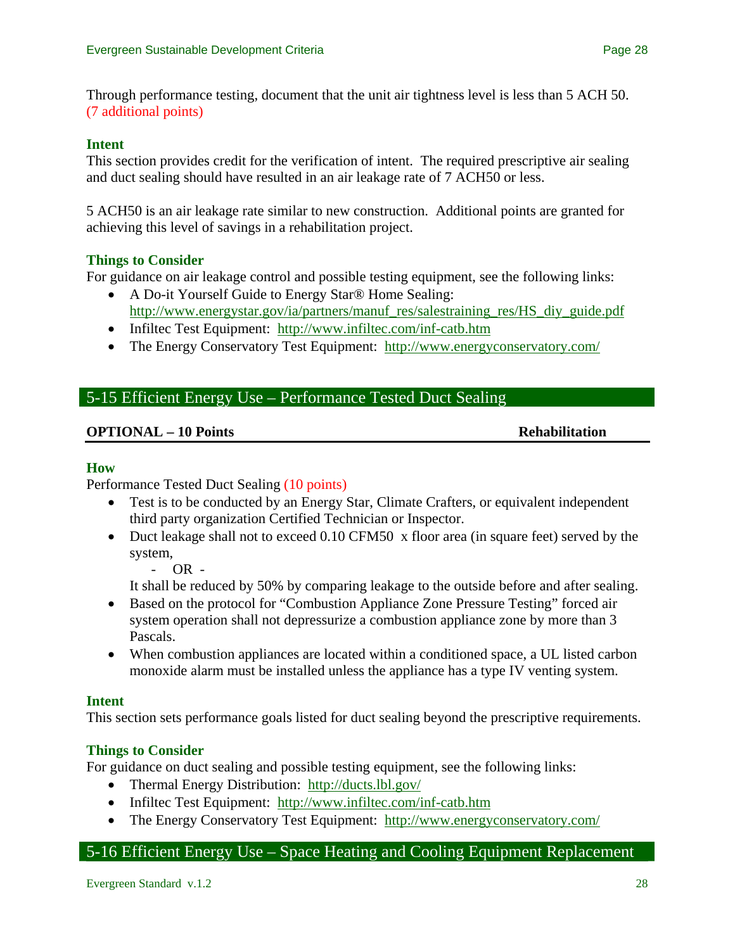Through performance testing, document that the unit air tightness level is less than 5 ACH 50. (7 additional points)

## **Intent**

This section provides credit for the verification of intent. The required prescriptive air sealing and duct sealing should have resulted in an air leakage rate of 7 ACH50 or less.

5 ACH50 is an air leakage rate similar to new construction. Additional points are granted for achieving this level of savings in a rehabilitation project.

# **Things to Consider**

For guidance on air leakage control and possible testing equipment, see the following links:

- A Do-it Yourself Guide to Energy Star® Home Sealing: [http://www.energystar.gov/ia/partners/manuf\\_res/salestraining\\_res/HS\\_diy\\_guide.pdf](http://www.energystar.gov/ia/partners/manuf_res/salestraining_res/HS_diy_guide.pdf)
- Infiltec Test Equipment: http://www.infiltec.com/inf-catb.htm
- The Energy Conservatory Test Equipment: <http://www.energyconservatory.com/>

# 5-15 Efficient Energy Use – Performance Tested Duct Sealing

# **OPTIONAL – 10 Points Rehabilitation**

### **How**

Performance Tested Duct Sealing (10 points)

- Test is to be conducted by an Energy Star, Climate Crafters, or equivalent independent third party organization Certified Technician or Inspector.
- Duct leakage shall not to exceed 0.10 CFM50 x floor area (in square feet) served by the system,

- OR -

It shall be reduced by 50% by comparing leakage to the outside before and after sealing.

- Based on the protocol for "Combustion Appliance Zone Pressure Testing" forced air system operation shall not depressurize a combustion appliance zone by more than 3 Pascals.
- When combustion appliances are located within a conditioned space, a UL listed carbon monoxide alarm must be installed unless the appliance has a type IV venting system.

### **Intent**

This section sets performance goals listed for duct sealing beyond the prescriptive requirements.

### **Things to Consider**

For guidance on duct sealing and possible testing equipment, see the following links:

- Thermal Energy Distribution: http://ducts.lbl.gov/
- Infiltec Test Equipment: http://www.infiltec.com/inf-catb.htm
- The Energy Conservatory Test Equipment: <http://www.energyconservatory.com/>

# 5-16 Efficient Energy Use – Space Heating and Cooling Equipment Replacement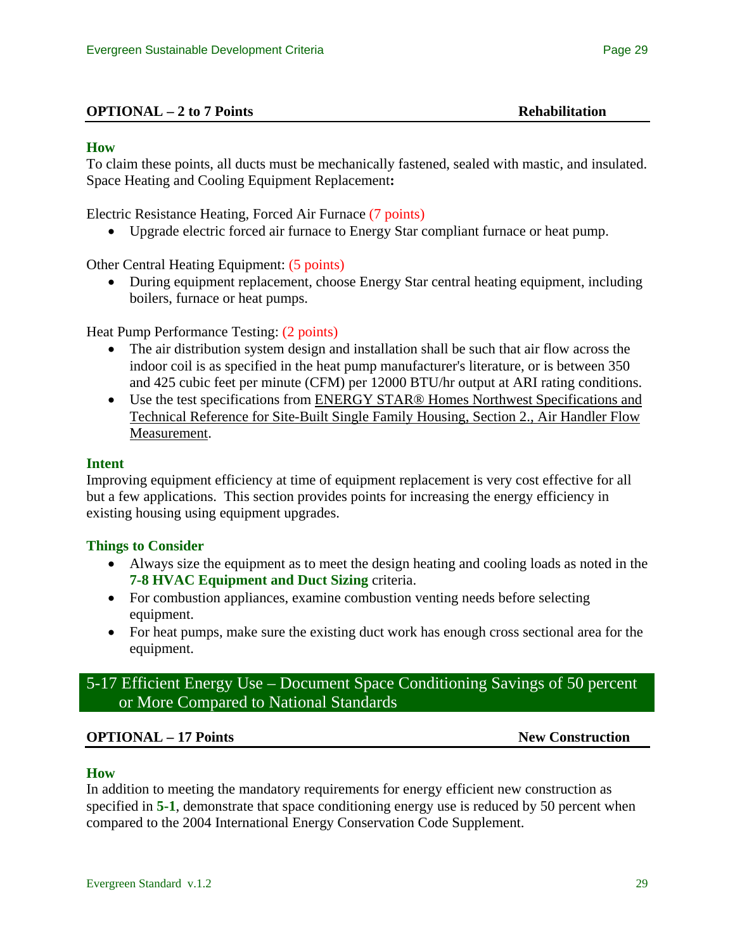## **How**

To claim these points, all ducts must be mechanically fastened, sealed with mastic, and insulated. Space Heating and Cooling Equipment Replacement**:** 

Electric Resistance Heating, Forced Air Furnace (7 points)

• Upgrade electric forced air furnace to Energy Star compliant furnace or heat pump.

Other Central Heating Equipment: (5 points)

• During equipment replacement, choose Energy Star central heating equipment, including boilers, furnace or heat pumps.

Heat Pump Performance Testing: (2 points)

- The air distribution system design and installation shall be such that air flow across the indoor coil is as specified in the heat pump manufacturer's literature, or is between 350 and 425 cubic feet per minute (CFM) per 12000 BTU/hr output at ARI rating conditions.
- Use the test specifications from ENERGY STAR® Homes Northwest Specifications and Technical Reference for Site-Built Single Family Housing, Section 2., Air Handler Flow Measurement.

### **Intent**

Improving equipment efficiency at time of equipment replacement is very cost effective for all but a few applications. This section provides points for increasing the energy efficiency in existing housing using equipment upgrades.

### **Things to Consider**

- Always size the equipment as to meet the design heating and cooling loads as noted in the **7-8 HVAC Equipment and Duct Sizing** criteria.
- For combustion appliances, examine combustion venting needs before selecting equipment.
- For heat pumps, make sure the existing duct work has enough cross sectional area for the equipment.

# 5-17 Efficient Energy Use – Document Space Conditioning Savings of 50 percent or More Compared to National Standards

### **OPTIONAL – 17 Points** New Construction

### **How**

In addition to meeting the mandatory requirements for energy efficient new construction as specified in **5-1**, demonstrate that space conditioning energy use is reduced by 50 percent when compared to the 2004 International Energy Conservation Code Supplement.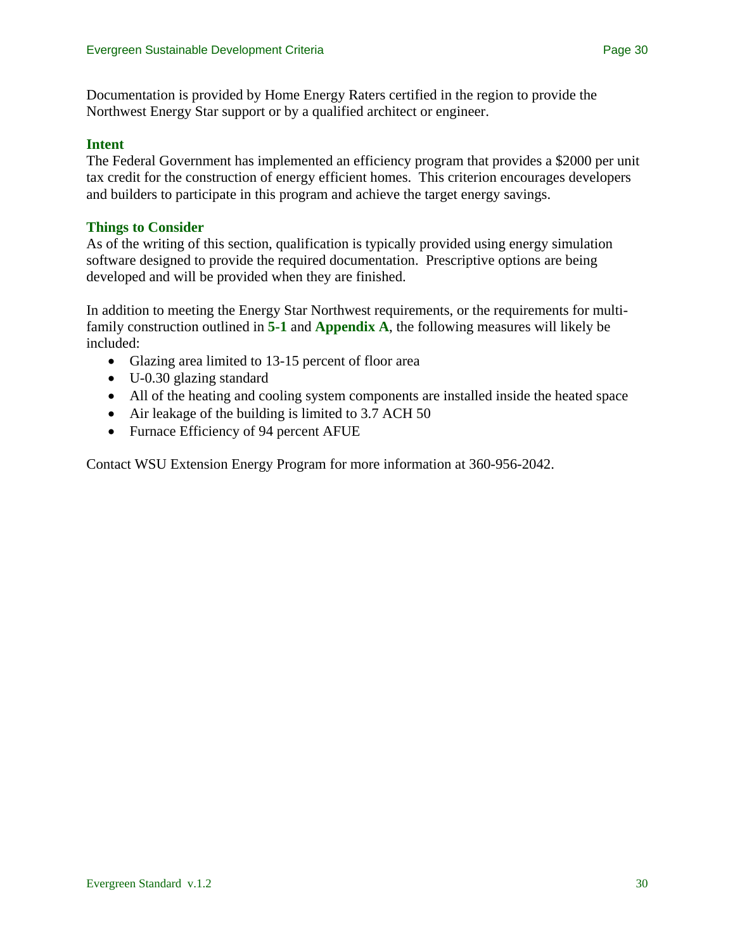Documentation is provided by Home Energy Raters certified in the region to provide the Northwest Energy Star support or by a qualified architect or engineer.

## **Intent**

The Federal Government has implemented an efficiency program that provides a \$2000 per unit tax credit for the construction of energy efficient homes. This criterion encourages developers and builders to participate in this program and achieve the target energy savings.

# **Things to Consider**

As of the writing of this section, qualification is typically provided using energy simulation software designed to provide the required documentation. Prescriptive options are being developed and will be provided when they are finished.

In addition to meeting the Energy Star Northwest requirements, or the requirements for multifamily construction outlined in **5-1** and **Appendix A**, the following measures will likely be included:

- Glazing area limited to 13-15 percent of floor area
- U-0.30 glazing standard
- All of the heating and cooling system components are installed inside the heated space
- Air leakage of the building is limited to 3.7 ACH 50
- Furnace Efficiency of 94 percent AFUE

Contact WSU Extension Energy Program for more information at 360-956-2042.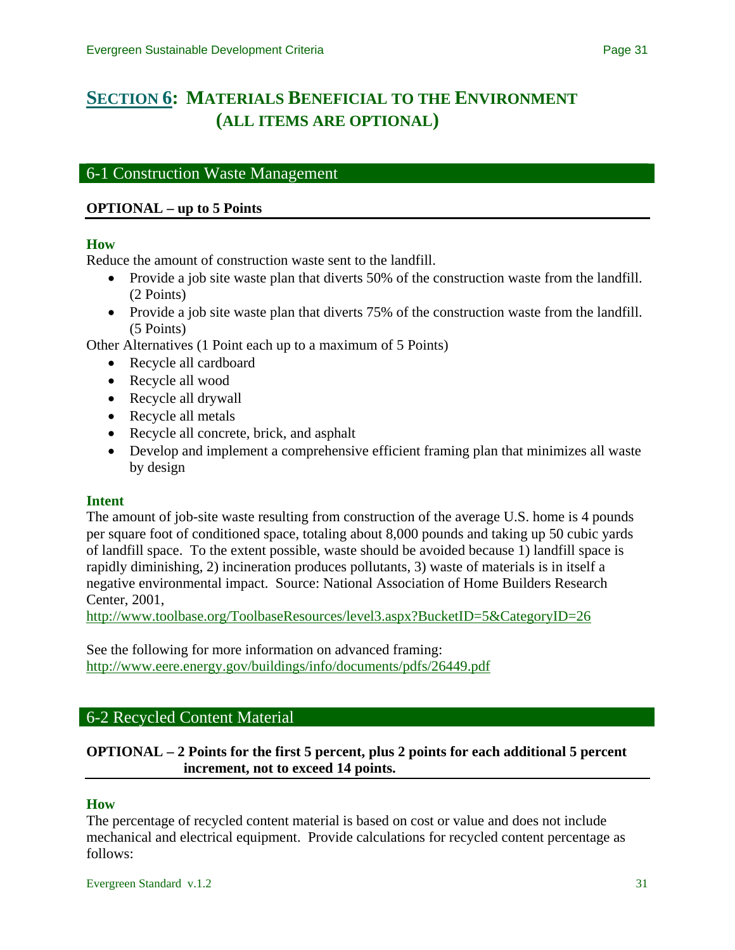# <span id="page-30-0"></span>**[SECTION 6](#page-0-0): MATERIALS BENEFICIAL TO THE ENVIRONMENT (ALL ITEMS ARE OPTIONAL)**

# 6-1 Construction Waste Management

## **OPTIONAL – up to 5 Points**

### **How**

Reduce the amount of construction waste sent to the landfill.

- Provide a job site waste plan that diverts 50% of the construction waste from the landfill. (2 Points)
- Provide a job site waste plan that diverts 75% of the construction waste from the landfill. (5 Points)

Other Alternatives (1 Point each up to a maximum of 5 Points)

- Recycle all cardboard
- Recycle all wood
- Recycle all drywall
- Recycle all metals
- Recycle all concrete, brick, and asphalt
- Develop and implement a comprehensive efficient framing plan that minimizes all waste by design

#### **Intent**

The amount of job-site waste resulting from construction of the average U.S. home is 4 pounds per square foot of conditioned space, totaling about 8,000 pounds and taking up 50 cubic yards of landfill space. To the extent possible, waste should be avoided because 1) landfill space is rapidly diminishing, 2) incineration produces pollutants, 3) waste of materials is in itself a negative environmental impact. Source: National Association of Home Builders Research Center, 2001,

<http://www.toolbase.org/ToolbaseResources/level3.aspx?BucketID=5&CategoryID=26>

See the following for more information on advanced framing: <http://www.eere.energy.gov/buildings/info/documents/pdfs/26449.pdf>

### 6-2 Recycled Content Material

## **OPTIONAL – 2 Points for the first 5 percent, plus 2 points for each additional 5 percent increment, not to exceed 14 points.**

#### **How**

The percentage of recycled content material is based on cost or value and does not include mechanical and electrical equipment. Provide calculations for recycled content percentage as follows: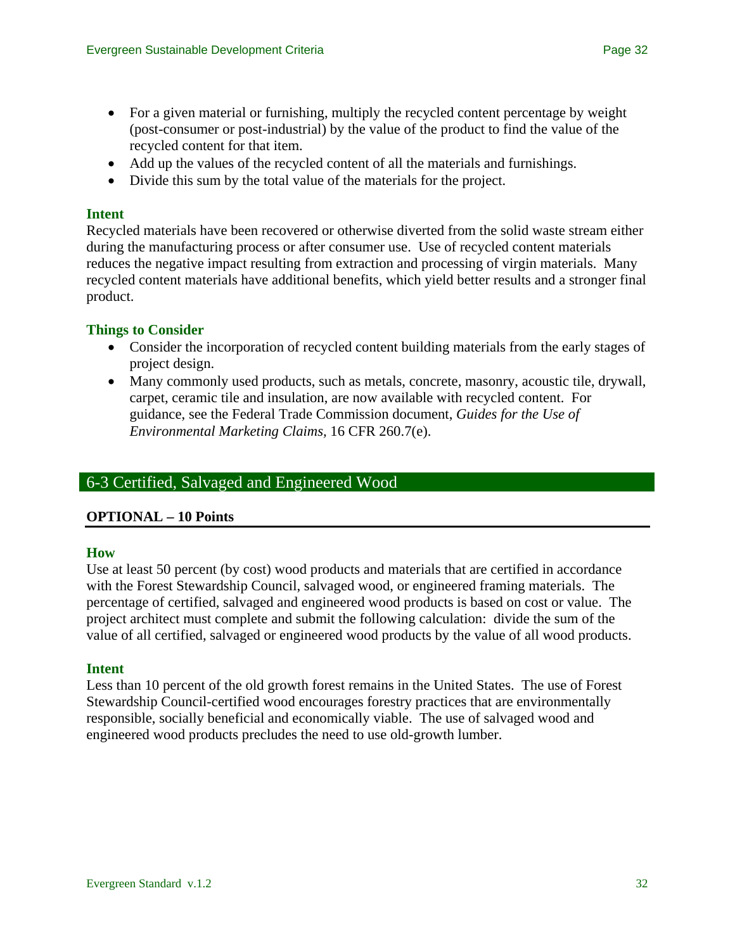- Add up the values of the recycled content of all the materials and furnishings.
- Divide this sum by the total value of the materials for the project.

## **Intent**

Recycled materials have been recovered or otherwise diverted from the solid waste stream either during the manufacturing process or after consumer use. Use of recycled content materials reduces the negative impact resulting from extraction and processing of virgin materials. Many recycled content materials have additional benefits, which yield better results and a stronger final product.

# **Things to Consider**

- Consider the incorporation of recycled content building materials from the early stages of project design.
- Many commonly used products, such as metals, concrete, masonry, acoustic tile, drywall, carpet, ceramic tile and insulation, are now available with recycled content. For guidance, see the Federal Trade Commission document, *Guides for the Use of Environmental Marketing Claims,* 16 CFR 260.7(e).

# 6-3 Certified, Salvaged and Engineered Wood

### **OPTIONAL – 10 Points**

### **How**

Use at least 50 percent (by cost) wood products and materials that are certified in accordance with the Forest Stewardship Council, salvaged wood, or engineered framing materials. The percentage of certified, salvaged and engineered wood products is based on cost or value. The project architect must complete and submit the following calculation: divide the sum of the value of all certified, salvaged or engineered wood products by the value of all wood products.

### **Intent**

Less than 10 percent of the old growth forest remains in the United States. The use of Forest Stewardship Council-certified wood encourages forestry practices that are environmentally responsible, socially beneficial and economically viable. The use of salvaged wood and engineered wood products precludes the need to use old-growth lumber.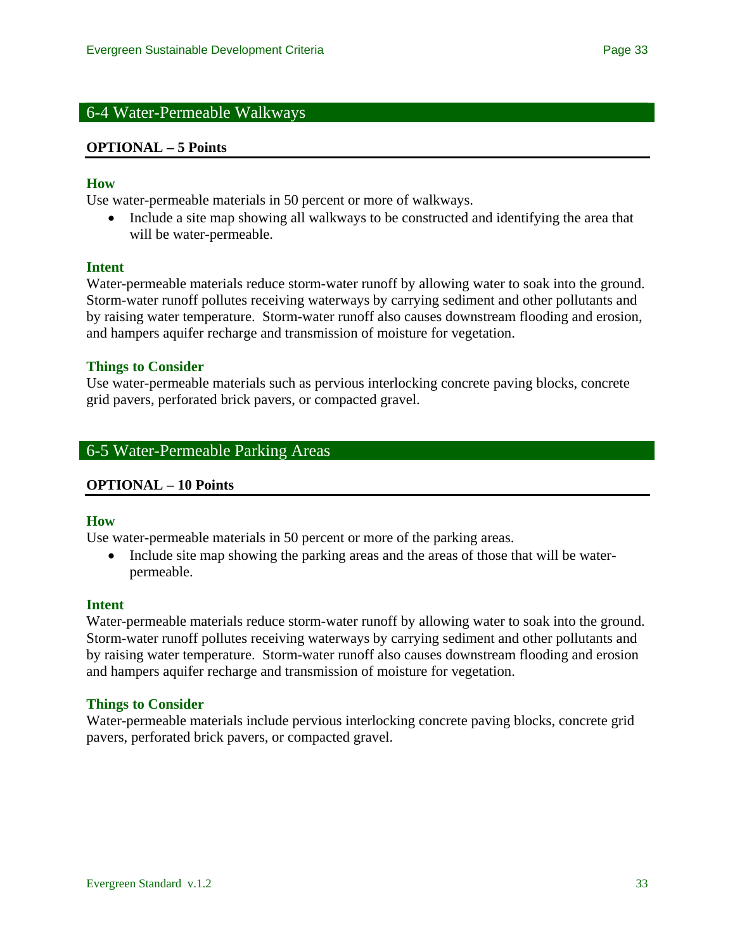# 6-4 Water-Permeable Walkways

#### **OPTIONAL – 5 Points**

#### **How**

Use water-permeable materials in 50 percent or more of walkways.

• Include a site map showing all walkways to be constructed and identifying the area that will be water-permeable.

#### **Intent**

Water-permeable materials reduce storm-water runoff by allowing water to soak into the ground. Storm-water runoff pollutes receiving waterways by carrying sediment and other pollutants and by raising water temperature. Storm-water runoff also causes downstream flooding and erosion, and hampers aquifer recharge and transmission of moisture for vegetation.

#### **Things to Consider**

Use water-permeable materials such as pervious interlocking concrete paving blocks, concrete grid pavers, perforated brick pavers, or compacted gravel.

## 6-5 Water-Permeable Parking Areas

#### **OPTIONAL – 10 Points**

#### **How**

Use water-permeable materials in 50 percent or more of the parking areas.

• Include site map showing the parking areas and the areas of those that will be waterpermeable.

#### **Intent**

Water-permeable materials reduce storm-water runoff by allowing water to soak into the ground. Storm-water runoff pollutes receiving waterways by carrying sediment and other pollutants and by raising water temperature. Storm-water runoff also causes downstream flooding and erosion and hampers aquifer recharge and transmission of moisture for vegetation.

#### **Things to Consider**

Water-permeable materials include pervious interlocking concrete paving blocks, concrete grid pavers, perforated brick pavers, or compacted gravel.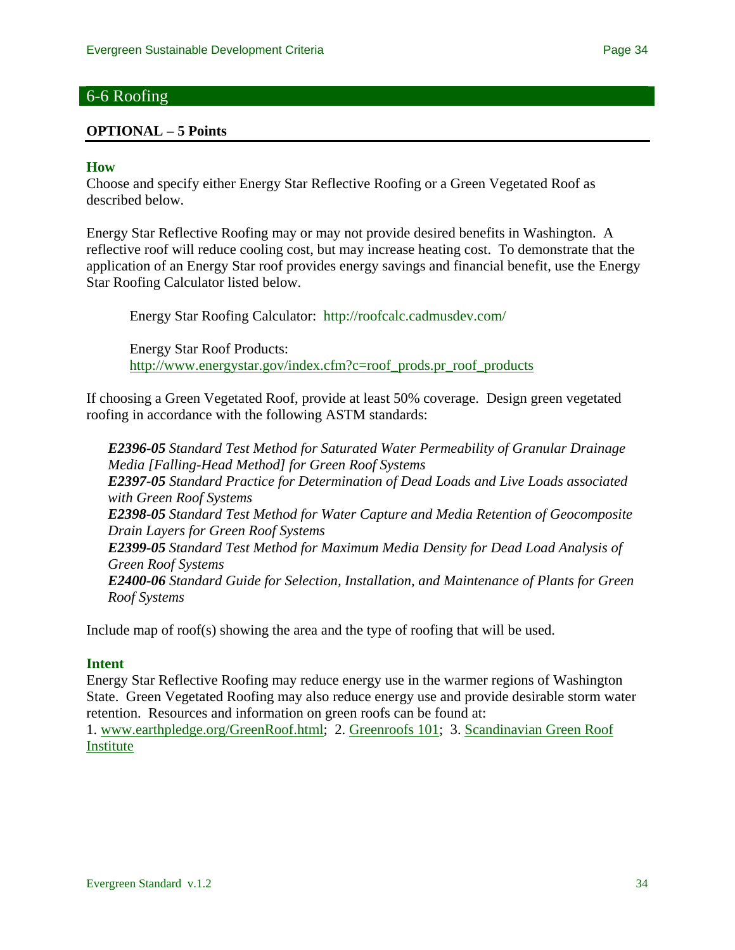# 6-6 Roofing

#### **OPTIONAL – 5 Points**

#### **How**

Choose and specify either Energy Star Reflective Roofing or a Green Vegetated Roof as described below.

Energy Star Reflective Roofing may or may not provide desired benefits in Washington. A reflective roof will reduce cooling cost, but may increase heating cost. To demonstrate that the application of an Energy Star roof provides energy savings and financial benefit, use the Energy Star Roofing Calculator listed below.

Energy Star Roofing Calculator: <http://roofcalc.cadmusdev.com/>

Energy Star Roof Products: [http://www.energystar.gov/index.cfm?c=roof\\_prods.pr\\_roof\\_products](http://www.energystar.gov/index.cfm?c=roof_prods.pr_roof_products)

If choosing a Green Vegetated Roof, provide at least 50% coverage. Design green vegetated roofing in accordance with the following ASTM standards:

*E2396-05 [Standard Test Method for Saturated Water Permeability of Granular Drainage](http://www.astm.org/cgi-bin/SoftCart.exe/DATABASE.CART/REDLINE_PAGES/E2396.htm?L+mystore+zetb6095+1146282948)  [Media \[Falling-Head Method\] for Green Roof Systems](http://www.astm.org/cgi-bin/SoftCart.exe/DATABASE.CART/REDLINE_PAGES/E2396.htm?L+mystore+zetb6095+1146282948) E2397-05 [Standard Practice for Determination of Dead Loads and Live Loads associated](http://www.astm.org/cgi-bin/SoftCart.exe/DATABASE.CART/REDLINE_PAGES/E2397.htm?L+mystore+zetb6095+1146282948)  [with Green Roof Systems](http://www.astm.org/cgi-bin/SoftCart.exe/DATABASE.CART/REDLINE_PAGES/E2397.htm?L+mystore+zetb6095+1146282948) E2398-05 [Standard Test Method for Water Capture and Media Retention of Geocomposite](http://www.astm.org/cgi-bin/SoftCart.exe/DATABASE.CART/REDLINE_PAGES/E2398.htm?L+mystore+zetb6095+1146282948)  [Drain Layers for Green Roof Systems](http://www.astm.org/cgi-bin/SoftCart.exe/DATABASE.CART/REDLINE_PAGES/E2398.htm?L+mystore+zetb6095+1146282948) E2399-05 [Standard Test Method for Maximum Media Density for Dead Load Analysis of](http://www.astm.org/cgi-bin/SoftCart.exe/DATABASE.CART/REDLINE_PAGES/E2399.htm?L+mystore+zetb6095+1146282948)  [Green Roof Systems](http://www.astm.org/cgi-bin/SoftCart.exe/DATABASE.CART/REDLINE_PAGES/E2399.htm?L+mystore+zetb6095+1146282948) E2400-06 [Standard Guide for Selection, Installation, and Maintenance of Plants for Green](http://www.astm.org/cgi-bin/SoftCart.exe/DATABASE.CART/REDLINE_PAGES/E2400.htm?L+mystore+zetb6095+1146282948)  [Roof Systems](http://www.astm.org/cgi-bin/SoftCart.exe/DATABASE.CART/REDLINE_PAGES/E2400.htm?L+mystore+zetb6095+1146282948)* 

Include map of roof(s) showing the area and the type of roofing that will be used.

#### **Intent**

Energy Star Reflective Roofing may reduce energy use in the warmer regions of Washington State. Green Vegetated Roofing may also reduce energy use and provide desirable storm water retention. Resources and information on green roofs can be found at:

1. [www.earthpledge.org/GreenRoof.html;](http://www.earthpledge.org/GreenRoof.html) 2. [Greenroofs 101;](http://www.greenroofs.com/Greenroofs101) 3. [Scandinavian Green Roof](http://www.greenroof.se/green.htm)  [Institute](http://www.greenroof.se/green.htm)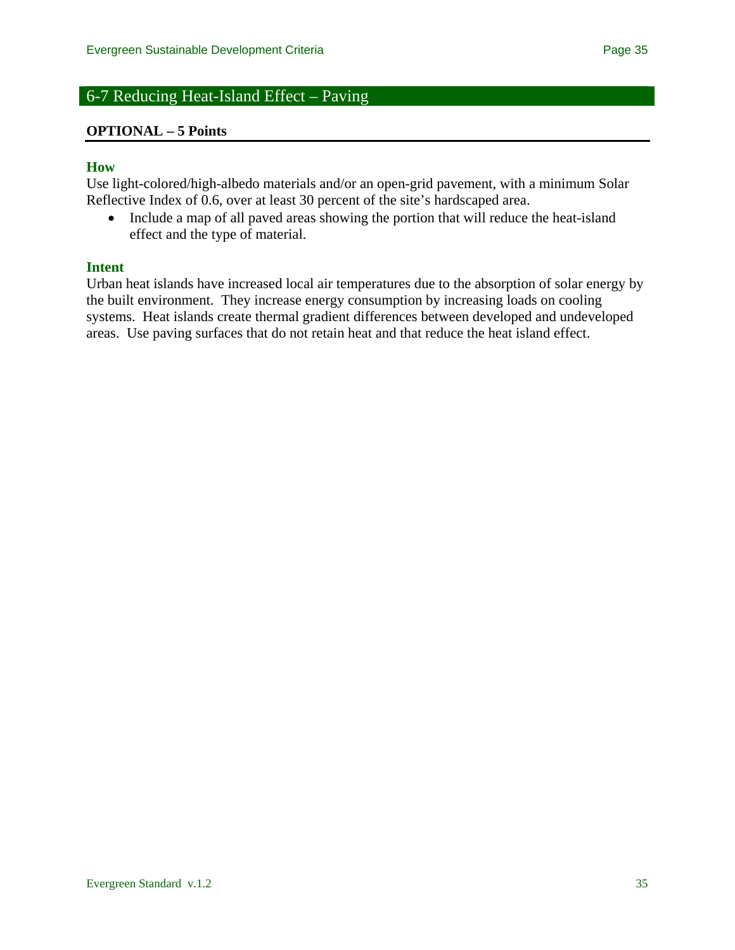# 6-7 Reducing Heat-Island Effect – Paving

#### **OPTIONAL – 5 Points**

#### **How**

Use light-colored/high-albedo materials and/or an open-grid pavement, with a minimum Solar Reflective Index of 0.6, over at least 30 percent of the site's hardscaped area.

• Include a map of all paved areas showing the portion that will reduce the heat-island effect and the type of material.

#### **Intent**

Urban heat islands have increased local air temperatures due to the absorption of solar energy by the built environment. They increase energy consumption by increasing loads on cooling systems. Heat islands create thermal gradient differences between developed and undeveloped areas. Use paving surfaces that do not retain heat and that reduce the heat island effect.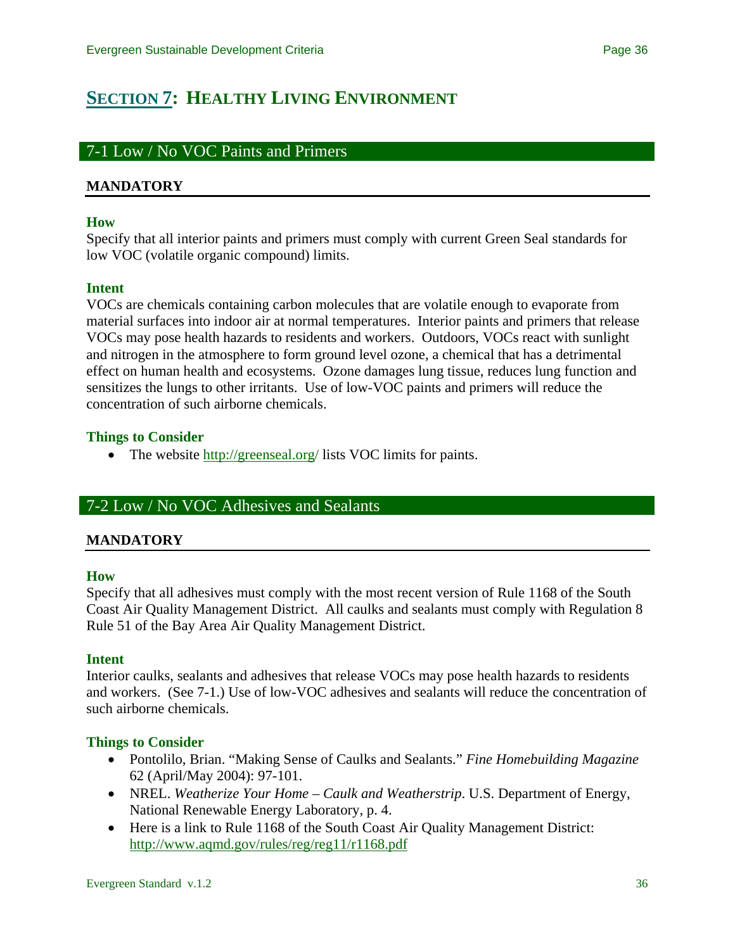# <span id="page-35-0"></span>**[SECTION 7](#page-0-0): HEALTHY LIVING ENVIRONMENT**

# 7-1 Low / No VOC Paints and Primers

## **MANDATORY**

#### **How**

Specify that all interior paints and primers must comply with current Green Seal standards for low VOC (volatile organic compound) limits.

### **Intent**

VOCs are chemicals containing carbon molecules that are volatile enough to evaporate from material surfaces into indoor air at normal temperatures. Interior paints and primers that release VOCs may pose health hazards to residents and workers. Outdoors, VOCs react with sunlight and nitrogen in the atmosphere to form ground level ozone, a chemical that has a detrimental effect on human health and ecosystems. Ozone damages lung tissue, reduces lung function and sensitizes the lungs to other irritants. Use of low-VOC paints and primers will reduce the concentration of such airborne chemicals.

### **Things to Consider**

• The website [http://greenseal.org](http://greenseal.org/)/ lists VOC limits for paints.

# 7-2 Low / No VOC Adhesives and Sealants

### **MANDATORY**

#### **How**

Specify that all adhesives must comply with the most recent version of Rule 1168 of the South Coast Air Quality Management District. All caulks and sealants must comply with Regulation 8 Rule 51 of the Bay Area Air Quality Management District.

### **Intent**

Interior caulks, sealants and adhesives that release VOCs may pose health hazards to residents and workers. (See 7-1.) Use of low-VOC adhesives and sealants will reduce the concentration of such airborne chemicals.

### **Things to Consider**

- Pontolilo, Brian. "Making Sense of Caulks and Sealants." *Fine Homebuilding Magazine* 62 (April/May 2004): 97-101.
- NREL. *Weatherize Your Home Caulk and Weatherstrip*. U.S. Department of Energy, National Renewable Energy Laboratory, p. 4.
- Here is a link to Rule 1168 of the South Coast Air Quality Management District: <http://www.aqmd.gov/rules/reg/reg11/r1168.pdf>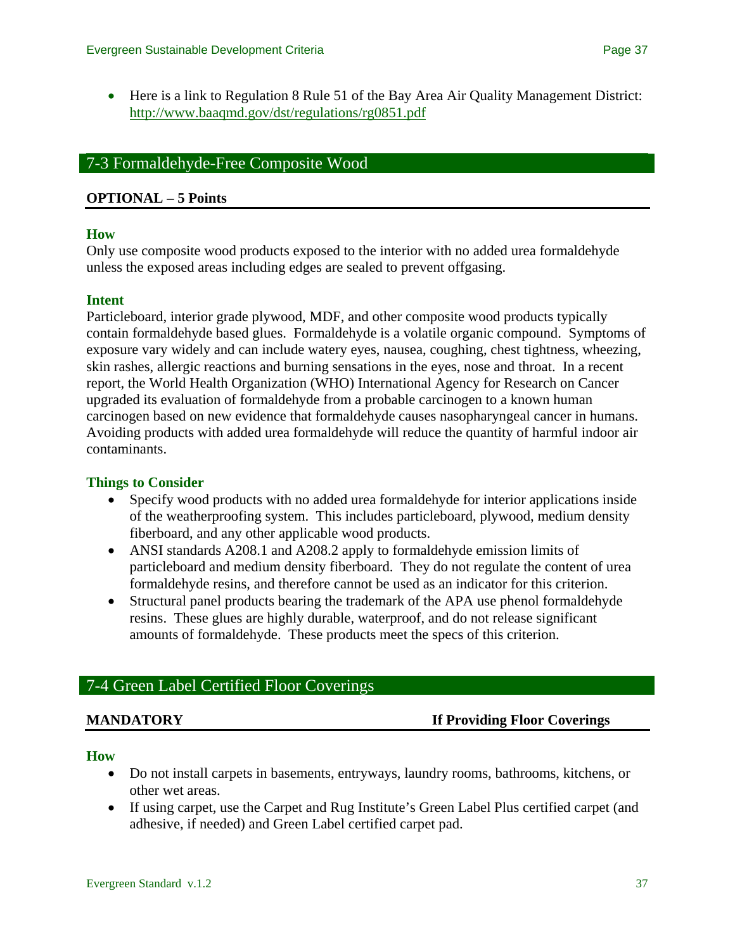• Here is a link to Regulation 8 Rule 51 of the Bay Area Air Quality Management District: <http://www.baaqmd.gov/dst/regulations/rg0851.pdf>

# 7-3 Formaldehyde-Free Composite Wood

### **OPTIONAL – 5 Points**

### **How**

Only use composite wood products exposed to the interior with no added urea formaldehyde unless the exposed areas including edges are sealed to prevent offgasing.

### **Intent**

Particleboard, interior grade plywood, MDF, and other composite wood products typically contain formaldehyde based glues. Formaldehyde is a volatile organic compound. Symptoms of exposure vary widely and can include watery eyes, nausea, coughing, chest tightness, wheezing, skin rashes, allergic reactions and burning sensations in the eyes, nose and throat. In a recent report, the World Health Organization (WHO) International Agency for Research on Cancer upgraded its evaluation of formaldehyde from a probable carcinogen to a known human carcinogen based on new evidence that formaldehyde causes nasopharyngeal cancer in humans. Avoiding products with added urea formaldehyde will reduce the quantity of harmful indoor air contaminants.

### **Things to Consider**

- Specify wood products with no added urea formaldehyde for interior applications inside of the weatherproofing system. This includes particleboard, plywood, medium density fiberboard, and any other applicable wood products.
- ANSI standards A208.1 and A208.2 apply to formaldehyde emission limits of particleboard and medium density fiberboard. They do not regulate the content of urea formaldehyde resins, and therefore cannot be used as an indicator for this criterion.
- Structural panel products bearing the trademark of the APA use phenol formaldehyde resins. These glues are highly durable, waterproof, and do not release significant amounts of formaldehyde. These products meet the specs of this criterion.

# 7-4 Green Label Certified Floor Coverings

### **MANDATORY If Providing Floor Coverings**

#### **How**

- Do not install carpets in basements, entryways, laundry rooms, bathrooms, kitchens, or other wet areas.
- If using carpet, use the Carpet and Rug Institute's Green Label Plus certified carpet (and adhesive, if needed) and Green Label certified carpet pad.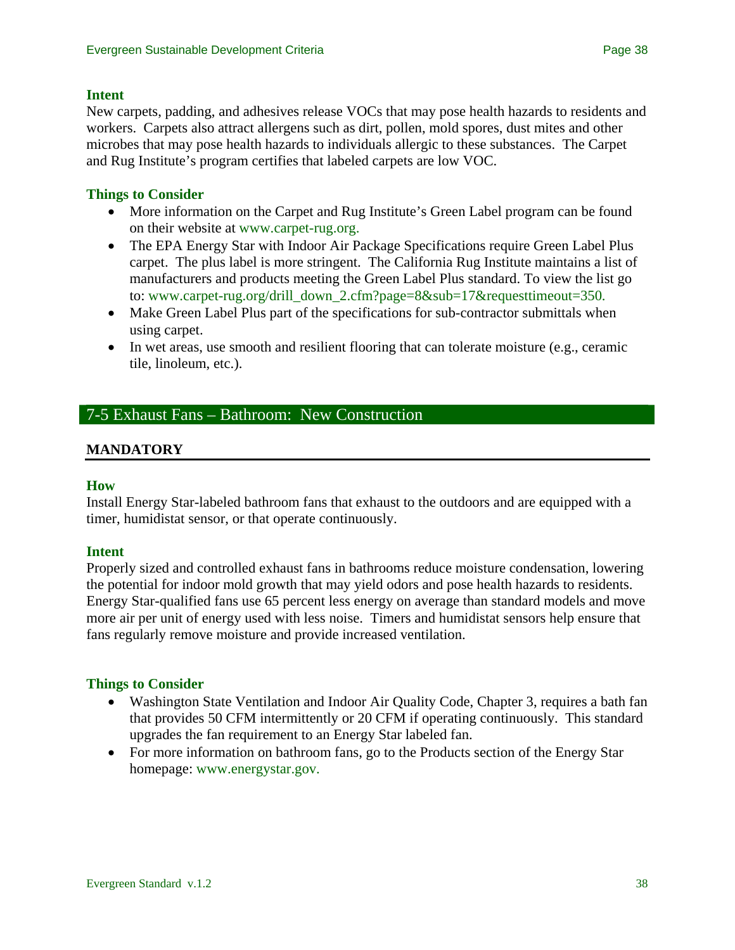#### **Intent**

New carpets, padding, and adhesives release VOCs that may pose health hazards to residents and workers. Carpets also attract allergens such as dirt, pollen, mold spores, dust mites and other microbes that may pose health hazards to individuals allergic to these substances. The Carpet and Rug Institute's program certifies that labeled carpets are low VOC.

# **Things to Consider**

- More information on the Carpet and Rug Institute's Green Label program can be found on their website at [www.carpet-rug.org.](http://www.carpet-rug.org/)
- The EPA Energy Star with Indoor Air Package Specifications require Green Label Plus carpet. The plus label is more stringent. The California Rug Institute maintains a list of manufacturers and products meeting the Green Label Plus standard. To view the list go to: [www.carpet-rug.org/drill\\_down\\_2.cfm?page=8&sub=17&requesttimeout=350.](http://www.carpet-rug.org/drill_down_2.cfm?page=8&sub=17&requesttimeout=350)
- Make Green Label Plus part of the specifications for sub-contractor submittals when using carpet.
- In wet areas, use smooth and resilient flooring that can tolerate moisture (e.g., ceramic tile, linoleum, etc.).

# 7-5 Exhaust Fans – Bathroom: New Construction

# **MANDATORY**

#### **How**

Install Energy Star-labeled bathroom fans that exhaust to the outdoors and are equipped with a timer, humidistat sensor, or that operate continuously.

### **Intent**

Properly sized and controlled exhaust fans in bathrooms reduce moisture condensation, lowering the potential for indoor mold growth that may yield odors and pose health hazards to residents. Energy Star-qualified fans use 65 percent less energy on average than standard models and move more air per unit of energy used with less noise. Timers and humidistat sensors help ensure that fans regularly remove moisture and provide increased ventilation.

### **Things to Consider**

- Washington State Ventilation and Indoor Air Quality Code, Chapter 3, requires a bath fan that provides 50 CFM intermittently or 20 CFM if operating continuously. This standard upgrades the fan requirement to an Energy Star labeled fan.
- For more information on bathroom fans, go to the Products section of the Energy Star homepage: [www.energystar.gov.](http://www.energystar.gov/)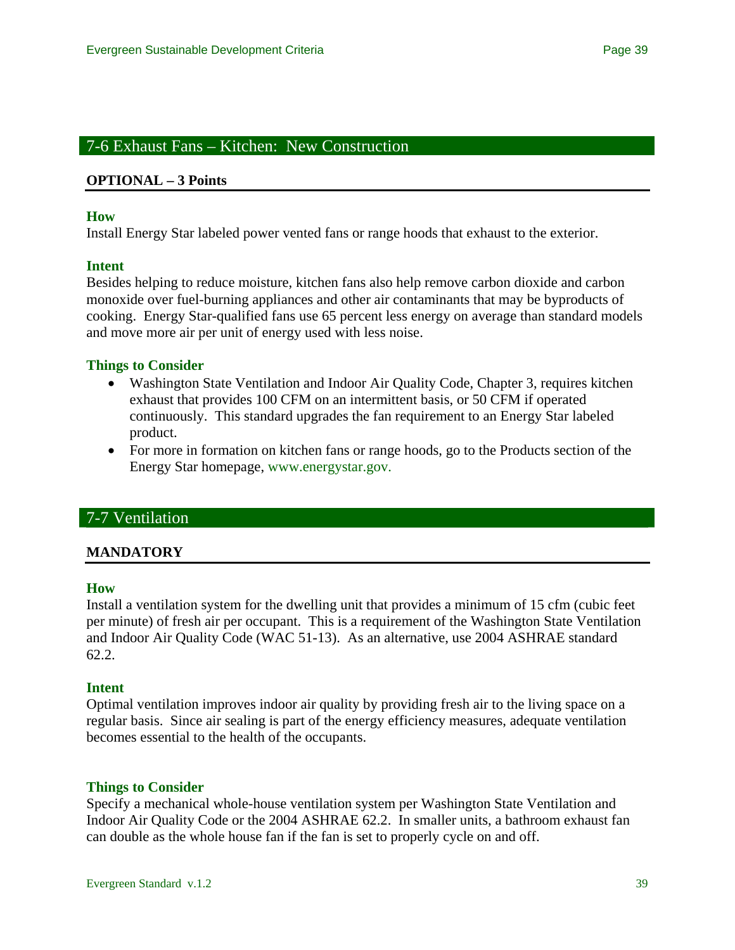# 7-6 Exhaust Fans – Kitchen: New Construction

#### **OPTIONAL – 3 Points**

#### **How**

Install Energy Star labeled power vented fans or range hoods that exhaust to the exterior.

#### **Intent**

Besides helping to reduce moisture, kitchen fans also help remove carbon dioxide and carbon monoxide over fuel-burning appliances and other air contaminants that may be byproducts of cooking. Energy Star-qualified fans use 65 percent less energy on average than standard models and move more air per unit of energy used with less noise.

#### **Things to Consider**

- Washington State Ventilation and Indoor Air Quality Code, Chapter 3, requires kitchen exhaust that provides 100 CFM on an intermittent basis, or 50 CFM if operated continuously. This standard upgrades the fan requirement to an Energy Star labeled product.
- For more in formation on kitchen fans or range hoods, go to the Products section of the Energy Star homepage, [www.energystar.gov](http://www.energystar.gov/).

# 7-7 Ventilation

### **MANDATORY**

#### **How**

Install a ventilation system for the dwelling unit that provides a minimum of 15 cfm (cubic feet per minute) of fresh air per occupant. This is a requirement of the Washington State Ventilation and Indoor Air Quality Code (WAC 51-13). As an alternative, use 2004 ASHRAE standard 62.2.

#### **Intent**

Optimal ventilation improves indoor air quality by providing fresh air to the living space on a regular basis. Since air sealing is part of the energy efficiency measures, adequate ventilation becomes essential to the health of the occupants.

#### **Things to Consider**

Specify a mechanical whole-house ventilation system per Washington State Ventilation and Indoor Air Quality Code or the 2004 ASHRAE 62.2. In smaller units, a bathroom exhaust fan can double as the whole house fan if the fan is set to properly cycle on and off.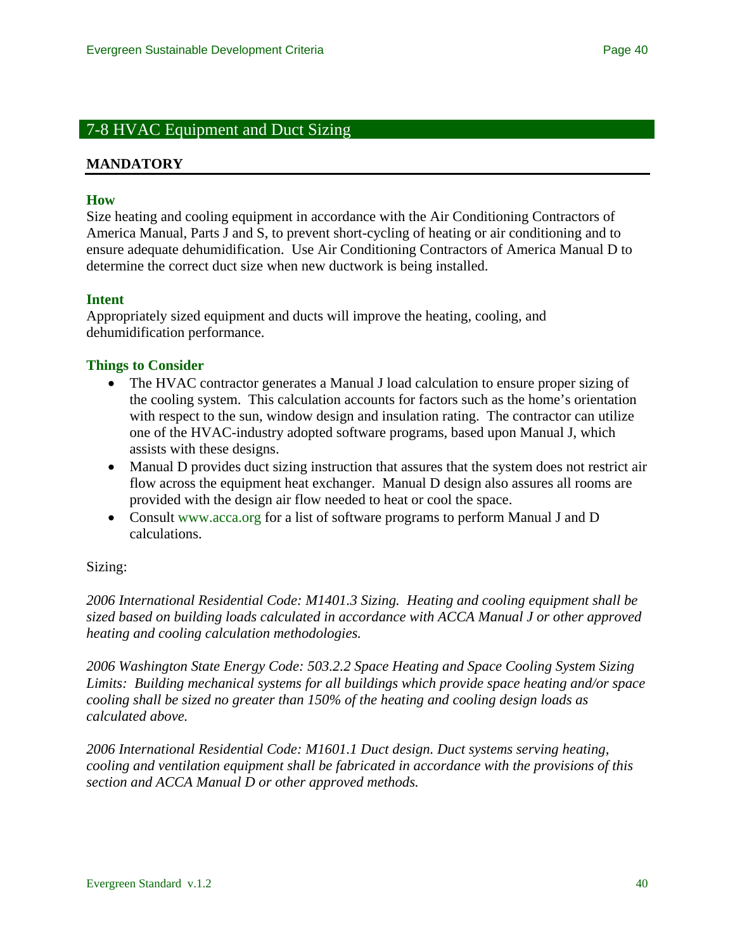# 7-8 HVAC Equipment and Duct Sizing

#### **MANDATORY**

#### **How**

Size heating and cooling equipment in accordance with the Air Conditioning Contractors of America Manual, Parts J and S, to prevent short-cycling of heating or air conditioning and to ensure adequate dehumidification. Use Air Conditioning Contractors of America Manual D to determine the correct duct size when new ductwork is being installed.

#### **Intent**

Appropriately sized equipment and ducts will improve the heating, cooling, and dehumidification performance.

#### **Things to Consider**

- The HVAC contractor generates a Manual J load calculation to ensure proper sizing of the cooling system. This calculation accounts for factors such as the home's orientation with respect to the sun, window design and insulation rating. The contractor can utilize one of the HVAC-industry adopted software programs, based upon Manual J, which assists with these designs.
- Manual D provides duct sizing instruction that assures that the system does not restrict air flow across the equipment heat exchanger. Manual D design also assures all rooms are provided with the design air flow needed to heat or cool the space.
- Consult [www.acca.org](http://www.acca.org/) for a list of software programs to perform Manual J and D calculations.

#### Sizing:

*2006 International Residential Code: M1401.3 Sizing. Heating and cooling equipment shall be sized based on building loads calculated in accordance with ACCA Manual J or other approved heating and cooling calculation methodologies.* 

*2006 Washington State Energy Code: 503.2.2 Space Heating and Space Cooling System Sizing Limits: Building mechanical systems for all buildings which provide space heating and/or space cooling shall be sized no greater than 150% of the heating and cooling design loads as calculated above.* 

*2006 International Residential Code: M1601.1 Duct design. Duct systems serving heating, cooling and ventilation equipment shall be fabricated in accordance with the provisions of this section and ACCA Manual D or other approved methods.*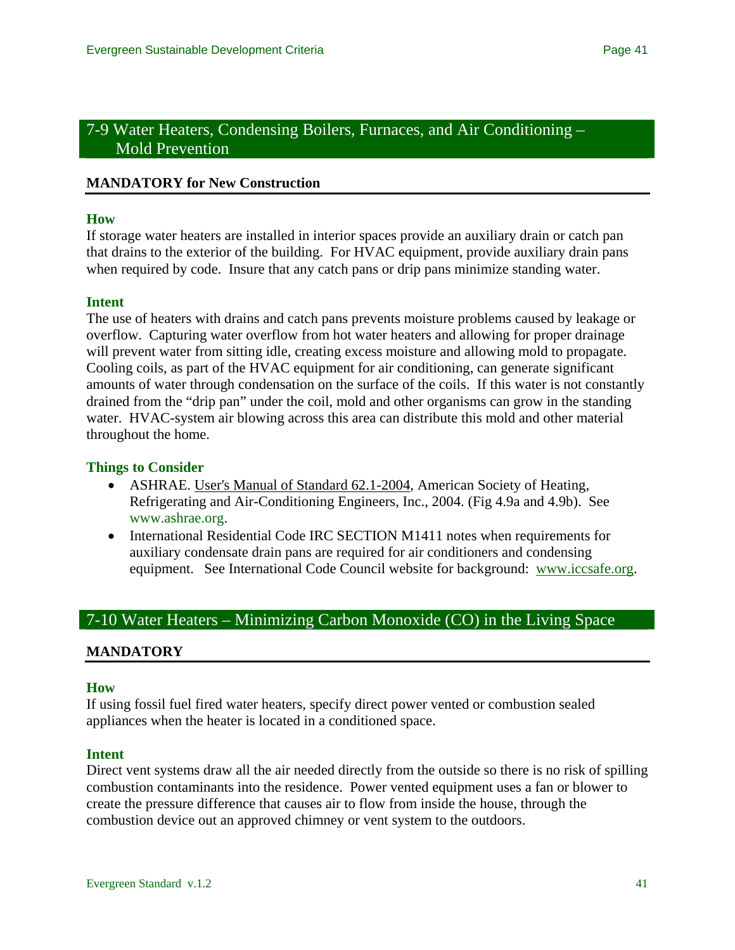# 7-9 Water Heaters, Condensing Boilers, Furnaces, and Air Conditioning – Mold Prevention

#### **MANDATORY for New Construction**

#### **How**

If storage water heaters are installed in interior spaces provide an auxiliary drain or catch pan that drains to the exterior of the building. For HVAC equipment, provide auxiliary drain pans when required by code. Insure that any catch pans or drip pans minimize standing water.

#### **Intent**

The use of heaters with drains and catch pans prevents moisture problems caused by leakage or overflow. Capturing water overflow from hot water heaters and allowing for proper drainage will prevent water from sitting idle, creating excess moisture and allowing mold to propagate. Cooling coils, as part of the HVAC equipment for air conditioning, can generate significant amounts of water through condensation on the surface of the coils. If this water is not constantly drained from the "drip pan" under the coil, mold and other organisms can grow in the standing water. HVAC-system air blowing across this area can distribute this mold and other material throughout the home.

#### **Things to Consider**

- ASHRAE. User's Manual of Standard 62.1-2004, American Society of Heating, Refrigerating and Air-Conditioning Engineers, Inc., 2004. (Fig 4.9a and 4.9b). See [www.ashrae.org.](http://www.ashrae.org/)
- International Residential Code IRC SECTION M1411 notes when requirements for auxiliary condensate drain pans are required for air conditioners and condensing equipment. See International Code Council website for background: [www.iccsafe.org](http://www.iccsafe.org/).

# 7-10 Water Heaters – Minimizing Carbon Monoxide (CO) in the Living Space

### **MANDATORY**

#### **How**

If using fossil fuel fired water heaters, specify direct power vented or combustion sealed appliances when the heater is located in a conditioned space.

#### **Intent**

Direct vent systems draw all the air needed directly from the outside so there is no risk of spilling combustion contaminants into the residence. Power vented equipment uses a fan or blower to create the pressure difference that causes air to flow from inside the house, through the combustion device out an approved chimney or vent system to the outdoors.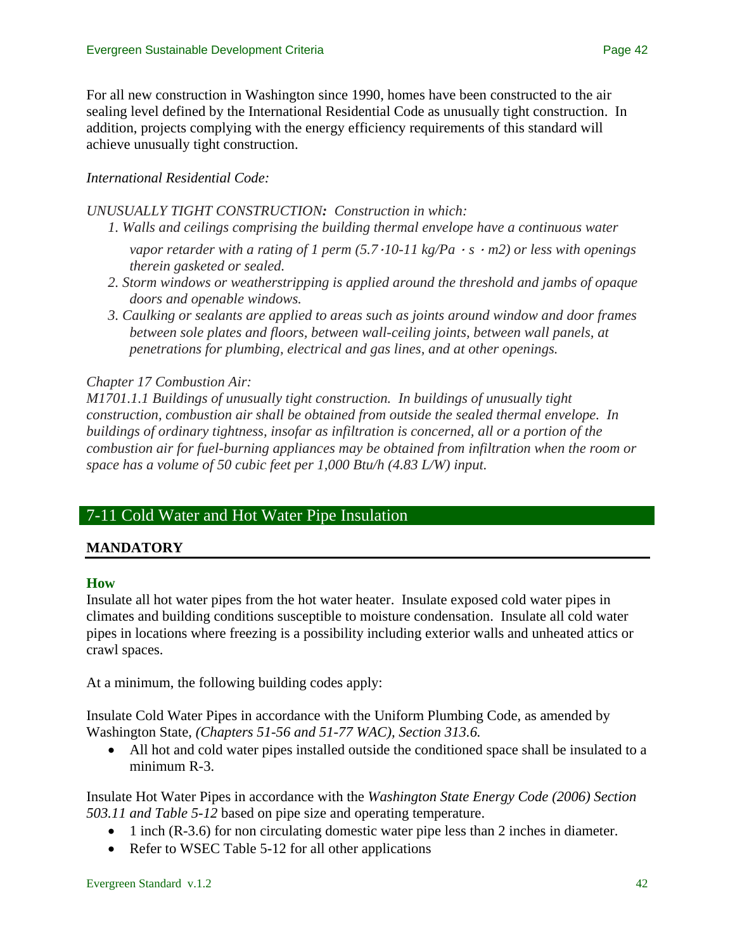For all new construction in Washington since 1990, homes have been constructed to the air sealing level defined by the International Residential Code as unusually tight construction. In addition, projects complying with the energy efficiency requirements of this standard will achieve unusually tight construction.

## *International Residential Code:*

#### *UNUSUALLY TIGHT CONSTRUCTION: Construction in which:*

- *1. Walls and ceilings comprising the building thermal envelope have a continuous water* 
	- *vapor retarder with a rating of 1 perm (5.7*·*10-11 kg/Pa* · *s* · *m2) or less with openings therein gasketed or sealed.*
- *2. Storm windows or weatherstripping is applied around the threshold and jambs of opaque doors and openable windows.*
- *3. Caulking or sealants are applied to areas such as joints around window and door frames between sole plates and floors, between wall-ceiling joints, between wall panels, at penetrations for plumbing, electrical and gas lines, and at other openings.*

### *Chapter 17 Combustion Air:*

*M1701.1.1 Buildings of unusually tight construction. In buildings of unusually tight construction, combustion air shall be obtained from outside the sealed thermal envelope. In buildings of ordinary tightness, insofar as infiltration is concerned, all or a portion of the combustion air for fuel-burning appliances may be obtained from infiltration when the room or space has a volume of 50 cubic feet per 1,000 Btu/h (4.83 L/W) input.* 

# 7-11 Cold Water and Hot Water Pipe Insulation

### **MANDATORY**

### **How**

Insulate all hot water pipes from the hot water heater. Insulate exposed cold water pipes in climates and building conditions susceptible to moisture condensation. Insulate all cold water pipes in locations where freezing is a possibility including exterior walls and unheated attics or crawl spaces.

At a minimum, the following building codes apply:

Insulate Cold Water Pipes in accordance with the Uniform Plumbing Code, as amended by Washington State, *(Chapters 51-56 and 51-77 WAC), Section 313.6.*

• All hot and cold water pipes installed outside the conditioned space shall be insulated to a minimum R-3.

Insulate Hot Water Pipes in accordance with the *Washington State Energy Code (2006) Section 503.11 and Table 5-12* based on pipe size and operating temperature.

- 1 inch (R-3.6) for non circulating domestic water pipe less than 2 inches in diameter.
- Refer to WSEC Table 5-12 for all other applications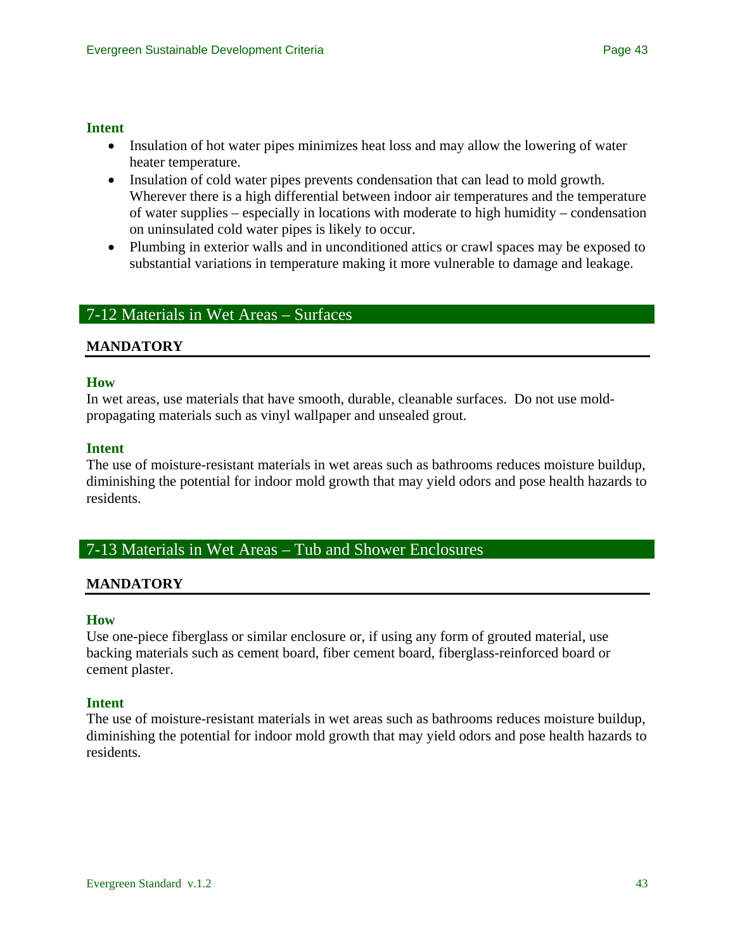### **Intent**

- Insulation of hot water pipes minimizes heat loss and may allow the lowering of water heater temperature.
- Insulation of cold water pipes prevents condensation that can lead to mold growth. Wherever there is a high differential between indoor air temperatures and the temperature of water supplies – especially in locations with moderate to high humidity – condensation on uninsulated cold water pipes is likely to occur.
- Plumbing in exterior walls and in unconditioned attics or crawl spaces may be exposed to substantial variations in temperature making it more vulnerable to damage and leakage.

# 7-12 Materials in Wet Areas – Surfaces

# **MANDATORY**

### **How**

In wet areas, use materials that have smooth, durable, cleanable surfaces. Do not use moldpropagating materials such as vinyl wallpaper and unsealed grout.

### **Intent**

The use of moisture-resistant materials in wet areas such as bathrooms reduces moisture buildup, diminishing the potential for indoor mold growth that may yield odors and pose health hazards to residents.

# 7-13 Materials in Wet Areas – Tub and Shower Enclosures

### **MANDATORY**

#### **How**

Use one-piece fiberglass or similar enclosure or, if using any form of grouted material, use backing materials such as cement board, fiber cement board, fiberglass-reinforced board or cement plaster.

#### **Intent**

The use of moisture-resistant materials in wet areas such as bathrooms reduces moisture buildup, diminishing the potential for indoor mold growth that may yield odors and pose health hazards to residents.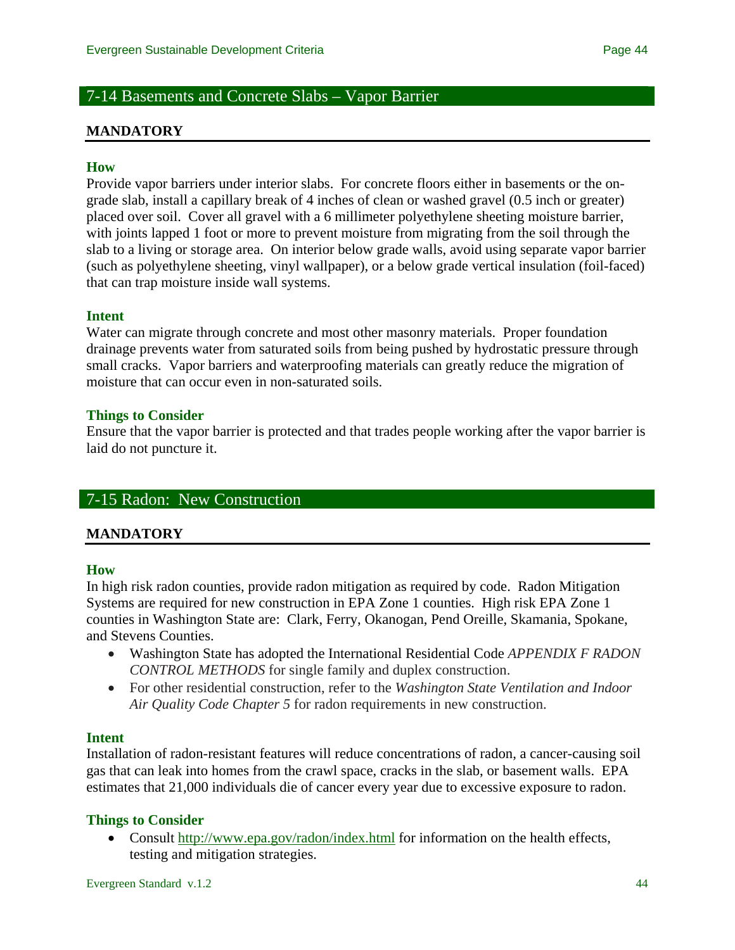# 7-14 Basements and Concrete Slabs – Vapor Barrier

#### **MANDATORY**

#### **How**

Provide vapor barriers under interior slabs. For concrete floors either in basements or the ongrade slab, install a capillary break of 4 inches of clean or washed gravel (0.5 inch or greater) placed over soil. Cover all gravel with a 6 millimeter polyethylene sheeting moisture barrier, with joints lapped 1 foot or more to prevent moisture from migrating from the soil through the slab to a living or storage area. On interior below grade walls, avoid using separate vapor barrier (such as polyethylene sheeting, vinyl wallpaper), or a below grade vertical insulation (foil-faced) that can trap moisture inside wall systems.

#### **Intent**

Water can migrate through concrete and most other masonry materials. Proper foundation drainage prevents water from saturated soils from being pushed by hydrostatic pressure through small cracks. Vapor barriers and waterproofing materials can greatly reduce the migration of moisture that can occur even in non-saturated soils.

#### **Things to Consider**

Ensure that the vapor barrier is protected and that trades people working after the vapor barrier is laid do not puncture it.

#### 7-15 Radon: New Construction

#### **MANDATORY**

#### **How**

In high risk radon counties, provide radon mitigation as required by code. Radon Mitigation Systems are required for new construction in EPA Zone 1 counties. High risk EPA Zone 1 counties in Washington State are: Clark, Ferry, Okanogan, Pend Oreille, Skamania, Spokane, and Stevens Counties.

- Washington State has adopted the International Residential Code *APPENDIX F RADON CONTROL METHODS* for single family and duplex construction.
- For other residential construction, refer to the *Washington State Ventilation and Indoor Air Quality Code Chapter 5* for radon requirements in new construction.

#### **Intent**

Installation of radon-resistant features will reduce concentrations of radon, a cancer-causing soil gas that can leak into homes from the crawl space, cracks in the slab, or basement walls. EPA estimates that 21,000 individuals die of cancer every year due to excessive exposure to radon.

#### **Things to Consider**

• Consult<http://www.epa.gov/radon/index.html> for information on the health effects, testing and mitigation strategies.

Evergreen Standard v.1.2 44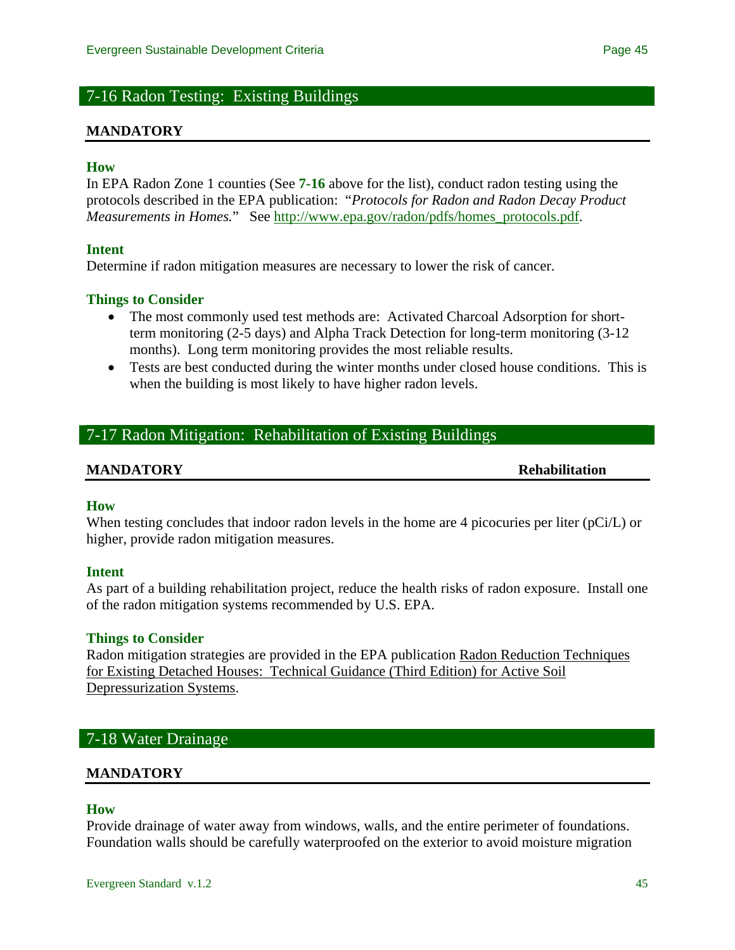# 7-16 Radon Testing: Existing Buildings

#### **MANDATORY**

#### **How**

In EPA Radon Zone 1 counties (See **7-16** above for the list), conduct radon testing using the protocols described in the EPA publication: "*Protocols for Radon and Radon Decay Product Measurements in Homes.*" See [http://www.epa.gov/radon/pdfs/homes\\_protocols.pdf.](http://www.epa.gov/radon/pdfs/homes_protocols.pdf)

#### **Intent**

Determine if radon mitigation measures are necessary to lower the risk of cancer.

#### **Things to Consider**

- The most commonly used test methods are: Activated Charcoal Adsorption for shortterm monitoring (2-5 days) and Alpha Track Detection for long-term monitoring (3-12 months). Long term monitoring provides the most reliable results.
- Tests are best conducted during the winter months under closed house conditions. This is when the building is most likely to have higher radon levels.

# 7-17 Radon Mitigation: Rehabilitation of Existing Buildings

#### **MANDATORY Rehabilitation**

#### **How**

When testing concludes that indoor radon levels in the home are 4 picocuries per liter ( $pCi/L$ ) or higher, provide radon mitigation measures.

#### **Intent**

As part of a building rehabilitation project, reduce the health risks of radon exposure. Install one of the radon mitigation systems recommended by U.S. EPA.

#### **Things to Consider**

Radon mitigation strategies are provided in the EPA publication Radon Reduction Techniques for Existing Detached Houses: Technical Guidance (Third Edition) for Active Soil Depressurization Systems.

## 7-18 Water Drainage

#### **MANDATORY**

#### **How**

Provide drainage of water away from windows, walls, and the entire perimeter of foundations. Foundation walls should be carefully waterproofed on the exterior to avoid moisture migration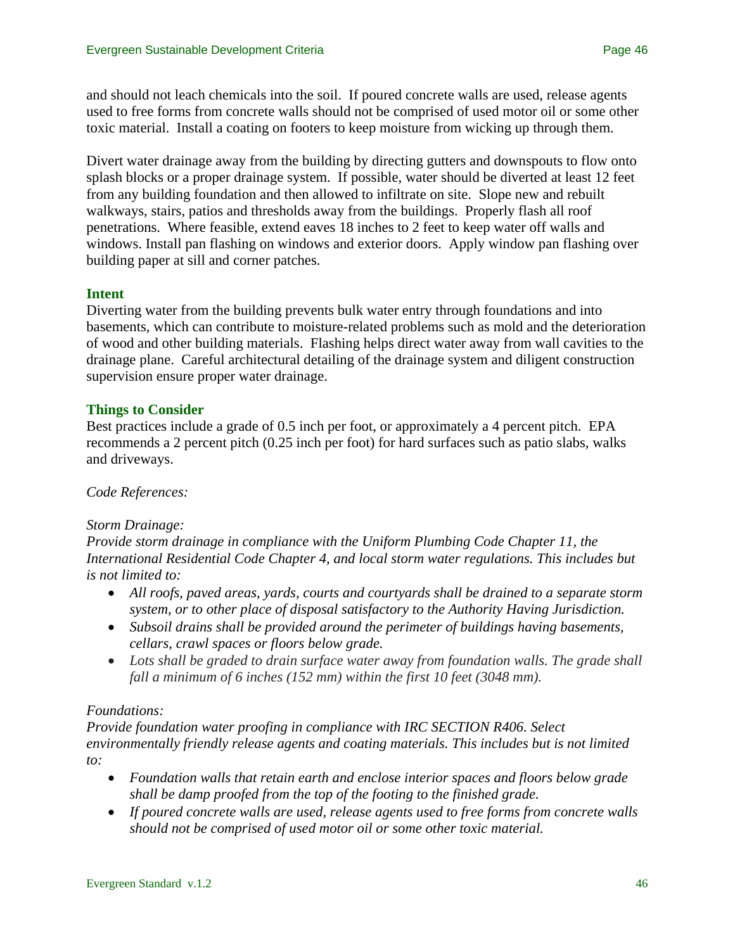and should not leach chemicals into the soil. If poured concrete walls are used, release agents used to free forms from concrete walls should not be comprised of used motor oil or some other toxic material. Install a coating on footers to keep moisture from wicking up through them.

Divert water drainage away from the building by directing gutters and downspouts to flow onto splash blocks or a proper drainage system. If possible, water should be diverted at least 12 feet from any building foundation and then allowed to infiltrate on site. Slope new and rebuilt walkways, stairs, patios and thresholds away from the buildings. Properly flash all roof penetrations. Where feasible, extend eaves 18 inches to 2 feet to keep water off walls and windows. Install pan flashing on windows and exterior doors. Apply window pan flashing over building paper at sill and corner patches.

# **Intent**

Diverting water from the building prevents bulk water entry through foundations and into basements, which can contribute to moisture-related problems such as mold and the deterioration of wood and other building materials. Flashing helps direct water away from wall cavities to the drainage plane. Careful architectural detailing of the drainage system and diligent construction supervision ensure proper water drainage.

# **Things to Consider**

Best practices include a grade of 0.5 inch per foot, or approximately a 4 percent pitch. EPA recommends a 2 percent pitch (0.25 inch per foot) for hard surfaces such as patio slabs, walks and driveways.

### *Code References:*

### *Storm Drainage:*

*Provide storm drainage in compliance with the Uniform Plumbing Code Chapter 11, the International Residential Code Chapter 4, and local storm water regulations. This includes but is not limited to:* 

- *All roofs, paved areas, yards, courts and courtyards shall be drained to a separate storm system, or to other place of disposal satisfactory to the Authority Having Jurisdiction.*
- *Subsoil drains shall be provided around the perimeter of buildings having basements, cellars, crawl spaces or floors below grade.*
- Lots shall be graded to drain surface water away from foundation walls. The grade shall *fall a minimum of 6 inches (152 mm) within the first 10 feet (3048 mm).*

# *Foundations:*

*Provide foundation water proofing in compliance with IRC SECTION R406. Select environmentally friendly release agents and coating materials. This includes but is not limited to:* 

- *Foundation walls that retain earth and enclose interior spaces and floors below grade shall be damp proofed from the top of the footing to the finished grade.*
- *If poured concrete walls are used, release agents used to free forms from concrete walls should not be comprised of used motor oil or some other toxic material.*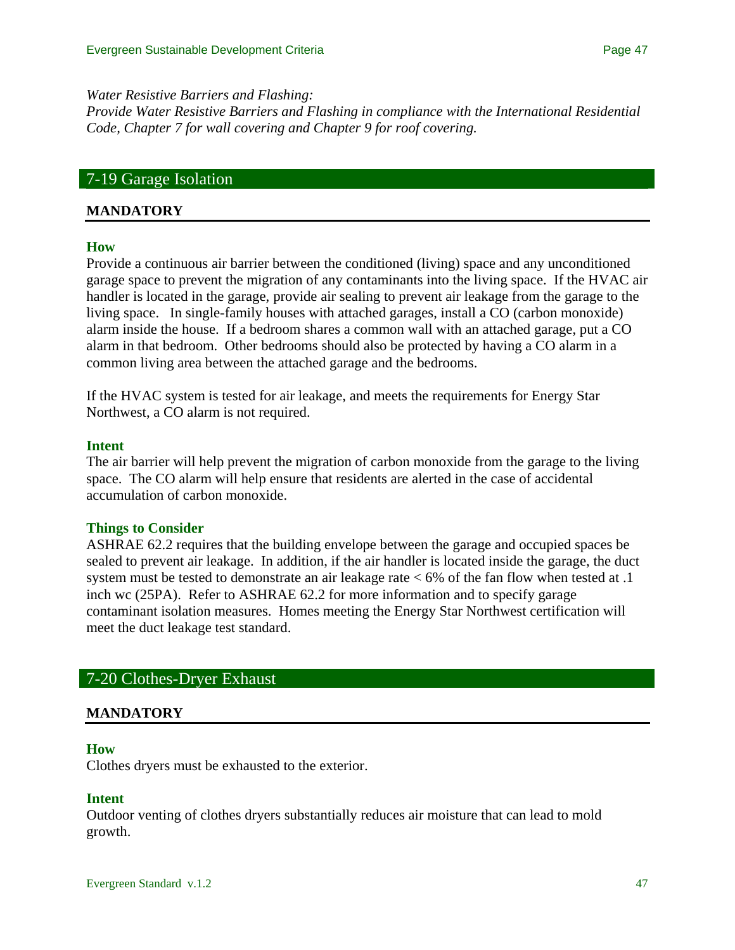#### *Water Resistive Barriers and Flashing:*

*Provide Water Resistive Barriers and Flashing in compliance with the International Residential Code, Chapter 7 for wall covering and Chapter 9 for roof covering.*

# 7-19 Garage Isolation

#### **MANDATORY**

#### **How**

Provide a continuous air barrier between the conditioned (living) space and any unconditioned garage space to prevent the migration of any contaminants into the living space. If the HVAC air handler is located in the garage, provide air sealing to prevent air leakage from the garage to the living space. In single-family houses with attached garages, install a CO (carbon monoxide) alarm inside the house. If a bedroom shares a common wall with an attached garage, put a CO alarm in that bedroom. Other bedrooms should also be protected by having a CO alarm in a common living area between the attached garage and the bedrooms.

If the HVAC system is tested for air leakage, and meets the requirements for Energy Star Northwest, a CO alarm is not required.

#### **Intent**

The air barrier will help prevent the migration of carbon monoxide from the garage to the living space. The CO alarm will help ensure that residents are alerted in the case of accidental accumulation of carbon monoxide.

#### **Things to Consider**

ASHRAE 62.2 requires that the building envelope between the garage and occupied spaces be sealed to prevent air leakage. In addition, if the air handler is located inside the garage, the duct system must be tested to demonstrate an air leakage rate < 6% of the fan flow when tested at .1 inch wc (25PA). Refer to ASHRAE 62.2 for more information and to specify garage contaminant isolation measures. Homes meeting the Energy Star Northwest certification will meet the duct leakage test standard.

## 7-20 Clothes-Dryer Exhaust

#### **MANDATORY**

#### **How**

Clothes dryers must be exhausted to the exterior.

#### **Intent**

Outdoor venting of clothes dryers substantially reduces air moisture that can lead to mold growth.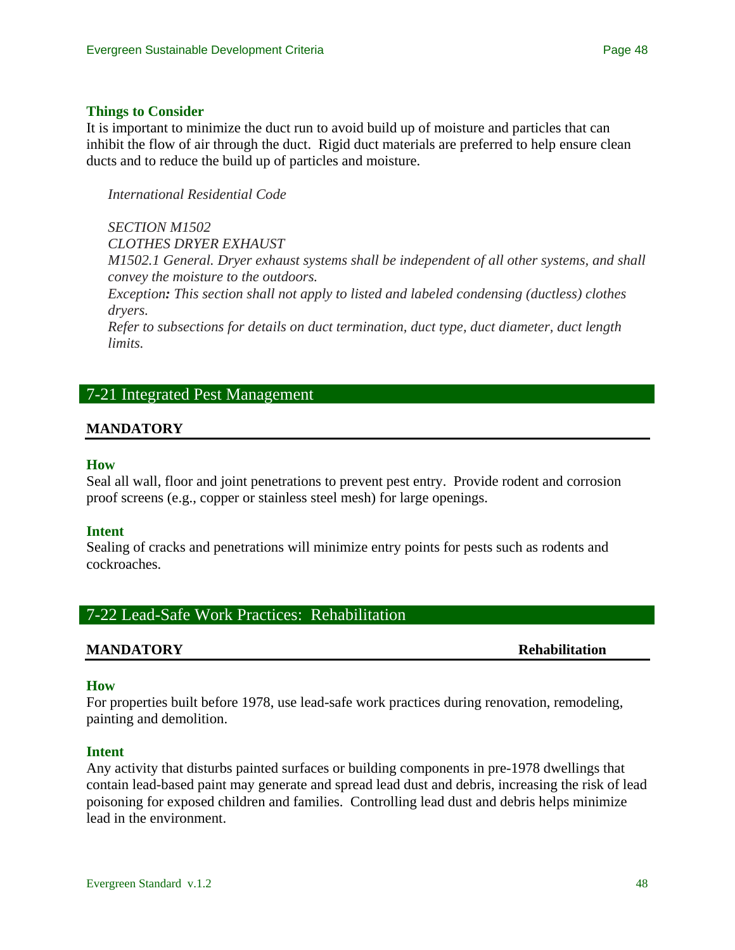#### **Things to Consider**

It is important to minimize the duct run to avoid build up of moisture and particles that can inhibit the flow of air through the duct. Rigid duct materials are preferred to help ensure clean ducts and to reduce the build up of particles and moisture.

*International Residential Code* 

*SECTION M1502 CLOTHES DRYER EXHAUST M1502.1 General. Dryer exhaust systems shall be independent of all other systems, and shall convey the moisture to the outdoors.* 

*Exception: This section shall not apply to listed and labeled condensing (ductless) clothes dryers.* 

*Refer to subsections for details on duct termination, duct type, duct diameter, duct length limits.* 

# 7-21 Integrated Pest Management

### **MANDATORY**

#### **How**

Seal all wall, floor and joint penetrations to prevent pest entry. Provide rodent and corrosion proof screens (e.g., copper or stainless steel mesh) for large openings.

#### **Intent**

Sealing of cracks and penetrations will minimize entry points for pests such as rodents and cockroaches.

# 7-22 Lead-Safe Work Practices: Rehabilitation

#### **MANDATORY Rehabilitation**

#### **How**

For properties built before 1978, use lead-safe work practices during renovation, remodeling, painting and demolition.

### **Intent**

Any activity that disturbs painted surfaces or building components in pre-1978 dwellings that contain lead-based paint may generate and spread lead dust and debris, increasing the risk of lead poisoning for exposed children and families. Controlling lead dust and debris helps minimize lead in the environment.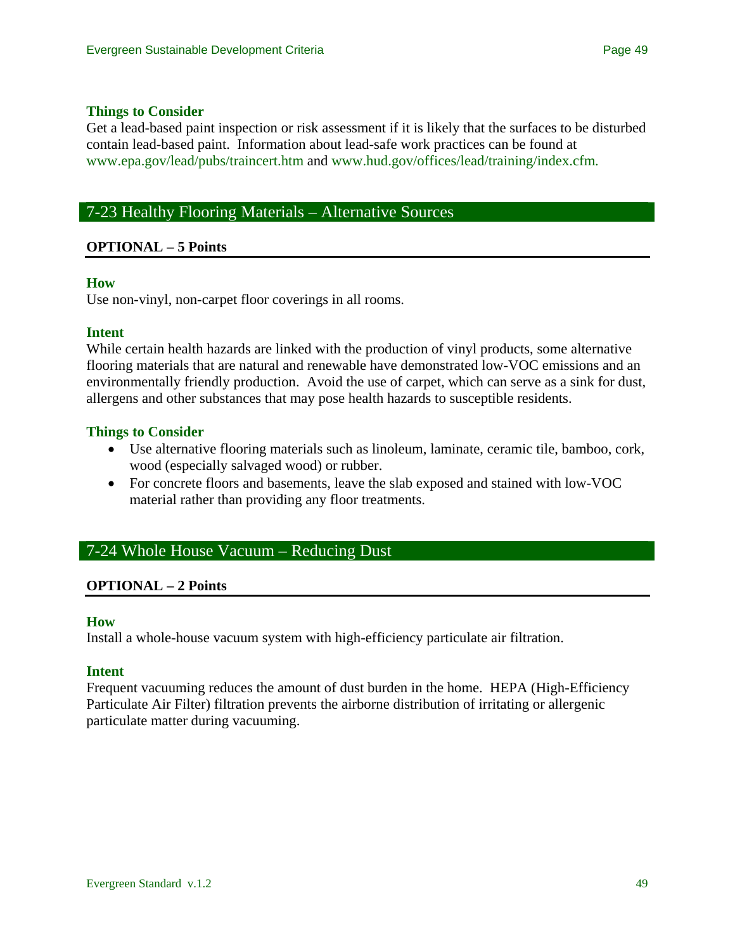#### **Things to Consider**

Get a lead-based paint inspection or risk assessment if it is likely that the surfaces to be disturbed contain lead-based paint. Information about lead-safe work practices can be found at [www.epa.gov/lead/pubs/traincert.htm](http://www.epa.gov/lead/pubs/traincert.htm) and [www.hud.gov/offices/lead/training/index.cfm.](http://www.hud.gov/offices/lead/training/index.cfm)

# 7-23 Healthy Flooring Materials – Alternative Sources

### **OPTIONAL – 5 Points**

#### **How**

Use non-vinyl, non-carpet floor coverings in all rooms.

#### **Intent**

While certain health hazards are linked with the production of vinyl products, some alternative flooring materials that are natural and renewable have demonstrated low-VOC emissions and an environmentally friendly production. Avoid the use of carpet, which can serve as a sink for dust, allergens and other substances that may pose health hazards to susceptible residents.

#### **Things to Consider**

- Use alternative flooring materials such as linoleum, laminate, ceramic tile, bamboo, cork, wood (especially salvaged wood) or rubber.
- For concrete floors and basements, leave the slab exposed and stained with low-VOC material rather than providing any floor treatments.

# 7-24 Whole House Vacuum – Reducing Dust

#### **OPTIONAL – 2 Points**

#### **How**

Install a whole-house vacuum system with high-efficiency particulate air filtration.

#### **Intent**

Frequent vacuuming reduces the amount of dust burden in the home. HEPA (High-Efficiency Particulate Air Filter) filtration prevents the airborne distribution of irritating or allergenic particulate matter during vacuuming.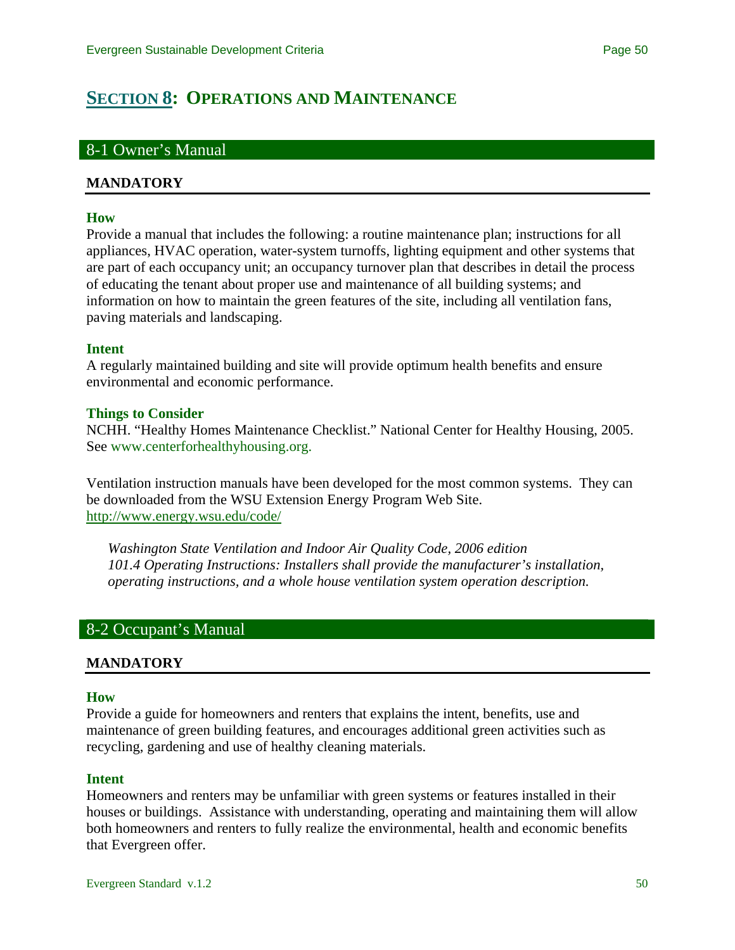# <span id="page-49-0"></span>**[SECTION 8](#page-0-0): OPERATIONS AND MAINTENANCE**

## 8-1 Owner's Manual

#### **MANDATORY**

#### **How**

Provide a manual that includes the following: a routine maintenance plan; instructions for all appliances, HVAC operation, water-system turnoffs, lighting equipment and other systems that are part of each occupancy unit; an occupancy turnover plan that describes in detail the process of educating the tenant about proper use and maintenance of all building systems; and information on how to maintain the green features of the site, including all ventilation fans, paving materials and landscaping.

#### **Intent**

A regularly maintained building and site will provide optimum health benefits and ensure environmental and economic performance.

### **Things to Consider**

NCHH. "Healthy Homes Maintenance Checklist." National Center for Healthy Housing, 2005. See [www.centerforhealthyhousing.org.](http://www.centerforhealthyhousing.org/)

Ventilation instruction manuals have been developed for the most common systems. They can be downloaded from the WSU Extension Energy Program Web Site. <http://www.energy.wsu.edu/code/>

*Washington State Ventilation and Indoor Air Quality Code, 2006 edition 101.4 Operating Instructions: Installers shall provide the manufacturer's installation, operating instructions, and a whole house ventilation system operation description.* 

# 8-2 Occupant's Manual

### **MANDATORY**

#### **How**

Provide a guide for homeowners and renters that explains the intent, benefits, use and maintenance of green building features, and encourages additional green activities such as recycling, gardening and use of healthy cleaning materials.

### **Intent**

Homeowners and renters may be unfamiliar with green systems or features installed in their houses or buildings. Assistance with understanding, operating and maintaining them will allow both homeowners and renters to fully realize the environmental, health and economic benefits that Evergreen offer.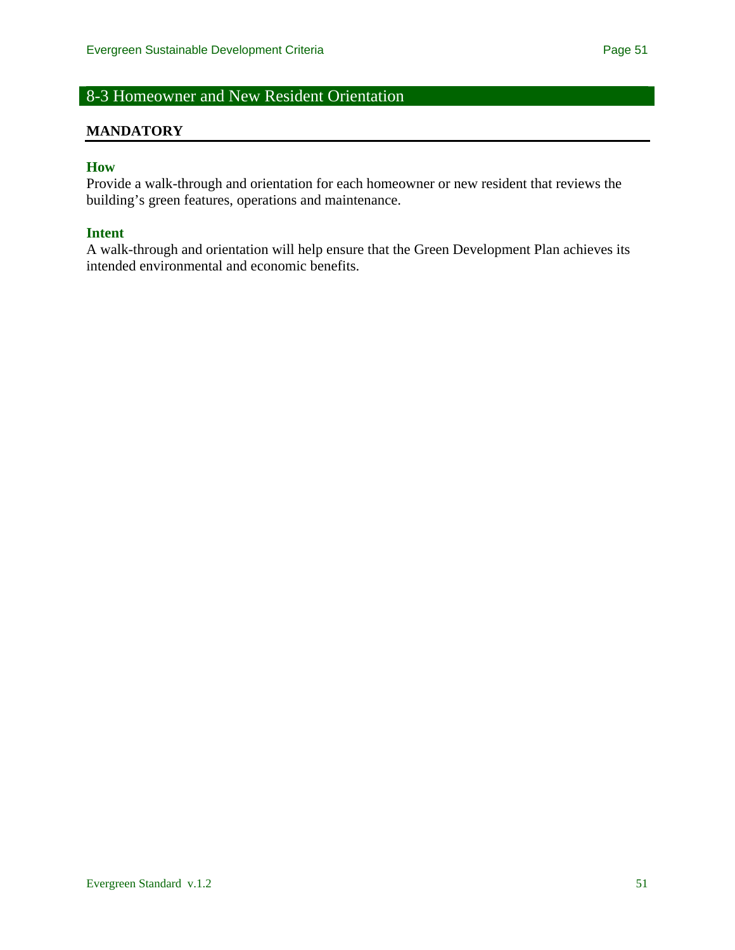# 8-3 Homeowner and New Resident Orientation

#### **MANDATORY**

## **How**

Provide a walk-through and orientation for each homeowner or new resident that reviews the building's green features, operations and maintenance.

#### **Intent**

A walk-through and orientation will help ensure that the Green Development Plan achieves its intended environmental and economic benefits.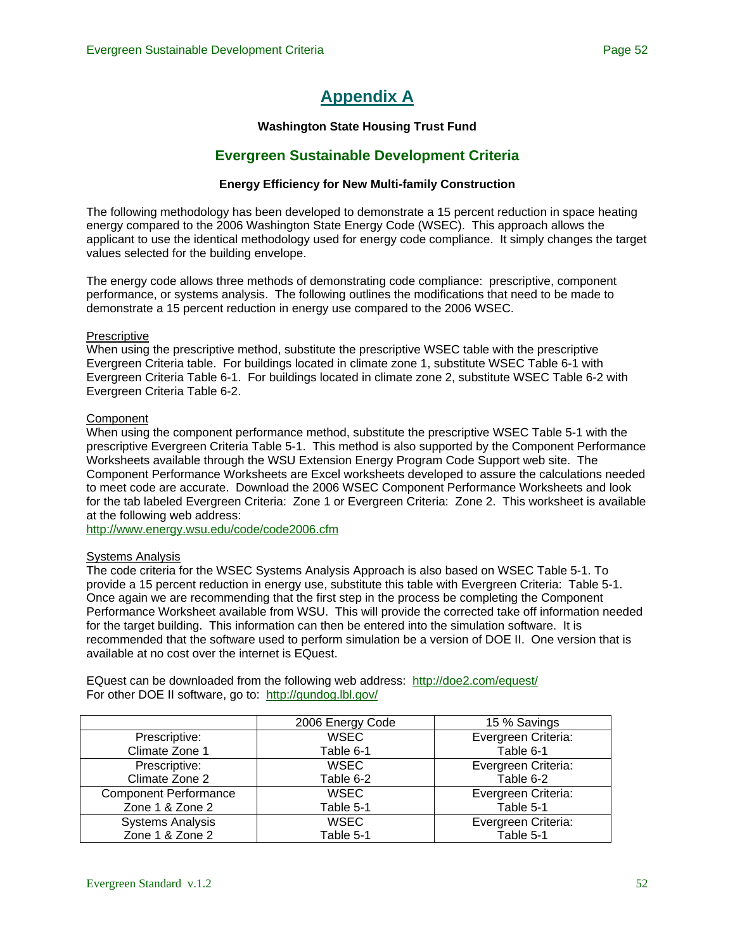# **[Appendix A](#page-0-0)**

#### **Washington State Housing Trust Fund**

## **Evergreen Sustainable Development Criteria**

#### **Energy Efficiency for New Multi-family Construction**

<span id="page-51-0"></span>The following methodology has been developed to demonstrate a 15 percent reduction in space heating energy compared to the 2006 Washington State Energy Code (WSEC). This approach allows the applicant to use the identical methodology used for energy code compliance. It simply changes the target values selected for the building envelope.

The energy code allows three methods of demonstrating code compliance: prescriptive, component performance, or systems analysis. The following outlines the modifications that need to be made to demonstrate a 15 percent reduction in energy use compared to the 2006 WSEC.

#### Prescriptive

When using the prescriptive method, substitute the prescriptive WSEC table with the prescriptive Evergreen Criteria table. For buildings located in climate zone 1, substitute WSEC Table 6-1 with Evergreen Criteria Table 6-1. For buildings located in climate zone 2, substitute WSEC Table 6-2 with Evergreen Criteria Table 6-2.

#### Component

When using the component performance method, substitute the prescriptive WSEC Table 5-1 with the prescriptive Evergreen Criteria Table 5-1. This method is also supported by the Component Performance Worksheets available through the WSU Extension Energy Program Code Support web site. The Component Performance Worksheets are Excel worksheets developed to assure the calculations needed to meet code are accurate. Download the 2006 WSEC Component Performance Worksheets and look for the tab labeled Evergreen Criteria: Zone 1 or Evergreen Criteria: Zone 2. This worksheet is available at the following web address:

<http://www.energy.wsu.edu/code/code2006.cfm>

#### Systems Analysis

The code criteria for the WSEC Systems Analysis Approach is also based on WSEC Table 5-1. To provide a 15 percent reduction in energy use, substitute this table with Evergreen Criteria: Table 5-1. Once again we are recommending that the first step in the process be completing the Component Performance Worksheet available from WSU. This will provide the corrected take off information needed for the target building. This information can then be entered into the simulation software. It is recommended that the software used to perform simulation be a version of DOE II. One version that is available at no cost over the internet is EQuest.

EQuest can be downloaded from the following web address: <http://doe2.com/equest/> For other DOE II software, go to: <http://gundog.lbl.gov/>

|                              | 2006 Energy Code | 15 % Savings        |
|------------------------------|------------------|---------------------|
| Prescriptive:                | <b>WSEC</b>      | Evergreen Criteria: |
| Climate Zone 1               | Table 6-1        | Table 6-1           |
| Prescriptive:                | <b>WSEC</b>      | Evergreen Criteria: |
| Climate Zone 2               | Table 6-2        | Table 6-2           |
| <b>Component Performance</b> | <b>WSEC</b>      | Evergreen Criteria: |
| Zone 1 & Zone 2              | Table 5-1        | Table 5-1           |
| <b>Systems Analysis</b>      | <b>WSEC</b>      | Evergreen Criteria: |
| Zone 1 & Zone 2              | Table 5-1        | Table 5-1           |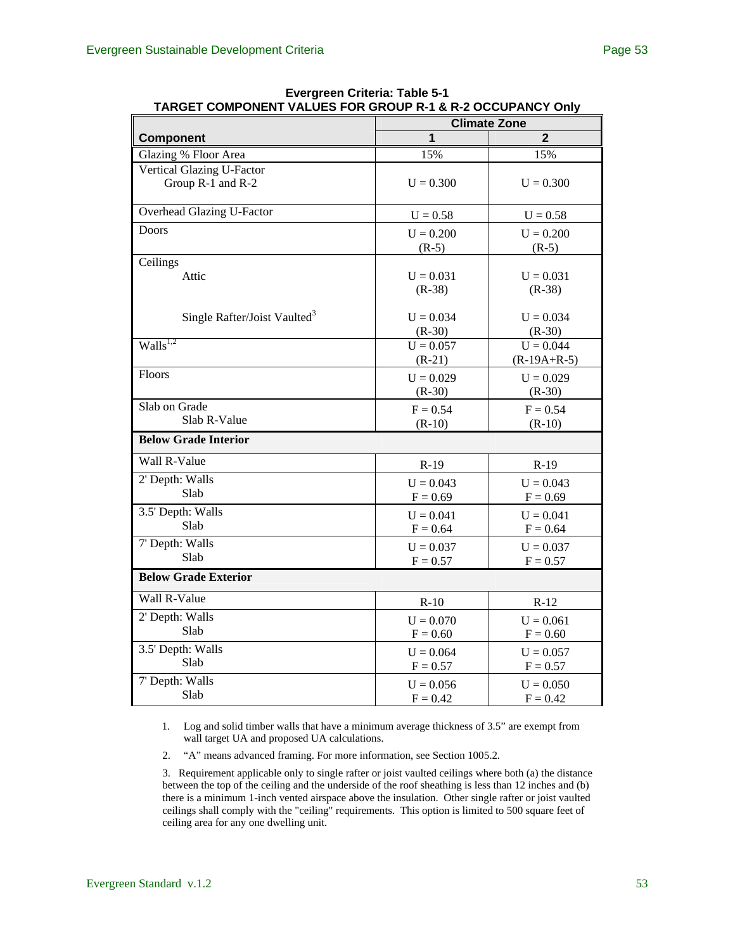|                                          | IANGET COMECNIERT VALULS FON GNOUF N'I & N'Z OCCUFANCT OMY<br><b>Climate Zone</b> |                              |  |  |  |
|------------------------------------------|-----------------------------------------------------------------------------------|------------------------------|--|--|--|
| Component                                | 1                                                                                 | $\overline{2}$               |  |  |  |
| Glazing % Floor Area                     | 15%                                                                               | 15%                          |  |  |  |
| Vertical Glazing U-Factor                |                                                                                   |                              |  |  |  |
| Group R-1 and R-2                        | $U = 0.300$                                                                       | $U = 0.300$                  |  |  |  |
| Overhead Glazing U-Factor                | $U = 0.58$                                                                        | $U = 0.58$                   |  |  |  |
| <b>Doors</b>                             | $U = 0.200$<br>$(R-5)$                                                            | $U = 0.200$<br>$(R-5)$       |  |  |  |
| Ceilings                                 |                                                                                   |                              |  |  |  |
| Attic                                    | $U = 0.031$<br>$(R-38)$                                                           | $U = 0.031$<br>$(R-38)$      |  |  |  |
| Single Rafter/Joist Vaulted <sup>3</sup> | $U = 0.034$<br>$(R-30)$                                                           | $U = 0.034$<br>$(R-30)$      |  |  |  |
| $\overline{\text{Walls}}^{1,2}$          | $U = 0.057$<br>$(R-21)$                                                           | $U = 0.044$<br>$(R-19A+R-5)$ |  |  |  |
| Floors                                   | $U = 0.029$<br>$(R-30)$                                                           | $U = 0.029$<br>$(R-30)$      |  |  |  |
| Slab on Grade                            | $F = 0.54$                                                                        | $F = 0.54$                   |  |  |  |
| Slab R-Value                             | $(R-10)$                                                                          | $(R-10)$                     |  |  |  |
| <b>Below Grade Interior</b>              |                                                                                   |                              |  |  |  |
| Wall R-Value                             | $R-19$                                                                            | $R-19$                       |  |  |  |
| 2' Depth: Walls                          | $U = 0.043$                                                                       | $U = 0.043$                  |  |  |  |
| Slab                                     | $F = 0.69$                                                                        | $F = 0.69$                   |  |  |  |
| 3.5' Depth: Walls                        | $U = 0.041$                                                                       | $U = 0.041$                  |  |  |  |
| Slab                                     | $F = 0.64$                                                                        | $F = 0.64$                   |  |  |  |
| 7' Depth: Walls                          | $U = 0.037$                                                                       | $U = 0.037$                  |  |  |  |
| Slab                                     | $F = 0.57$                                                                        | $F = 0.57$                   |  |  |  |
| <b>Below Grade Exterior</b>              |                                                                                   |                              |  |  |  |
| Wall R-Value                             | $R-10$                                                                            | $R-12$                       |  |  |  |
| 2' Depth: Walls                          | $U = 0.070$                                                                       | $U = 0.061$                  |  |  |  |
| Slab                                     | $F = 0.60$                                                                        | $F = 0.60$                   |  |  |  |
| 3.5' Depth: Walls                        | $U = 0.064$                                                                       | $U = 0.057$                  |  |  |  |
| Slab                                     | $F = 0.57$                                                                        | $F = 0.57$                   |  |  |  |
| 7' Depth: Walls                          | $U = 0.056$                                                                       | $U = 0.050$                  |  |  |  |
| Slab                                     | $F = 0.42$                                                                        | $F = 0.42$                   |  |  |  |

**Evergreen Criteria: Table 5-1 TARGET COMPONENT VALUES FOR GROUP R-1 & R-2 OCCUPANCY Only** 

1. Log and solid timber walls that have a minimum average thickness of 3.5" are exempt from wall target UA and proposed UA calculations.

2. "A" means advanced framing. For more information, see Section 1005.2.

3. Requirement applicable only to single rafter or joist vaulted ceilings where both (a) the distance between the top of the ceiling and the underside of the roof sheathing is less than 12 inches and (b) there is a minimum 1-inch vented airspace above the insulation. Other single rafter or joist vaulted ceilings shall comply with the "ceiling" requirements. This option is limited to 500 square feet of ceiling area for any one dwelling unit.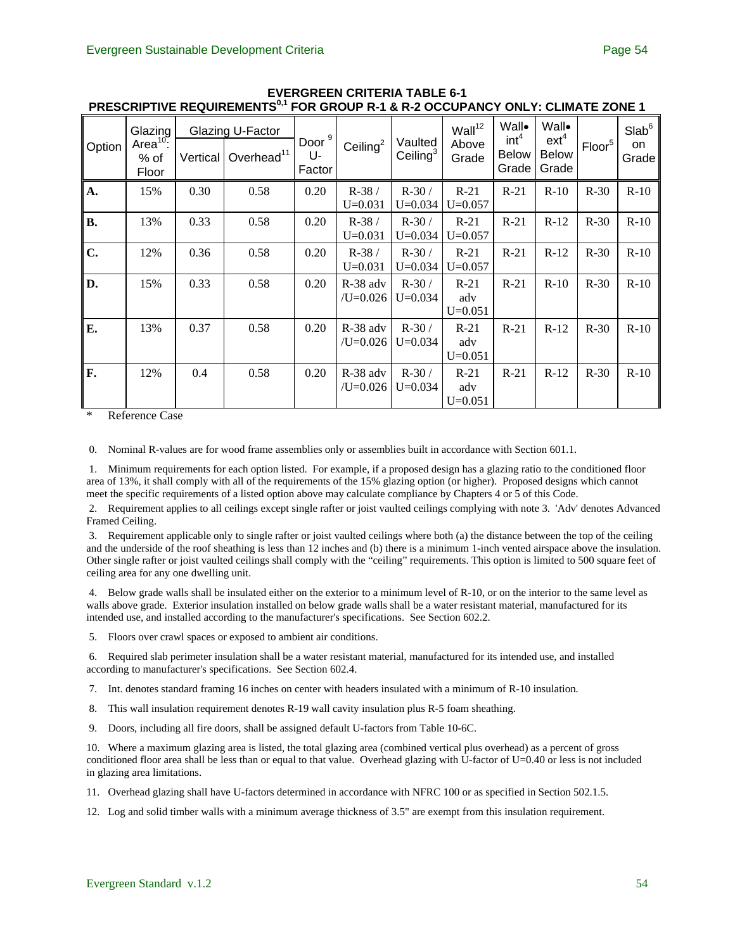| Option         | Glazing<br>Area <sup>10</sup> :<br>% of<br>Floor | Vertical | Glazing U-Factor<br>Overhead <sup>11</sup> | Door <sup>9</sup><br>U-<br>Factor | Ceiling $2$              | Vaulted<br>Ceiling $3$ | Wall <sup>12</sup><br>Above<br>Grade | Wall•<br>int <sup>4</sup><br><b>Below</b><br>Grade | Wall•<br>$ext^4$<br><b>Below</b><br>Grade | Floor <sup>5</sup> | Slab <sup>6</sup><br>on<br>Grade |
|----------------|--------------------------------------------------|----------|--------------------------------------------|-----------------------------------|--------------------------|------------------------|--------------------------------------|----------------------------------------------------|-------------------------------------------|--------------------|----------------------------------|
| $\mathbf{A}$ . | 15%                                              | 0.30     | 0.58                                       | 0.20                              | $R-38/$<br>$U = 0.031$   | $R-30/$<br>$U = 0.034$ | $R-21$<br>$U=0.057$                  | $R-21$                                             | $R-10$                                    | $R-30$             | $R-10$                           |
| <b>B.</b>      | 13%                                              | 0.33     | 0.58                                       | 0.20                              | $R-38/$<br>$U = 0.031$   | $R-30/$<br>$U = 0.034$ | $R-21$<br>$U=0.057$                  | $R-21$                                             | $R-12$                                    | $R-30$             | $R-10$                           |
| C.             | 12%                                              | 0.36     | 0.58                                       | 0.20                              | $R-38/$<br>$U=0.031$     | $R-30/$<br>$U=0.034$   | $R-21$<br>$U=0.057$                  | $R-21$                                             | $R-12$                                    | $R-30$             | $R-10$                           |
| D.             | 15%                                              | 0.33     | 0.58                                       | 0.20                              | R-38 adv<br>$/U=0.026$   | $R-30/$<br>$U = 0.034$ | $R-21$<br>adv<br>$U=0.051$           | $R-21$                                             | $R-10$                                    | $R-30$             | $R-10$                           |
| Е.             | 13%                                              | 0.37     | 0.58                                       | 0.20                              | $R-38$ adv<br>$/U=0.026$ | $R-30/$<br>$U=0.034$   | $R-21$<br>adv<br>$U = 0.051$         | $R-21$                                             | $R-12$                                    | $R-30$             | $R-10$                           |
| F.             | 12%                                              | 0.4      | 0.58                                       | 0.20                              | $R-38$ adv<br>$/U=0.026$ | $R-30/$<br>$U=0.034$   | $R-21$<br>adv<br>$U=0.051$           | $R-21$                                             | $R-12$                                    | $R-30$             | $R-10$                           |

#### **EVERGREEN CRITERIA TABLE 6-1**  PRESCRIPTIVE REQUIREMENTS<sup>0,1</sup> FOR GROUP R-1 & R-2 OCCUPANCY ONLY: CLIMATE ZONE 1

Reference Case

0. Nominal R-values are for wood frame assemblies only or assemblies built in accordance with Section 601.1.

 1. Minimum requirements for each option listed. For example, if a proposed design has a glazing ratio to the conditioned floor area of 13%, it shall comply with all of the requirements of the 15% glazing option (or higher). Proposed designs which cannot meet the specific requirements of a listed option above may calculate compliance by Chapters 4 or 5 of this Code.

 2. Requirement applies to all ceilings except single rafter or joist vaulted ceilings complying with note 3. 'Adv' denotes Advanced Framed Ceiling.

 3. Requirement applicable only to single rafter or joist vaulted ceilings where both (a) the distance between the top of the ceiling and the underside of the roof sheathing is less than 12 inches and (b) there is a minimum 1-inch vented airspace above the insulation. Other single rafter or joist vaulted ceilings shall comply with the "ceiling" requirements. This option is limited to 500 square feet of ceiling area for any one dwelling unit.

 4. Below grade walls shall be insulated either on the exterior to a minimum level of R-10, or on the interior to the same level as walls above grade. Exterior insulation installed on below grade walls shall be a water resistant material, manufactured for its intended use, and installed according to the manufacturer's specifications. See Section 602.2.

5. Floors over crawl spaces or exposed to ambient air conditions.

 6. Required slab perimeter insulation shall be a water resistant material, manufactured for its intended use, and installed according to manufacturer's specifications. See Section 602.4.

7. Int. denotes standard framing 16 inches on center with headers insulated with a minimum of R-10 insulation.

- 8. This wall insulation requirement denotes R-19 wall cavity insulation plus R-5 foam sheathing.
- 9. Doors, including all fire doors, shall be assigned default U-factors from Table 10-6C.

10. Where a maximum glazing area is listed, the total glazing area (combined vertical plus overhead) as a percent of gross conditioned floor area shall be less than or equal to that value. Overhead glazing with U-factor of U=0.40 or less is not included in glazing area limitations.

11. Overhead glazing shall have U-factors determined in accordance with NFRC 100 or as specified in Section 502.1.5.

12. Log and solid timber walls with a minimum average thickness of 3.5" are exempt from this insulation requirement.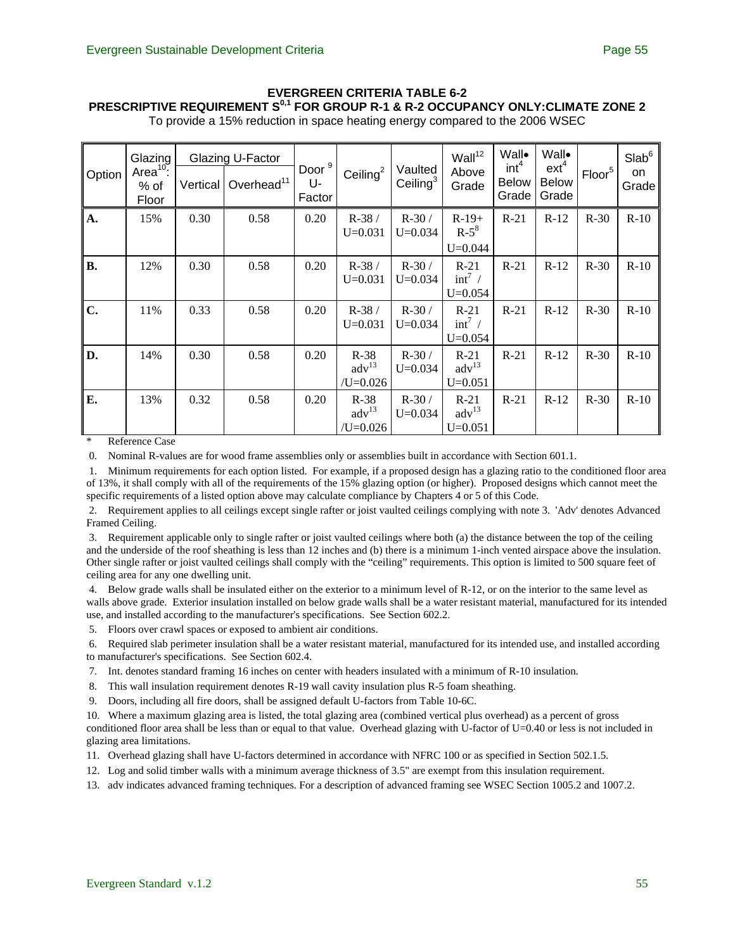# **EVERGREEN CRITERIA TABLE 6-2 PRESCRIPTIVE REQUIREMENT S<sup>0,1</sup> FOR GROUP R-1 & R-2 OCCUPANCY ONLY: CLIMATE ZONE 2**

|  |  |  |  | To provide a 15% reduction in space heating energy compared to the 2006 WSEC |  |
|--|--|--|--|------------------------------------------------------------------------------|--|
|--|--|--|--|------------------------------------------------------------------------------|--|

| Option    | Glazing<br>Area <sup>10</sup> :<br>% of<br>Floor | Vertical | Glazing U-Factor<br>Overhead <sup>11</sup> | Door $9$<br>U-<br>Factor | Ceiling $2$                                 | Vaulted<br>Ceiling $3$ | Wall <sup>12</sup><br>Above<br>Grade       | Wall•<br>int <sup>4</sup><br><b>Below</b><br>Grade | Wall•<br>$ext^4$<br><b>Below</b><br>Grade | Floor <sup>5</sup> | Slab <sup>6</sup><br>on<br>Grade |
|-----------|--------------------------------------------------|----------|--------------------------------------------|--------------------------|---------------------------------------------|------------------------|--------------------------------------------|----------------------------------------------------|-------------------------------------------|--------------------|----------------------------------|
| A.        | 15%                                              | 0.30     | 0.58                                       | 0.20                     | $R-38/$<br>$U=0.031$                        | $R-30/$<br>$U = 0.034$ | $R-19+$<br>$R-5^8$<br>$U = 0.044$          | $R-21$                                             | $R-12$                                    | $R-30$             | $R-10$                           |
| <b>B.</b> | 12%                                              | 0.30     | 0.58                                       | 0.20                     | $R-38/$<br>$U=0.031$                        | $R-30/$<br>$U=0.034$   | $R-21$<br>$int^7$ /<br>$U = 0.054$         | $R-21$                                             | $R-12$                                    | $R-30$             | $R-10$                           |
| C.        | 11%                                              | 0.33     | 0.58                                       | 0.20                     | $R-38/$<br>$U=0.031$                        | $R-30/$<br>$U = 0.034$ | $R-21$<br>$int^7$ /<br>$U=0.054$           | $R-21$                                             | $R-12$                                    | $R-30$             | $R-10$                           |
| D.        | 14%                                              | 0.30     | 0.58                                       | 0.20                     | $R-38$<br>$\text{adv}^{13}$<br>$/U = 0.026$ | $R-30/$<br>$U=0.034$   | $R-21$<br>$\text{adv}^{13}$<br>$U = 0.051$ | $R-21$                                             | $R-12$                                    | $R-30$             | $R-10$                           |
| E.        | 13%                                              | 0.32     | 0.58                                       | 0.20                     | $R-38$<br>$\text{adv}^{13}$<br>$/U = 0.026$ | $R-30/$<br>$U = 0.034$ | $R-21$<br>$\text{adv}^{13}$<br>$U = 0.051$ | $R-21$                                             | $R-12$                                    | $R-30$             | $R-10$                           |

\* Reference Case

0. Nominal R-values are for wood frame assemblies only or assemblies built in accordance with Section 601.1.

 1. Minimum requirements for each option listed. For example, if a proposed design has a glazing ratio to the conditioned floor area of 13%, it shall comply with all of the requirements of the 15% glazing option (or higher). Proposed designs which cannot meet the specific requirements of a listed option above may calculate compliance by Chapters 4 or 5 of this Code.

 2. Requirement applies to all ceilings except single rafter or joist vaulted ceilings complying with note 3. 'Adv' denotes Advanced Framed Ceiling.

 3. Requirement applicable only to single rafter or joist vaulted ceilings where both (a) the distance between the top of the ceiling and the underside of the roof sheathing is less than 12 inches and (b) there is a minimum 1-inch vented airspace above the insulation. Other single rafter or joist vaulted ceilings shall comply with the "ceiling" requirements. This option is limited to 500 square feet of ceiling area for any one dwelling unit.

 4. Below grade walls shall be insulated either on the exterior to a minimum level of R-12, or on the interior to the same level as walls above grade. Exterior insulation installed on below grade walls shall be a water resistant material, manufactured for its intended use, and installed according to the manufacturer's specifications. See Section 602.2.

5. Floors over crawl spaces or exposed to ambient air conditions.

 6. Required slab perimeter insulation shall be a water resistant material, manufactured for its intended use, and installed according to manufacturer's specifications. See Section 602.4.

- 7. Int. denotes standard framing 16 inches on center with headers insulated with a minimum of R-10 insulation.
- 8. This wall insulation requirement denotes R-19 wall cavity insulation plus R-5 foam sheathing.
- 9. Doors, including all fire doors, shall be assigned default U-factors from Table 10-6C.

10. Where a maximum glazing area is listed, the total glazing area (combined vertical plus overhead) as a percent of gross conditioned floor area shall be less than or equal to that value. Overhead glazing with U-factor of U=0.40 or less is not included in glazing area limitations.

- 11. Overhead glazing shall have U-factors determined in accordance with NFRC 100 or as specified in Section 502.1.5.
- 12. Log and solid timber walls with a minimum average thickness of 3.5" are exempt from this insulation requirement.
- 13. adv indicates advanced framing techniques. For a description of advanced framing see WSEC Section 1005.2 and 1007.2.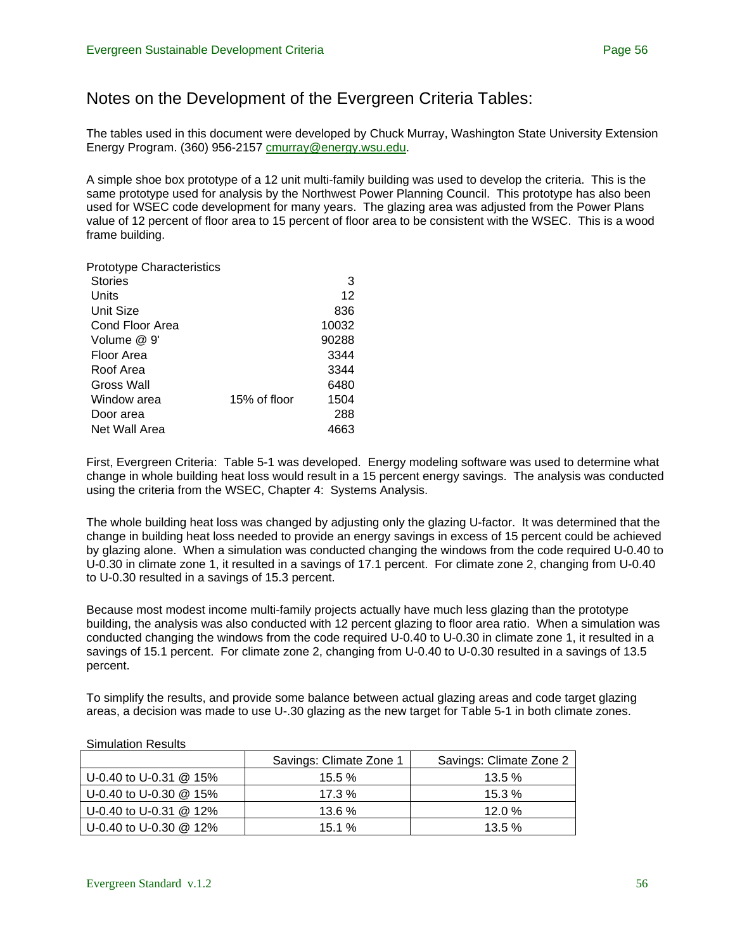# Notes on the Development of the Evergreen Criteria Tables:

The tables used in this document were developed by Chuck Murray, Washington State University Extension Energy Program. (360) 956-2157 [cmurray@energy.wsu.edu](mailto:cmurray@energy.wsu.edu).

A simple shoe box prototype of a 12 unit multi-family building was used to develop the criteria. This is the same prototype used for analysis by the Northwest Power Planning Council. This prototype has also been used for WSEC code development for many years. The glazing area was adjusted from the Power Plans value of 12 percent of floor area to 15 percent of floor area to be consistent with the WSEC. This is a wood frame building.

| <b>Prototype Characteristics</b> |              |       |
|----------------------------------|--------------|-------|
| <b>Stories</b>                   |              | 3     |
| Units                            |              | 12    |
| <b>Unit Size</b>                 |              | 836   |
| Cond Floor Area                  |              | 10032 |
| Volume @ 9'                      |              | 90288 |
| Floor Area                       |              | 3344  |
| Roof Area                        |              | 3344  |
| Gross Wall                       |              | 6480  |
| Window area                      | 15% of floor | 1504  |
| Door area                        |              | 288   |
| Net Wall Area                    |              | 4663  |
|                                  |              |       |

First, Evergreen Criteria: Table 5-1 was developed. Energy modeling software was used to determine what change in whole building heat loss would result in a 15 percent energy savings. The analysis was conducted using the criteria from the WSEC, Chapter 4: Systems Analysis.

The whole building heat loss was changed by adjusting only the glazing U-factor. It was determined that the change in building heat loss needed to provide an energy savings in excess of 15 percent could be achieved by glazing alone. When a simulation was conducted changing the windows from the code required U-0.40 to U-0.30 in climate zone 1, it resulted in a savings of 17.1 percent. For climate zone 2, changing from U-0.40 to U-0.30 resulted in a savings of 15.3 percent.

Because most modest income multi-family projects actually have much less glazing than the prototype building, the analysis was also conducted with 12 percent glazing to floor area ratio. When a simulation was conducted changing the windows from the code required U-0.40 to U-0.30 in climate zone 1, it resulted in a savings of 15.1 percent. For climate zone 2, changing from U-0.40 to U-0.30 resulted in a savings of 13.5 percent.

To simplify the results, and provide some balance between actual glazing areas and code target glazing areas, a decision was made to use U-.30 glazing as the new target for Table 5-1 in both climate zones.

|                          | Savings: Climate Zone 1 | Savings: Climate Zone 2 |
|--------------------------|-------------------------|-------------------------|
| U-0.40 to U-0.31 $@$ 15% | $15.5 \%$               | $13.5\%$                |
| U-0.40 to U-0.30 @ 15%   | $17.3\%$                | $15.3\%$                |
| U-0.40 to U-0.31 @ 12%   | $13.6\%$                | 12.0 $%$                |
| U-0.40 to U-0.30 @ 12%   | $15.1 \%$               | $13.5\%$                |

#### Simulation Results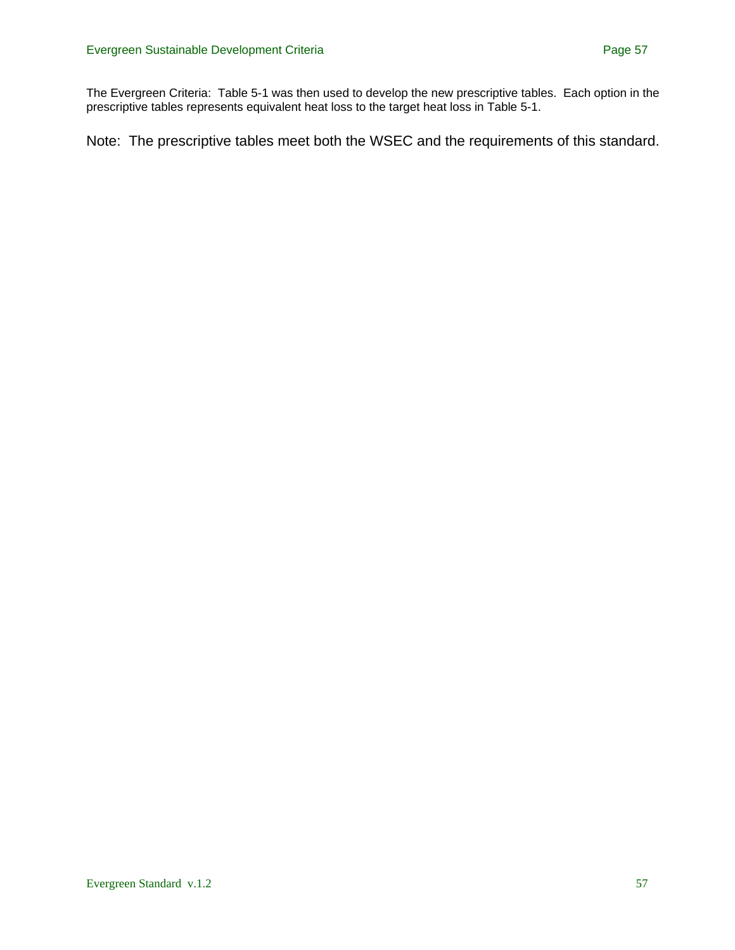The Evergreen Criteria: Table 5-1 was then used to develop the new prescriptive tables. Each option in the prescriptive tables represents equivalent heat loss to the target heat loss in Table 5-1.

Note: The prescriptive tables meet both the WSEC and the requirements of this standard.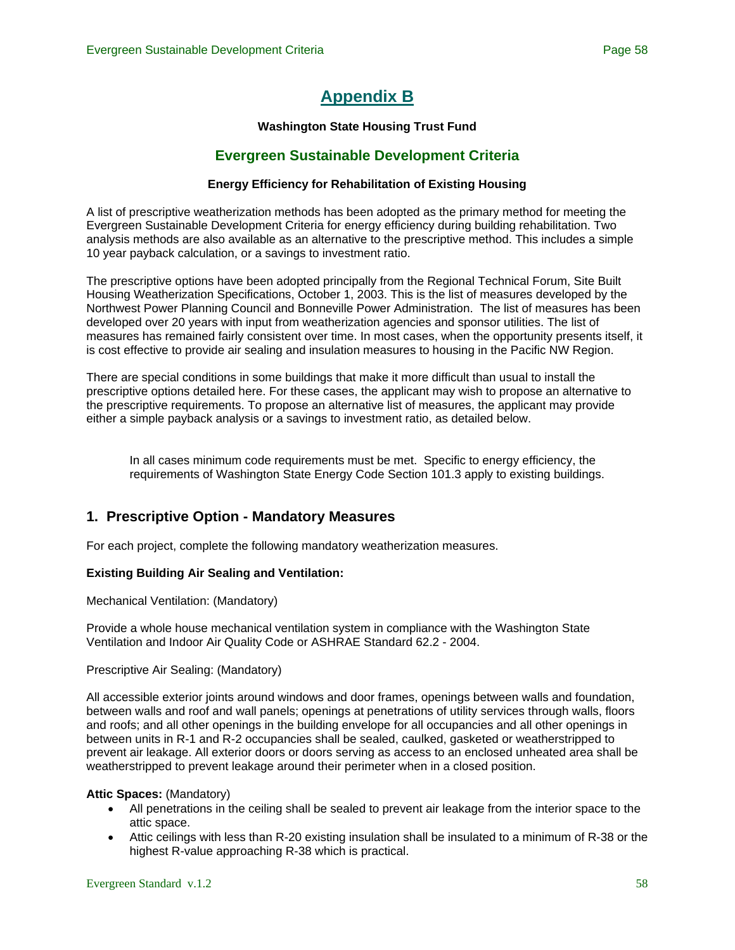# **[Appendix B](#page-0-0)**

#### **Washington State Housing Trust Fund**

### **Evergreen Sustainable Development Criteria**

#### **Energy Efficiency for Rehabilitation of Existing Housing**

<span id="page-57-0"></span>A list of prescriptive weatherization methods has been adopted as the primary method for meeting the Evergreen Sustainable Development Criteria for energy efficiency during building rehabilitation. Two analysis methods are also available as an alternative to the prescriptive method. This includes a simple 10 year payback calculation, or a savings to investment ratio.

The prescriptive options have been adopted principally from the Regional Technical Forum, Site Built Housing Weatherization Specifications, October 1, 2003. This is the list of measures developed by the Northwest Power Planning Council and Bonneville Power Administration. The list of measures has been developed over 20 years with input from weatherization agencies and sponsor utilities. The list of measures has remained fairly consistent over time. In most cases, when the opportunity presents itself, it is cost effective to provide air sealing and insulation measures to housing in the Pacific NW Region.

There are special conditions in some buildings that make it more difficult than usual to install the prescriptive options detailed here. For these cases, the applicant may wish to propose an alternative to the prescriptive requirements. To propose an alternative list of measures, the applicant may provide either a simple payback analysis or a savings to investment ratio, as detailed below.

In all cases minimum code requirements must be met. Specific to energy efficiency, the requirements of Washington State Energy Code Section 101.3 apply to existing buildings.

### **1. Prescriptive Option - Mandatory Measures**

For each project, complete the following mandatory weatherization measures.

#### **Existing Building Air Sealing and Ventilation:**

#### Mechanical Ventilation: (Mandatory)

Provide a whole house mechanical ventilation system in compliance with the Washington State Ventilation and Indoor Air Quality Code or ASHRAE Standard 62.2 - 2004.

#### Prescriptive Air Sealing: (Mandatory)

All accessible exterior joints around windows and door frames, openings between walls and foundation, between walls and roof and wall panels; openings at penetrations of utility services through walls, floors and roofs; and all other openings in the building envelope for all occupancies and all other openings in between units in R-1 and R-2 occupancies shall be sealed, caulked, gasketed or weatherstripped to prevent air leakage. All exterior doors or doors serving as access to an enclosed unheated area shall be weatherstripped to prevent leakage around their perimeter when in a closed position.

#### **Attic Spaces:** (Mandatory)

- All penetrations in the ceiling shall be sealed to prevent air leakage from the interior space to the attic space.
- Attic ceilings with less than R-20 existing insulation shall be insulated to a minimum of R-38 or the highest R-value approaching R-38 which is practical.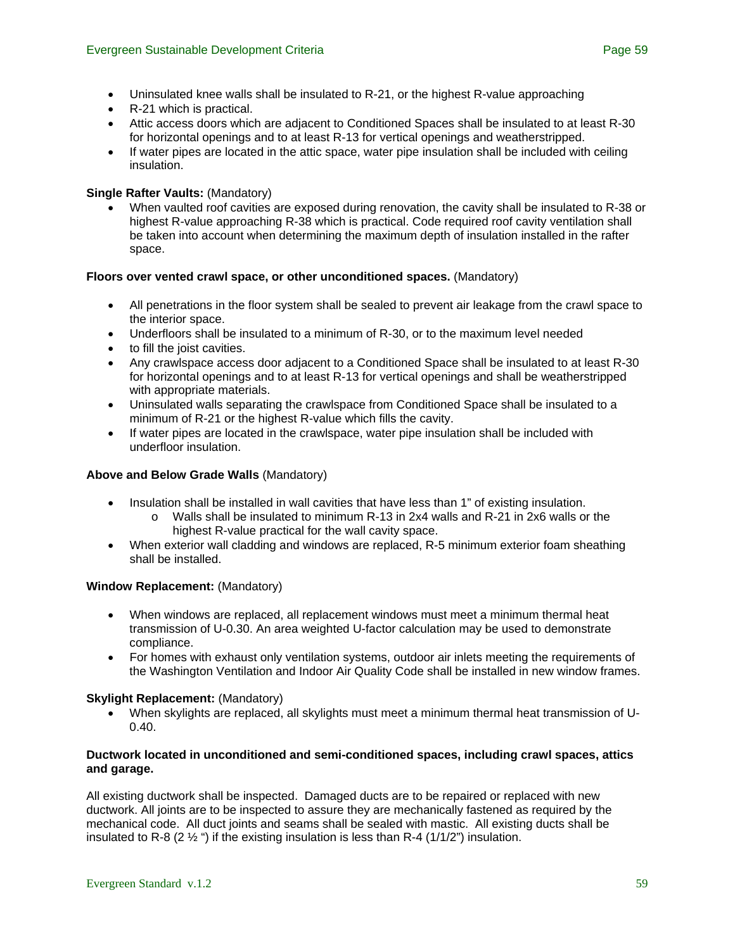- Uninsulated knee walls shall be insulated to R-21, or the highest R-value approaching
- R-21 which is practical.
- Attic access doors which are adjacent to Conditioned Spaces shall be insulated to at least R-30 for horizontal openings and to at least R-13 for vertical openings and weatherstripped.
- If water pipes are located in the attic space, water pipe insulation shall be included with ceiling insulation.

#### **Single Rafter Vaults:** (Mandatory)

• When vaulted roof cavities are exposed during renovation, the cavity shall be insulated to R-38 or highest R-value approaching R-38 which is practical. Code required roof cavity ventilation shall be taken into account when determining the maximum depth of insulation installed in the rafter space.

#### **Floors over vented crawl space, or other unconditioned spaces.** (Mandatory)

- All penetrations in the floor system shall be sealed to prevent air leakage from the crawl space to the interior space.
- Underfloors shall be insulated to a minimum of R-30, or to the maximum level needed
- to fill the joist cavities.
- Any crawlspace access door adjacent to a Conditioned Space shall be insulated to at least R-30 for horizontal openings and to at least R-13 for vertical openings and shall be weatherstripped with appropriate materials.
- Uninsulated walls separating the crawlspace from Conditioned Space shall be insulated to a minimum of R-21 or the highest R-value which fills the cavity.
- If water pipes are located in the crawlspace, water pipe insulation shall be included with underfloor insulation.

#### **Above and Below Grade Walls** (Mandatory)

- Insulation shall be installed in wall cavities that have less than 1" of existing insulation.
	- o Walls shall be insulated to minimum R-13 in 2x4 walls and R-21 in 2x6 walls or the highest R-value practical for the wall cavity space.
- When exterior wall cladding and windows are replaced, R-5 minimum exterior foam sheathing shall be installed.

#### **Window Replacement:** (Mandatory)

- When windows are replaced, all replacement windows must meet a minimum thermal heat transmission of U-0.30. An area weighted U-factor calculation may be used to demonstrate compliance.
- For homes with exhaust only ventilation systems, outdoor air inlets meeting the requirements of the Washington Ventilation and Indoor Air Quality Code shall be installed in new window frames.

#### **Skylight Replacement: (Mandatory)**

• When skylights are replaced, all skylights must meet a minimum thermal heat transmission of U-0.40.

#### **Ductwork located in unconditioned and semi-conditioned spaces, including crawl spaces, attics and garage.**

All existing ductwork shall be inspected. Damaged ducts are to be repaired or replaced with new ductwork. All joints are to be inspected to assure they are mechanically fastened as required by the mechanical code. All duct joints and seams shall be sealed with mastic. All existing ducts shall be insulated to R-8 (2  $\frac{1}{2}$  ") if the existing insulation is less than R-4 (1/1/2") insulation.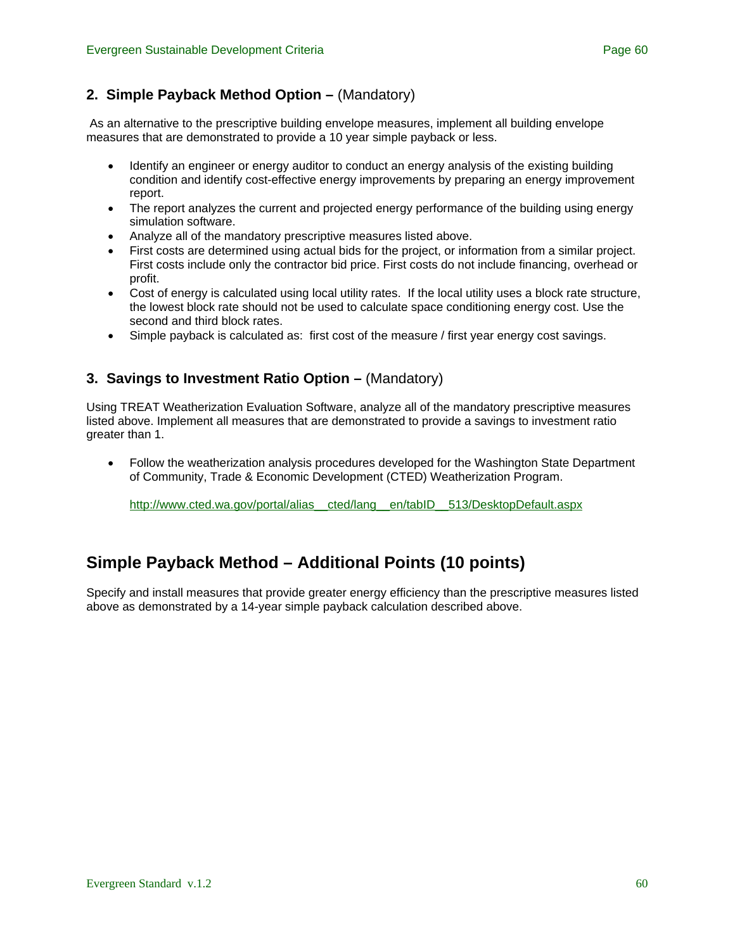# **2. Simple Payback Method Option –** (Mandatory)

 As an alternative to the prescriptive building envelope measures, implement all building envelope measures that are demonstrated to provide a 10 year simple payback or less.

- Identify an engineer or energy auditor to conduct an energy analysis of the existing building condition and identify cost-effective energy improvements by preparing an energy improvement report.
- The report analyzes the current and projected energy performance of the building using energy simulation software.
- Analyze all of the mandatory prescriptive measures listed above.
- First costs are determined using actual bids for the project, or information from a similar project. First costs include only the contractor bid price. First costs do not include financing, overhead or profit.
- Cost of energy is calculated using local utility rates. If the local utility uses a block rate structure, the lowest block rate should not be used to calculate space conditioning energy cost. Use the second and third block rates.
- Simple payback is calculated as: first cost of the measure / first year energy cost savings.

# **3. Savings to Investment Ratio Option – (Mandatory)**

Using TREAT Weatherization Evaluation Software, analyze all of the mandatory prescriptive measures listed above. Implement all measures that are demonstrated to provide a savings to investment ratio greater than 1.

• Follow the weatherization analysis procedures developed for the Washington State Department of Community, Trade & Economic Development (CTED) Weatherization Program.

[http://www.cted.wa.gov/portal/alias\\_\\_cted/lang\\_\\_en/tabID\\_\\_513/DesktopDefault.aspx](http://www.cted.wa.gov/portal/alias__cted/lang__en/tabID__513/DesktopDefault.aspx)

# **Simple Payback Method – Additional Points (10 points)**

Specify and install measures that provide greater energy efficiency than the prescriptive measures listed above as demonstrated by a 14-year simple payback calculation described above.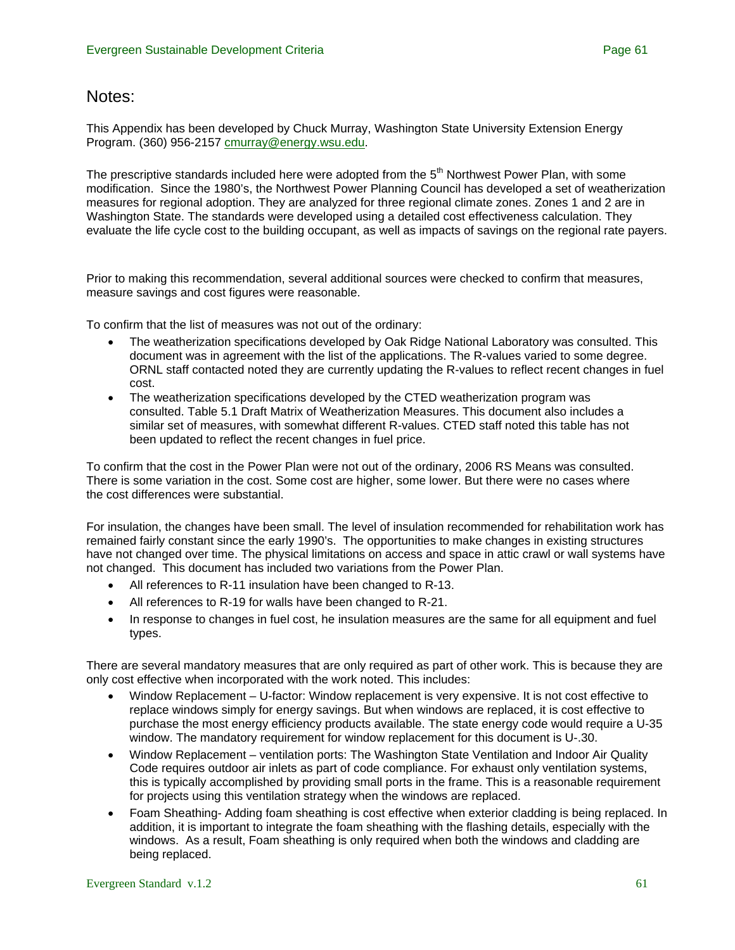# Notes:

This Appendix has been developed by Chuck Murray, Washington State University Extension Energy Program. (360) 956-2157 [cmurray@energy.wsu.edu.](mailto:cmurray@energy.wsu.edu)

The prescriptive standards included here were adopted from the 5<sup>th</sup> Northwest Power Plan, with some modification. Since the 1980's, the Northwest Power Planning Council has developed a set of weatherization measures for regional adoption. They are analyzed for three regional climate zones. Zones 1 and 2 are in Washington State. The standards were developed using a detailed cost effectiveness calculation. They evaluate the life cycle cost to the building occupant, as well as impacts of savings on the regional rate payers.

Prior to making this recommendation, several additional sources were checked to confirm that measures, measure savings and cost figures were reasonable.

To confirm that the list of measures was not out of the ordinary:

- The weatherization specifications developed by Oak Ridge National Laboratory was consulted. This document was in agreement with the list of the applications. The R-values varied to some degree. ORNL staff contacted noted they are currently updating the R-values to reflect recent changes in fuel cost.
- The weatherization specifications developed by the CTED weatherization program was consulted. Table 5.1 Draft Matrix of Weatherization Measures. This document also includes a similar set of measures, with somewhat different R-values. CTED staff noted this table has not been updated to reflect the recent changes in fuel price.

To confirm that the cost in the Power Plan were not out of the ordinary, 2006 RS Means was consulted. There is some variation in the cost. Some cost are higher, some lower. But there were no cases where the cost differences were substantial.

For insulation, the changes have been small. The level of insulation recommended for rehabilitation work has remained fairly constant since the early 1990's. The opportunities to make changes in existing structures have not changed over time. The physical limitations on access and space in attic crawl or wall systems have not changed. This document has included two variations from the Power Plan.

- All references to R-11 insulation have been changed to R-13.
- All references to R-19 for walls have been changed to R-21.
- In response to changes in fuel cost, he insulation measures are the same for all equipment and fuel types.

There are several mandatory measures that are only required as part of other work. This is because they are only cost effective when incorporated with the work noted. This includes:

- Window Replacement U-factor: Window replacement is very expensive. It is not cost effective to replace windows simply for energy savings. But when windows are replaced, it is cost effective to purchase the most energy efficiency products available. The state energy code would require a U-35 window. The mandatory requirement for window replacement for this document is U-.30.
- Window Replacement ventilation ports: The Washington State Ventilation and Indoor Air Quality Code requires outdoor air inlets as part of code compliance. For exhaust only ventilation systems, this is typically accomplished by providing small ports in the frame. This is a reasonable requirement for projects using this ventilation strategy when the windows are replaced.
- Foam Sheathing- Adding foam sheathing is cost effective when exterior cladding is being replaced. In addition, it is important to integrate the foam sheathing with the flashing details, especially with the windows. As a result, Foam sheathing is only required when both the windows and cladding are being replaced.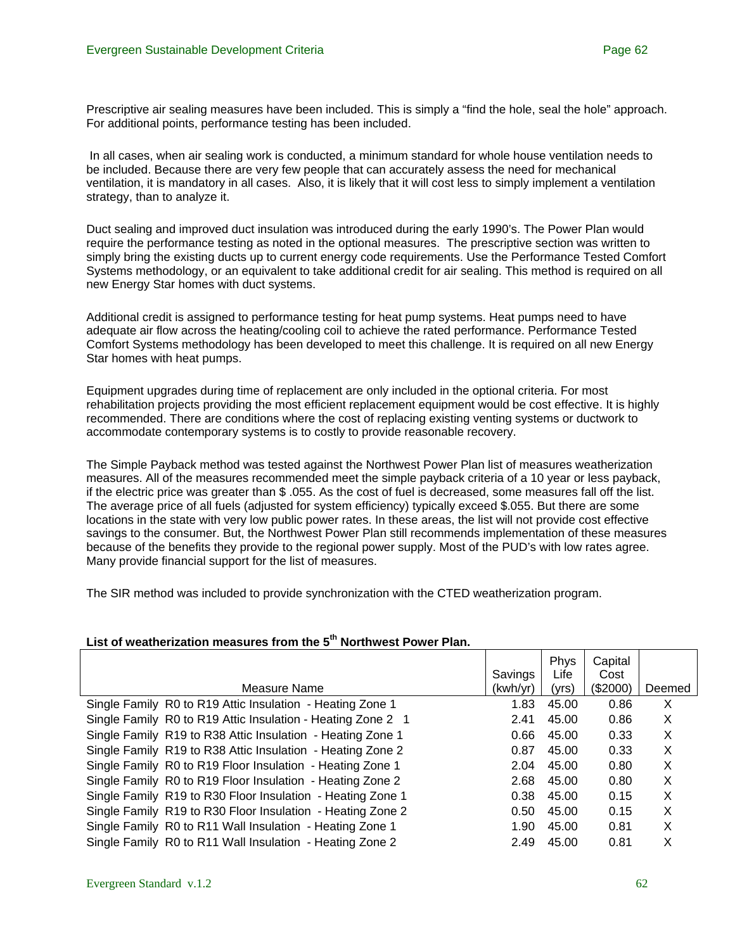Prescriptive air sealing measures have been included. This is simply a "find the hole, seal the hole" approach. For additional points, performance testing has been included.

 In all cases, when air sealing work is conducted, a minimum standard for whole house ventilation needs to be included. Because there are very few people that can accurately assess the need for mechanical ventilation, it is mandatory in all cases. Also, it is likely that it will cost less to simply implement a ventilation strategy, than to analyze it.

Duct sealing and improved duct insulation was introduced during the early 1990's. The Power Plan would require the performance testing as noted in the optional measures. The prescriptive section was written to simply bring the existing ducts up to current energy code requirements. Use the Performance Tested Comfort Systems methodology, or an equivalent to take additional credit for air sealing. This method is required on all new Energy Star homes with duct systems.

Additional credit is assigned to performance testing for heat pump systems. Heat pumps need to have adequate air flow across the heating/cooling coil to achieve the rated performance. Performance Tested Comfort Systems methodology has been developed to meet this challenge. It is required on all new Energy Star homes with heat pumps.

Equipment upgrades during time of replacement are only included in the optional criteria. For most rehabilitation projects providing the most efficient replacement equipment would be cost effective. It is highly recommended. There are conditions where the cost of replacing existing venting systems or ductwork to accommodate contemporary systems is to costly to provide reasonable recovery.

The Simple Payback method was tested against the Northwest Power Plan list of measures weatherization measures. All of the measures recommended meet the simple payback criteria of a 10 year or less payback, if the electric price was greater than \$ .055. As the cost of fuel is decreased, some measures fall off the list. The average price of all fuels (adjusted for system efficiency) typically exceed \$.055. But there are some locations in the state with very low public power rates. In these areas, the list will not provide cost effective savings to the consumer. But, the Northwest Power Plan still recommends implementation of these measures because of the benefits they provide to the regional power supply. Most of the PUD's with low rates agree. Many provide financial support for the list of measures.

The SIR method was included to provide synchronization with the CTED weatherization program.

|                                                             |          | Phys  | Capital  |        |
|-------------------------------------------------------------|----------|-------|----------|--------|
|                                                             | Savings  | Life  | Cost     |        |
| Measure Name                                                | (kwh/yr) | (yrs) | (\$2000) | Deemed |
| Single Family R0 to R19 Attic Insulation - Heating Zone 1   | 1.83     | 45.00 | 0.86     | X      |
| Single Family R0 to R19 Attic Insulation - Heating Zone 2 1 | 2.41     | 45.00 | 0.86     | X      |
| Single Family R19 to R38 Attic Insulation - Heating Zone 1  | 0.66     | 45.00 | 0.33     | X      |
| Single Family R19 to R38 Attic Insulation - Heating Zone 2  | 0.87     | 45.00 | 0.33     | X      |
| Single Family R0 to R19 Floor Insulation - Heating Zone 1   | 2.04     | 45.00 | 0.80     | X      |
| Single Family R0 to R19 Floor Insulation - Heating Zone 2   | 2.68     | 45.00 | 0.80     | X      |
| Single Family R19 to R30 Floor Insulation - Heating Zone 1  | 0.38     | 45.00 | 0.15     | X      |
| Single Family R19 to R30 Floor Insulation - Heating Zone 2  | 0.50     | 45.00 | 0.15     | X      |
| Single Family R0 to R11 Wall Insulation - Heating Zone 1    | 1.90     | 45.00 | 0.81     | X      |
| Single Family R0 to R11 Wall Insulation - Heating Zone 2    | 2.49     | 45.00 | 0.81     | X      |

#### **List of weatherization measures from the 5th Northwest Power Plan.**